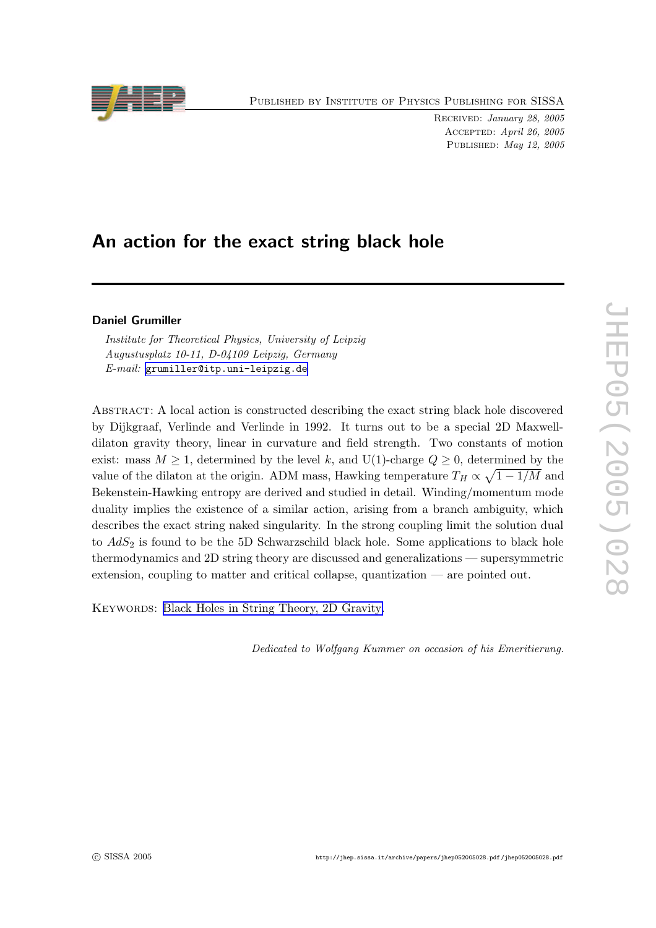

Received: January 28, 2005 Accepted: April 26, 2005 PUBLISHED: May 12, 2005

# An action fo r the exact string black hole

# Daniel Grumiller

Institute for Theoretical Physics, University of Leipzig Augustusplatz 10-11, D-04109 Leipzig, Germany E-mail: [grumiller@itp.uni-leipzig.de](mailto:grumiller@itp.uni-leipzig.de)

ABSTRACT: A local action is constructed describing the exact string black hole discovered b y Dijkgraaf, Verlinde and Verlinde in 1992. It turns out to b e a special 2D Maxwelldilaton gravity theory, linear in curvature and field strength. Two constants of motion exist: mass  $M \geq 1$ , determined by the level k, and U(1)-charge  $Q \geq 0$ , determined by the value of the dilaton at the origin. ADM mass, Hawking temperature  $T_H \propto \sqrt{1 - 1/M}$  and Bekenstein-Hawking entrop y are derived and studied in detail. Winding/momentum mode duality implies the existence of a similar action, arising from a branch ambiguity, which describes the exact string naked singularity. In the strong coupling limit the solution dual to  $AdS_2$  is found to be the 5D Schwarzschild black hole. Some applications to black hole thermodynamics and 2D string theory are discussed and generalizations — supersymmetric extension, coupling to matter and critical collapse, quantization — are pointed out.

KEYWORDS: Black Holes in String [Theory](http://jhep.sissa.it/stdsearch), 2D Gravity.

Dedicated to Wolfgang Kummer on occasion of his Emeritierung.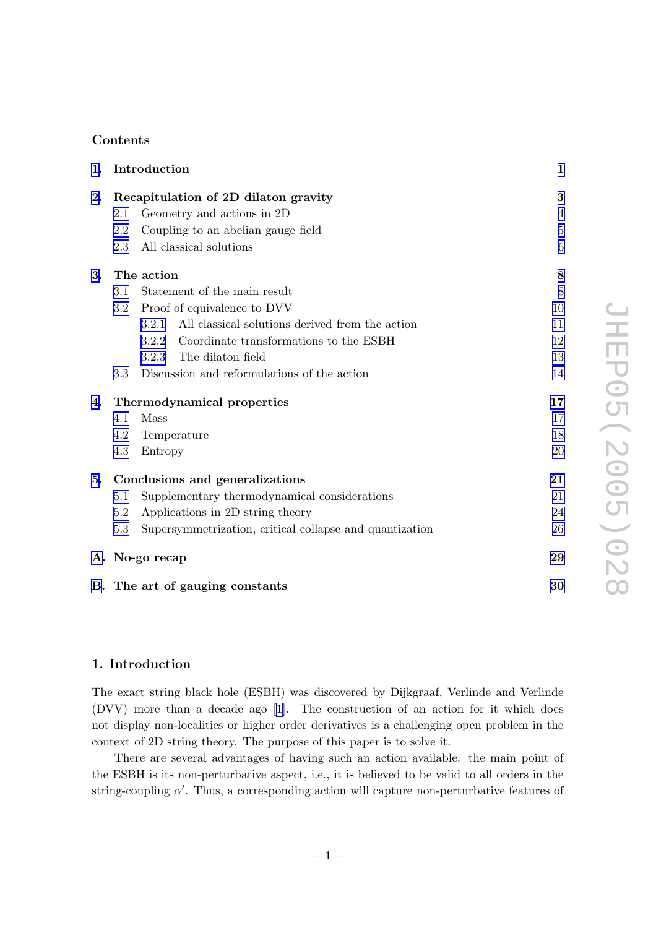# Contents

|    | 1. Introduction                      |                                                          | $\mathbf{1}$   |
|----|--------------------------------------|----------------------------------------------------------|----------------|
| 2. | Recapitulation of 2D dilaton gravity |                                                          | 3              |
|    | 2.1                                  | Geometry and actions in 2D                               | $\overline{4}$ |
|    | 2.2                                  | Coupling to an abelian gauge field                       | $\overline{5}$ |
|    | 2.3                                  | All classical solutions                                  | 6              |
| 3. | The action                           |                                                          | 8              |
|    | 3.1                                  | Statement of the main result                             | 8              |
|    | $3.2\,$                              | Proof of equivalence to DVV                              | 10             |
|    |                                      | All classical solutions derived from the action<br>3.2.1 | 11             |
|    |                                      | Coordinate transformations to the ESBH<br>3.2.2          | 12             |
|    |                                      | The dilaton field<br>3.2.3                               | 13             |
|    | 3.3                                  | Discussion and reformulations of the action              | 14             |
| 4. | Thermodynamical properties           |                                                          | 17             |
|    | 4.1                                  | Mass                                                     | 17             |
|    | 4.2                                  | Temperature                                              | 18             |
|    | 4.3                                  | Entropy                                                  | 20             |
| 5. | Conclusions and generalizations      |                                                          | 21             |
|    | $5.1\,$                              | Supplementary thermodynamical considerations             | 21             |
|    | 5.2                                  | Applications in 2D string theory                         | 24             |
|    | 5.3                                  | Supersymmetrization, critical collapse and quantization  | 26             |
|    | A. No-go recap                       |                                                          | 29             |
|    | B. The art of gauging constants      |                                                          | 30             |

# 1. Introduction

The exact string blac k hole (ESBH) was disco vered b y Dijkgraaf, Verlinde and Verlinde (DVV) more than a decade ago [[1](#page-32-0)]. The construction of an action for it whic h does not display non-localities or higher order derivatives is a challenging open problem in the context of 2D string theory . The purpose of this paper is to solv e it.

There are several advantages of having suc h an action available: the main poin t of the ESBH is its non-perturbativ e aspect, i.e., it is believed to b e valid to all orders in the string-coupling  $\alpha'$ . Thus, a corresponding action will capture non-perturbative features of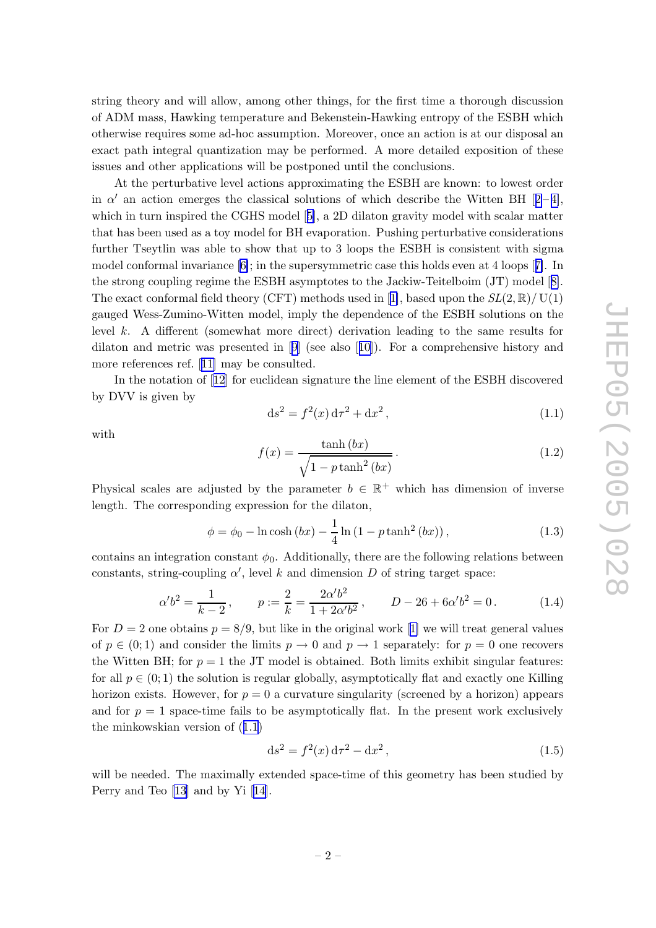<span id="page-2-0"></span>string theory and will allow, among other things, for the first time a thorough discussion of ADM mass, Hawking temperature and Bekenstein-Hawking entrop y of the ESBH whic h otherwise requires some ad-ho c assumption. Moreo ver, once an action is at our disposal an exact path integral quantization may b e performed. A more detailed exposition of these issues and other applications will b e postponed until the conclusions.

A t the perturbativ e level actions approximating the ESBH are known: to lo west order in  $\alpha'$  an action emerges the classical solutions of which describe the Witten BH [[2](#page-32-0)-[4\]](#page-32-0), which in turn inspired the CGHS model [[5\]](#page-32-0), a 2D dilaton gravity model with scalar matter that has been used as a to y model for BH evaporation. Pushing perturbativ e considerations further Tseytlin was able to show that up to 3 loops the ESBH is consistent with sigma model conformal in variance [\[6\]](#page-32-0); in the supersymmetric case this holds even at 4 loops [[7\]](#page-32-0). In the strong coupling regime the ESBH asymptotes to the Jackiw-Teitelboim (JT) model [[8\]](#page-33-0). The exact conformal field theory (CFT) methods used in [[1\]](#page-32-0), based upon the  $SL(2,\mathbb{R})/$  U(1) gauged Wess-Zumino-Witten model, imply the dependence of the ESBH solutions on the level k . A differen t (somewhat more direct) derivation leading to the same results for dilaton and metric was presented in [[9](#page-33-0)] (see also [[10\]](#page-33-0)). For a comprehensive history and more references ref. [[11](#page-33-0) ] may b e consulted.

In the notation of [[12](#page-33-0)] for euclidean signature the line element of the ESBH discovered b y DVV is given b y

$$
ds^{2} = f^{2}(x) d\tau^{2} + dx^{2}, \qquad (1.1)
$$

with

$$
f(x) = \frac{\tanh(bx)}{\sqrt{1 - p \tanh^2(bx)}}.
$$
\n(1.2)

Physical scales are adjusted by the parameter  $b \in \mathbb{R}^+$  which has dimension of inverse length. The corresponding expression for the dilaton,

$$
\phi = \phi_0 - \ln \cosh (bx) - \frac{1}{4} \ln (1 - p \tanh^2 (bx)),
$$
\n(1.3)

contains an integration constant  $\phi_0$ . Additionally, there are the following relations between constants, string-coupling  $\alpha'$ , level k and dimension D of string target space:

$$
\alpha'b^2 = \frac{1}{k-2}, \qquad p := \frac{2}{k} = \frac{2\alpha'b^2}{1+2\alpha'b^2}, \qquad D - 26 + 6\alpha'b^2 = 0. \tag{1.4}
$$

For  $D=2$  one obtains  $p=8/9$ , but like in the original work [[1](#page-32-0)] we will treat general values of  $p \in (0, 1)$  and consider the limits  $p \to 0$  and  $p \to 1$  separately: for  $p = 0$  one recovers the Witten BH; for  $p = 1$  the JT model is obtained. Both limits exhibit singular features: for all  $p \in (0, 1)$  the solution is regular globally, asymptotically flat and exactly one Killing horizon exists. However, for  $p = 0$  a curvature singularity (screened by a horizon) appears and for  $p = 1$  space-time fails to be asymptotically flat. In the present work exclusively the mink owskian version of (1.1 )

$$
ds^{2} = f^{2}(x) d\tau^{2} - dx^{2}, \qquad (1.5)
$$

will be needed. The maximally extended space-time of this geometry has been studied by Perry and Teo [\[13](#page-33-0)] and by Yi [[14\]](#page-33-0).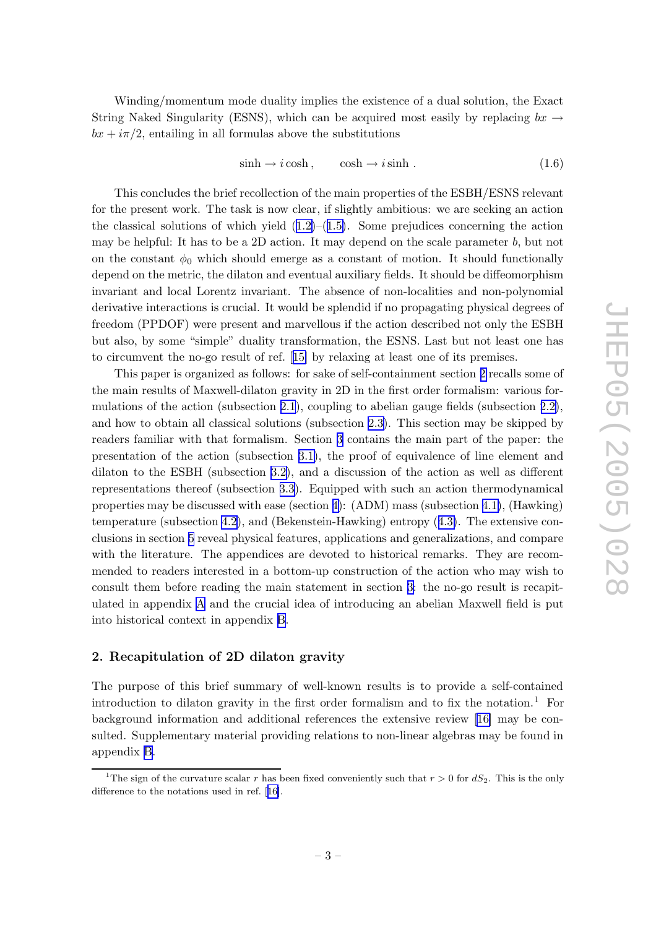<span id="page-3-0"></span>Winding/momentum mode dualit y implies the existence of a dual solution, the Exact String Naked Singularity (ESNS), which can be acquired most easily by replacing  $bx \rightarrow$  $bx + i\pi/2$ , entailing in all formulas above the substitutions

$$
\sinh \to i \cosh , \qquad \cosh \to i \sinh . \tag{1.6}
$$

This concludes the brief recollection of the main properties of the ESBH/ESNS relevan t for the presen t work. The task is no w clear, if slightly ambitious: w e are seeking an action the classical solutions of which yield  $(1.2)$  $(1.2)$  $(1.2)$ – $(1.5)$  $(1.5)$  $(1.5)$ . Some prejudices concerning the action may b e helpful: It has to b e a 2D action. It may depend on the scale parameter b , but not on the constant  $\phi_0$  which should emerge as a constant of motion. It should functionally depend on the metric, the dilaton and eventual auxiliary fields. It should b e diffeomorphism in varian t and local Lorentz in variant. The absence of non-localities and non-polynomial derivativ e interactions is crucial. It would b e splendid if no propagating physical degrees of freedom (PPDOF) were presen t and marvellous if the action described not only the ESBH but also, b y some "simple" dualit y transformation, the ESNS. Last but not least one has to circum ven t the no-go result of ref. [[15](#page-33-0) ] b y relaxing at least one of its premises.

This paper is organized as follows: for sak e of self-containmen t section 2 recalls some of the main results of Maxwell-dilaton gravit y in 2D in the first order formalism: various formulations of the action (subsection [2.1](#page-4-0)), coupling to abelian gauge fields (subsection [2.2\)](#page-5-0), and how to obtain all classical solutions (subsection [2.3\)](#page-6-0). This section may be skipped by readers familiar with that formalism. Section [3](#page-8-0) contains the main part of the paper: the presentation of the action (subsection [3.1\)](#page-8-0), the proof of equivalence of line elemen t and dilaton to the ESBH (subsection [3.2\)](#page-10-0), and a discussion of the action as well as different representations thereof (subsection [3.3](#page-14-0)). Equipped with suc h an action thermodynamical properties may b e discussed with ease (section [4\)](#page-17-0): (ADM) mass (subsection [4.1\)](#page-17-0), (Hawking) temperature (subsection [4.2\)](#page-18-0), and (Bekenstein-Hawking) entropy ([4.3\)](#page-20-0). The extensive conclusions in section [5](#page-21-0) reveal physical features, applications and generalizations, and compare with the literature. The appendices are devoted to historical remarks. They are recommended to readers interested in a bottom-up construction of the action who may wish to consult them before reading the main statemen t in section [3](#page-8-0) : the no-go result is recapitulated in appendix [A](#page-29-0) and the crucial idea of introducing an abelian Maxwell field is put into historical context in appendix [B](#page-30-0) .

# 2. Recapitulation of 2D dilaton gravit y

The purpose of this brief summary of well-known results is to provide a self-contained introduction to dilaton gravity in the first order formalism and to fix the notation.<sup>1</sup> For background information and additional references the extensive review [[16](#page-33-0)] may be consulted. Supplementary material providing relations to non-linear algebras may be found in appendix [B](#page-30-0) .

<sup>&</sup>lt;sup>1</sup>The sign of the curvature scalar r has been fixed conveniently such that  $r > 0$  for  $dS_2$ . This is the only difference to the notations used in ref. [[16\]](#page-33-0).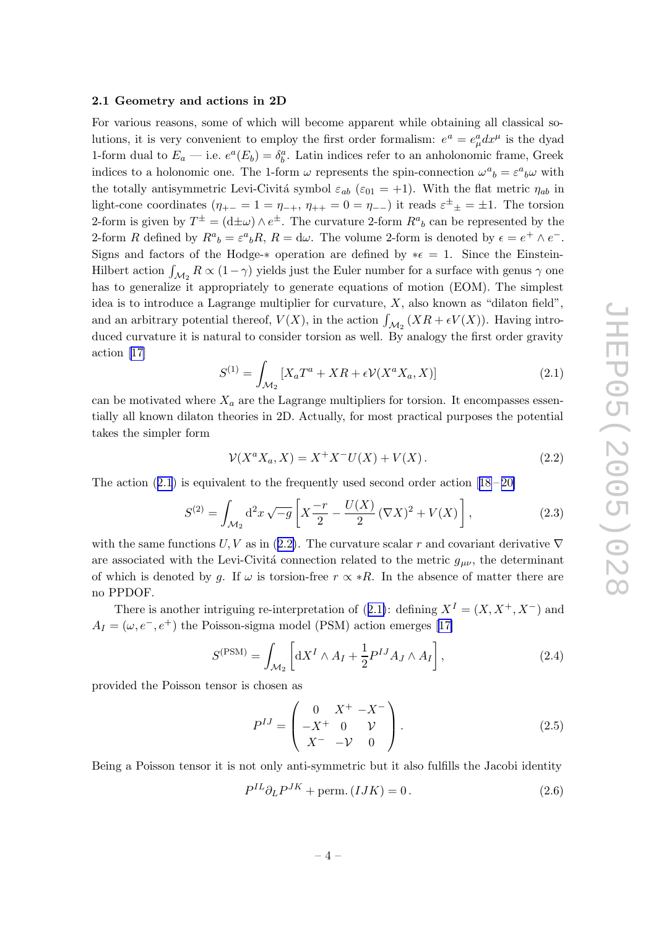#### <span id="page-4-0"></span>2.1 Geometry and actions in 2D

For various reasons, some of which will become apparen t while obtaining all classical solutions, it is very convenient to employ the first order formalism:  $e^a = e^a_\mu dx^\mu$  is the dyad 1-form dual to  $E_a$  — i.e.  $e^a(E_b) = \delta_b^a$ . Latin indices refer to an anholonomic frame, Greek indices to a holonomic one. The 1-form  $\omega$  represents the spin-connection  $\omega^a{}_b = \varepsilon^a{}_b \omega$  with the totally antisymmetric Levi-Civitá symbol  $\varepsilon_{ab}$  ( $\varepsilon_{01} = +1$ ). With the flat metric  $\eta_{ab}$  in light-cone coordinates  $(\eta_{+-} = 1 = \eta_{-+}, \eta_{++} = 0 = \eta_{--})$  it reads  $\varepsilon^{\pm}{}_{\pm} = \pm 1$ . The torsion 2-form is given by  $T^{\pm} = (\text{d}\pm\omega) \wedge e^{\pm}$ . The curvature 2-form  $R^{a}{}_{b}$  can be represented by the 2-form R defined by  $R^a{}_b = \varepsilon^a{}_b R$ ,  $R = d\omega$ . The volume 2-form is denoted by  $\epsilon = e^+ \wedge e^-$ . Signs and factors of the Hodge- $*$  operation are defined by  $*\epsilon = 1$ . Since the Einstein-Hilbert action  $\int_{\mathcal{M}_2} R \propto (1-\gamma)$  yields just the Euler number for a surface with genus  $\gamma$  one has to generalize it appropriately to generate equations of motion (EOM). The simplest idea is to introduce a Lagrange multiplier for curvature, X , also known as "dilaton field", and an arbitrary potential thereof,  $V(X)$ , in the action  $\int$  $M_2$   $(XR + \epsilon V(X))$ . Having introduced curvature it is natural to consider torsion as well. By analogy the first order gravity action [[17](#page-33-0) ]

$$
S^{(1)} = \int_{\mathcal{M}_2} \left[ X_a T^a + X R + \epsilon \mathcal{V}(X^a X_a, X) \right] \tag{2.1}
$$

can be motivated where  $X_a$  are the Lagrange multipliers for torsion. It encompasses essentially all known dilaton theories in 2D. Actually, for most practical purposes the potential takes the simpler form

$$
\mathcal{V}(X^a X_a, X) = X^+ X^- U(X) + V(X).
$$
 (2.2)

The action  $(2.1)$  is equivalent to the frequently used second order action  $[18-20]$  $[18-20]$  $[18-20]$  $[18-20]$  $[18-20]$ 

$$
S^{(2)} = \int_{\mathcal{M}_2} d^2 x \sqrt{-g} \left[ X \frac{-r}{2} - \frac{U(X)}{2} (\nabla X)^2 + V(X) \right],
$$
 (2.3)

with the same functions  $U, V$  as in (2.2). The curvature scalar r and covariant derivative  $\nabla$ are associated with the Levi-Civitá connection related to the metric  $g_{\mu\nu}$ , the determinant of which is denoted by g. If  $\omega$  is torsion-free  $r \propto *R$ . In the absence of matter there are no PPDOF.

There is another intriguing re-interpretation of  $(2.1)$ : defining  $X^I = (X, X^+, X^-)$  and  $A_I = (\omega, e^-, e^+)$  the Poisson-sigma model (PSM) action emerges [[17](#page-33-0)]

$$
S^{(\text{PSM})} = \int_{\mathcal{M}_2} \left[ dX^I \wedge A_I + \frac{1}{2} P^{IJ} A_J \wedge A_I \right], \tag{2.4}
$$

provided the Poisson tensor is chosen as

$$
P^{IJ} = \begin{pmatrix} 0 & X^+ & -X^- \\ -X^+ & 0 & \mathcal{V} \\ X^- & -\mathcal{V} & 0 \end{pmatrix}.
$$
 (2.5)

Being a Poisson tensor it is not only anti-symmetric but it also fulfills the Jacobi identity

$$
P^{IL}\partial_L P^{JK} + \text{perm.} (IJK) = 0. \tag{2.6}
$$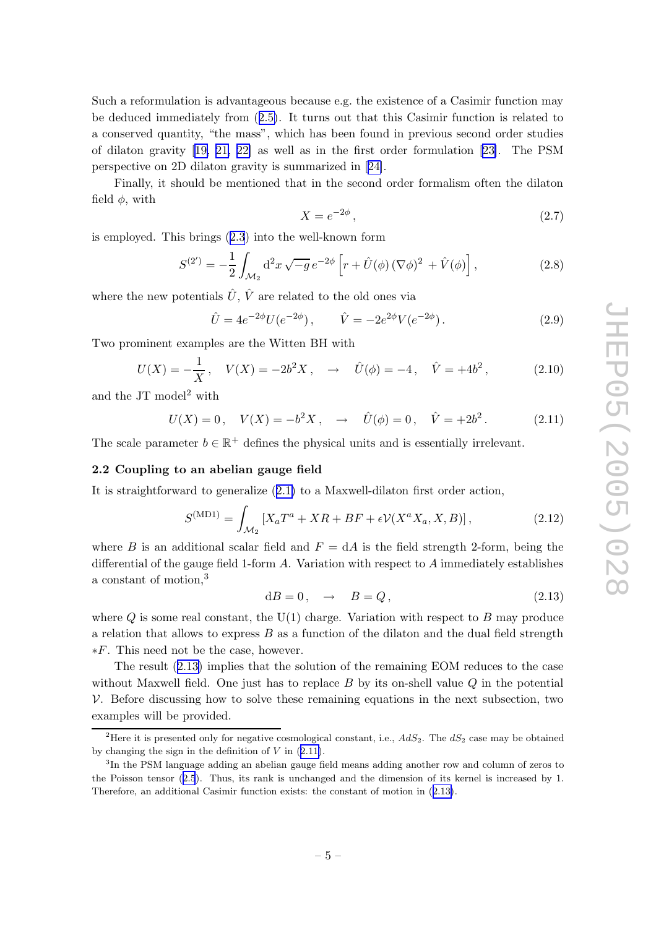<span id="page-5-0"></span>Suc h a reformulation is advantageous because e.g. the existence of a Casimir function may b e deduced immediately from ([2.5](#page-4-0) ) . It turns out that this Casimir function is related to a conserved quantit y , "the mass", whic h has been found in previous second order studies of dilaton gravit y [[19](#page-33-0) , [21](#page-33-0) , [22](#page-33-0) ] as well as in the first order formulation [[23\]](#page-33-0). The PSM perspectiv e on 2D dilaton gravit y is summarized in [[24\]](#page-33-0).

Finally , it should b e mentioned that in the second order formalism often the dilaton field  $\phi$ , with

$$
X = e^{-2\phi},\tag{2.7}
$$

is emplo yed. This brings ([2.3](#page-4-0) ) into the well-known form

$$
S^{(2')} = -\frac{1}{2} \int_{\mathcal{M}_2} d^2 x \sqrt{-g} \, e^{-2\phi} \left[ r + \hat{U}(\phi) \, (\nabla \phi)^2 + \hat{V}(\phi) \right],\tag{2.8}
$$

where the new potentials  $\hat{U}, \hat{V}$  are related to the old ones via

$$
\hat{U} = 4e^{-2\phi}U(e^{-2\phi}), \qquad \hat{V} = -2e^{2\phi}V(e^{-2\phi}). \tag{2.9}
$$

Tw o prominen t examples are the Witten BH with

$$
U(X) = -\frac{1}{X}, \quad V(X) = -2b^2X, \quad \to \quad \hat{U}(\phi) = -4, \quad \hat{V} = +4b^2, \tag{2.10}
$$

and the JT model<sup>2</sup> with

$$
U(X) = 0, \quad V(X) = -b^2 X, \quad \to \quad \hat{U}(\phi) = 0, \quad \hat{V} = +2b^2. \tag{2.11}
$$

The scale parameter  $b \in \mathbb{R}^+$  defines the physical units and is essentially irrelevant.

### 2.2 Coupling to an abelian gauge field

It is straightforward to generalize ([2.1](#page-4-0) ) to a Maxwell-dilaton first order action,

$$
S^{(\text{MD1})} = \int_{\mathcal{M}_2} \left[ X_a T^a + X R + B F + \epsilon \mathcal{V}(X^a X_a, X, B) \right],
$$
 (2.12)

where B is an additional scalar field and  $F = dA$  is the field strength 2-form, being the differential of the gauge field 1-form A . Variation with respect to A immediately establishes a constant of motion,<sup>3</sup>

$$
dB = 0, \quad \to \quad B = Q, \tag{2.13}
$$

where Q is some real constant, the  $U(1)$  charge. Variation with respect to B may produce a relation that allows to express  $B$  as a function of the dilaton and the dual field strength ∗ F . This need not b e the case, ho wever.

The result (2.13 ) implies that the solution of the remaining EOM reduces to the case without Maxwell field. One just has to replace  $B$  by its on-shell value  $Q$  in the potential V. Before discussing how to solve these remaining equations in the next subsection, two examples will b e provided.

<sup>&</sup>lt;sup>2</sup>Here it is presented only for negative cosmological constant, i.e.,  $AdS_2$ . The  $dS_2$  case may be obtained by changing the sign in the definition of  $V$  in  $(2.11)$ .

<sup>&</sup>lt;sup>3</sup>In the PSM language adding an abelian gauge field means adding another row and column of zeros to the Poisson tensor ([2.5](#page-4-0)). Thus, its rank is unchanged and the dimension of its kernel is increased by 1. Therefore, an additional Casimir function exists: the constant of motion in  $(2.13)$ .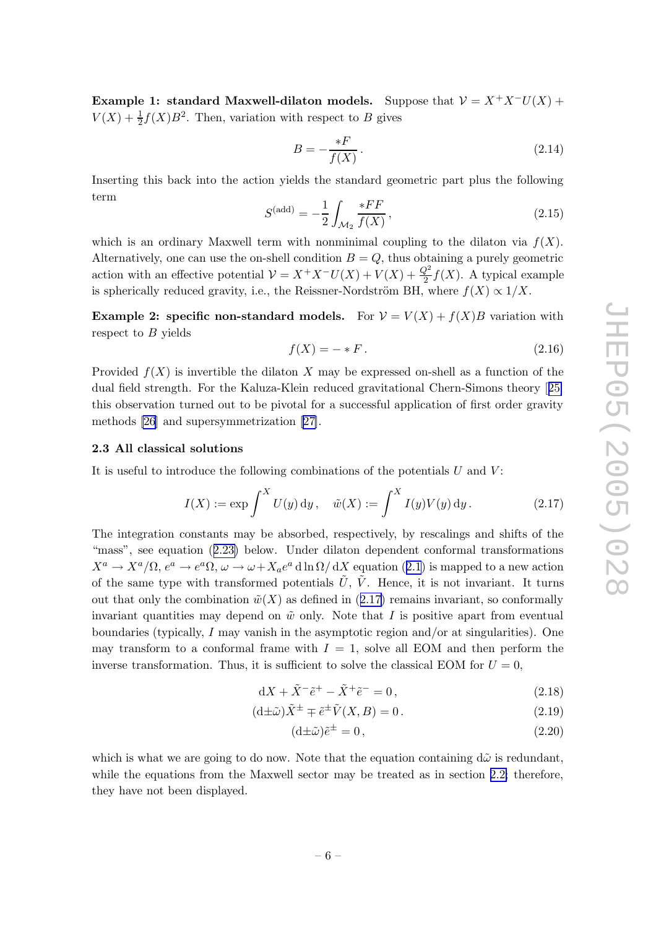<span id="page-6-0"></span>Example 1: standard Maxwell-dilaton models. Suppose that  $\mathcal{V} = X^+X^-U(X) +$  $V(X) + \frac{1}{2}f(X)B^2$ . Then, variation with respect to B gives

$$
B = -\frac{*F}{f(X)}\,. \tag{2.14}
$$

Inserting this bac k into the action yields the standard geometric part plus the following term

$$
S^{(\text{add})} = -\frac{1}{2} \int_{\mathcal{M}_2} \frac{*FF}{f(X)}, \tag{2.15}
$$

which is an ordinary Maxwell term with nonminimal coupling to the dilaton via  $f(X)$ . Alternatively, one can use the on-shell condition  $B = Q$ , thus obtaining a purely geometric action with an effective potential  $\mathcal{V} = X^+X^-U(X) + V(X) + \frac{Q^2}{2}$  $\frac{\gamma^2}{2}f(X)$ . A typical example is spherically reduced gravity, i.e., the Reissner-Nordström BH, where  $f(X) \propto 1/X$ .

**Example 2: specific non-standard models.** For  $V = V(X) + f(X)B$  variation with respect to B yields

$$
f(X) = - * F. \tag{2.16}
$$

Provided  $f(X)$  is invertible the dilaton X may be expressed on-shell as a function of the dual field strength. For the Kaluza-Klein reduced gravitational Chern-Simons theory [[25](#page-33-0) ] this observation turned out to be pivotal for a successful application of first order gravity methods [\[26](#page-33-0) ] and supersymmetrization [\[27\]](#page-33-0).

#### 2.3 All classical solutions

It is useful to introduce the following combinations of the potentials  $U$  and  $V$ :

$$
I(X) := \exp \int^X U(y) \, dy, \quad \tilde{w}(X) := \int^X I(y) V(y) \, dy.
$$
 (2.17)

The integration constants may b e absorbed, respectively , b y rescalings and shifts of the "mass", see equation ([2.23](#page-7-0) ) below. Under dilaton dependen t conformal transformations  $X^a \to X^a/\Omega$ ,  $e^a \to e^a \Omega$ ,  $\omega \to \omega + X_a e^a$  d ln  $\Omega/\mathrm{d}X$  equation ([2.1](#page-4-0)) is mapped to a new action of the same type with transformed potentials  $\tilde{U}$ ,  $\tilde{V}$ . Hence, it is not invariant. It turns out that only the combination  $\tilde{w}(X)$  as defined in  $(2.17)$  remains invariant, so conformally invariant quantities may depend on  $\tilde{w}$  only. Note that I is positive apart from eventual boundaries (typically , I may vanish in the asymptotic region and/or at singularities). One may transform to a conformal frame with  $I = 1$ , solve all EOM and then perform the inverse transformation. Thus, it is sufficient to solve the classical EOM for  $U = 0$ ,

$$
dX + \tilde{X}^{-} \tilde{e}^{+} - \tilde{X}^{+} \tilde{e}^{-} = 0, \qquad (2.18)
$$

$$
(\mathrm{d}\pm\tilde{\omega})\tilde{X}^{\pm} \mp \tilde{e}^{\pm}\tilde{V}(X,B) = 0.
$$
\n(2.19)

$$
(\mathrm{d}\pm\tilde{\omega})\tilde{e}^{\pm} = 0, \qquad (2.20)
$$

which is what we are going to do now. Note that the equation containing  $d\tilde{\omega}$  is redundant, while the equations from the Maxwell sector may be treated as in section [2.2](#page-5-0); therefore, they hav e not been displayed.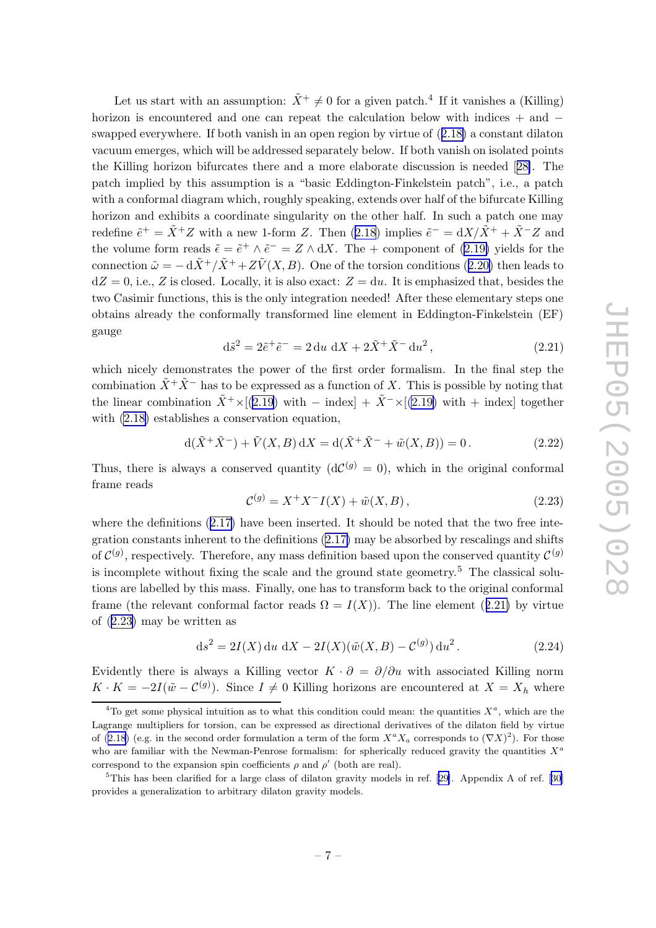<span id="page-7-0"></span>Let us start with an assumption:  $\tilde{X}^+ \neq 0$  for a given patch.<sup>4</sup> If it vanishes a (Killing) horizon is encountered and one can repeat the calculation below with indices + and  $$ swapped everywhere. If both vanish in an open region by virtue of  $(2.18)$  $(2.18)$  $(2.18)$  a constant dilaton vacuum emerges, whic h will b e addressed separately below. If both vanish on isolated points the Killing horizon bifurcates there and a more elaborate discussion is needed [[28\]](#page-34-0). The patc h implied b y this assumption is a "basic Eddington-Finkelstein patch", i.e., a patc h with a conformal diagram which, roughly speaking, extends over half of the bifurcate Killing horizon and exhibits a coordinate singularity on the other half. In such a patch one may redefine  $\tilde{e}^+ = \tilde{X}^+ Z$  with a new 1-form Z. Then  $(2.18)$  $(2.18)$  $(2.18)$  implies  $\tilde{e}^- = dX/\tilde{X}^+ + \tilde{X}^- Z$  and the volume form reads  $\tilde{\epsilon} = \tilde{e}^+ \wedge \tilde{e}^- = Z \wedge dX$ . The + component of [\(2.19](#page-6-0)) yields for the connection  $\tilde{\omega} = -\frac{d\tilde{X}^+}{\tilde{X}^+ + Z\tilde{V}(X, B)}$ . One of the torsion conditions ([2.20](#page-6-0)) then leads to  $dZ = 0$ , i.e., Z is closed. Locally, it is also exact:  $Z = du$ . It is emphasized that, besides the t w o Casimir functions, this is the only integration needed! After these elementary steps one obtains already the conformally transformed line elemen t in Eddington-Finkelstein (EF) gauge

$$
d\tilde{s}^{2} = 2\tilde{e}^{+}\tilde{e}^{-} = 2 du \ dX + 2\tilde{X}^{+}\tilde{X}^{-} du^{2}, \qquad (2.21)
$$

which nicely demonstrates the power of the first order formalism. In the final step the combination  $\tilde{X}^+ \tilde{X}^-$  has to be expressed as a function of X. This is possible by noting that the linear combination  $\tilde{X}^+ \times [(2.19) \text{ with } - \text{ index}] + \tilde{X}^- \times [(2.19) \text{ with } + \text{ index}]$  $\tilde{X}^+ \times [(2.19) \text{ with } - \text{ index}] + \tilde{X}^- \times [(2.19) \text{ with } + \text{ index}]$  $\tilde{X}^+ \times [(2.19) \text{ with } - \text{ index}] + \tilde{X}^- \times [(2.19) \text{ with } + \text{ index}]$  together with [\(2.18](#page-6-0) ) establishes a conservation equation,

$$
d(\tilde{X}^+ \tilde{X}^-) + \tilde{V}(X, B) dX = d(\tilde{X}^+ \tilde{X}^- + \tilde{w}(X, B)) = 0.
$$
 (2.22)

Thus, there is always a conserved quantity  $(dC^{(g)} = 0)$ , which in the original conformal frame reads

$$
\mathcal{C}^{(g)} = X^+ X^- I(X) + \tilde{w}(X, B), \qquad (2.23)
$$

where the definitions  $(2.17)$  $(2.17)$  $(2.17)$  have been inserted. It should be noted that the two free integration constants inherent to the definitions [\(2.17\)](#page-6-0) may be absorbed by rescalings and shifts of  $\mathcal{C}^{(g)}$ , respectively. Therefore, any mass definition based upon the conserved quantity  $\mathcal{C}^{(g)}$ is incomplete without fixing the scale and the ground state geometry . <sup>5</sup> The classical solutions are labelled by this mass. Finally, one has to transform back to the original conformal frame (the relevant conformal factor reads  $\Omega = I(X)$ ). The line element (2.21) by virtue of (2.23 ) may b e written as

$$
ds^{2} = 2I(X) du dX - 2I(X)(\tilde{w}(X, B) - C^{(g)}) du^{2}.
$$
 (2.24)

Evidently there is always a Killing vector  $K \cdot \partial = \partial/\partial u$  with associated Killing norm  $K \cdot K = -2I(\tilde{w} - C^{(g)})$ . Since  $I \neq 0$  Killing horizons are encountered at  $X = X_h$  where

<sup>&</sup>lt;sup>4</sup>To get some physical intuition as to what this condition could mean: the quantities  $X^a$ , which are the Lagrange multipliers for torsion, can be expressed as directional derivatives of the dilaton field by virtue of ([2.18](#page-6-0)) (e.g. in the second order formulation a term of the form  $X^a X_a$  corresponds to  $(\nabla X)^2$ ). For those who are familiar with the Newman-Penrose formalism: for spherically reduced gravity the quantities  $X^a$ correspond to the expansion spin coefficients  $\rho$  and  $\rho'$  (both are real).

 ${}^{5}$ This has been clarified for a large class of dilaton gravity models in ref. [[29\]](#page-34-0). Appendix A of ref. [[30](#page-34-0)] provides a generalization to arbitrary dilaton gravity models.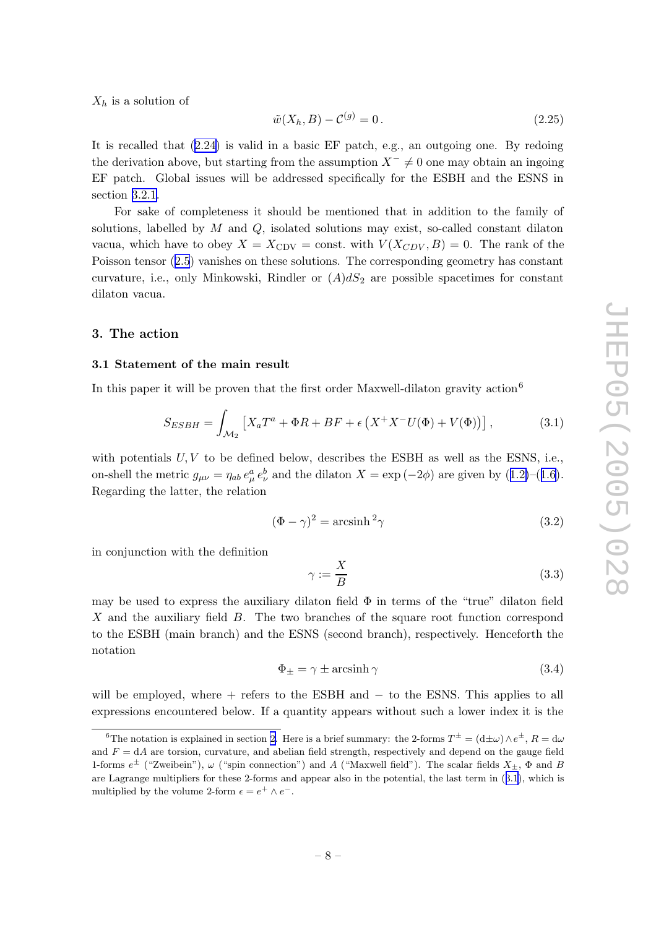<span id="page-8-0"></span> $X_h$  is a solution of

$$
\tilde{w}(X_h, B) - C^{(g)} = 0.
$$
\n(2.25)

It is recalled that  $(2.24)$  $(2.24)$  $(2.24)$  is valid in a basic EF patch, e.g., an outgoing one. By redoing the derivation above, but starting from the assumption  $X^- \neq 0$  one may obtain an ingoing EF patch. Global issues will b e addressed specifically for the ESBH and the ESNS in section [3.2.1](#page-11-0) .

For sak e of completeness it should b e mentioned that in addition to the family of solutions, labelled by  $M$  and  $Q$ , isolated solutions may exist, so-called constant dilaton vacua, which have to obey  $X = X_{\text{CDV}} = \text{const.}$  with  $V(X_{CDV}, B) = 0$ . The rank of the Poisson tensor  $(2.5)$  $(2.5)$  $(2.5)$  vanishes on these solutions. The corresponding geometry has constant curvature, i.e., only Minkowski, Rindler or  $(A)dS_2$  are possible spacetimes for constant dilaton vacua.

#### 3. The action

#### 3.1 Statemen t of the main result

In this paper it will be proven that the first order Maxwell-dilaton gravity action<sup>6</sup>

$$
S_{ESBH} = \int_{\mathcal{M}_2} \left[ X_a T^a + \Phi R + BF + \epsilon \left( X^+ X^- U(\Phi) + V(\Phi) \right) \right],\tag{3.1}
$$

with potentials  $U, V$  to be defined below, describes the ESBH as well as the ESNS, i.e., on-shell the metric  $g_{\mu\nu} = \eta_{ab} e^a_\mu e^b_\nu$  and the dilaton  $X = \exp(-2\phi)$  are given by  $(1.2)$  $(1.2)$  $(1.2)$ – $(1.6)$  $(1.6)$  $(1.6)$ . Regarding the latter, the relation

$$
(\Phi - \gamma)^2 = \operatorname{arcsinh}^2 \gamma \tag{3.2}
$$

in conjunction with the definition

$$
\gamma := \frac{X}{B} \tag{3.3}
$$

may b e used to express the auxiliary dilaton field Φ in terms of the "true" dilaton field X and the auxiliary field B. The two branches of the square root function correspond to the ESBH (main branch) and the ESNS (second branch), respectively . Henceforth the notation

$$
\Phi_{\pm} = \gamma \pm \operatorname{arcsinh} \gamma \tag{3.4}
$$

will be employed, where + refers to the ESBH and − to the ESNS. This applies to all expressions encountered below. If a quantit y appears without suc h a lo wer index it is the

<sup>&</sup>lt;sup>6</sup>The notation is explained in section [2](#page-3-0). Here is a brief summary: the 2-forms  $T^{\pm} = (\text{d}\pm\omega) \wedge e^{\pm}$ ,  $R = \text{d}\omega$ and  $F = dA$  are torsion, curvature, and abelian field strength, respectively and depend on the gauge field 1-forms  $e^{\pm}$  ("Zweibein"),  $\omega$  ("spin connection") and A ("Maxwell field"). The scalar fields  $X_{\pm}$ ,  $\Phi$  and B are Lagrange multipliers for these 2-forms and appear also in the potential, the last term in (3.1), whic h is multiplied by the volume 2-form  $\epsilon = e^+ \wedge e^-$ .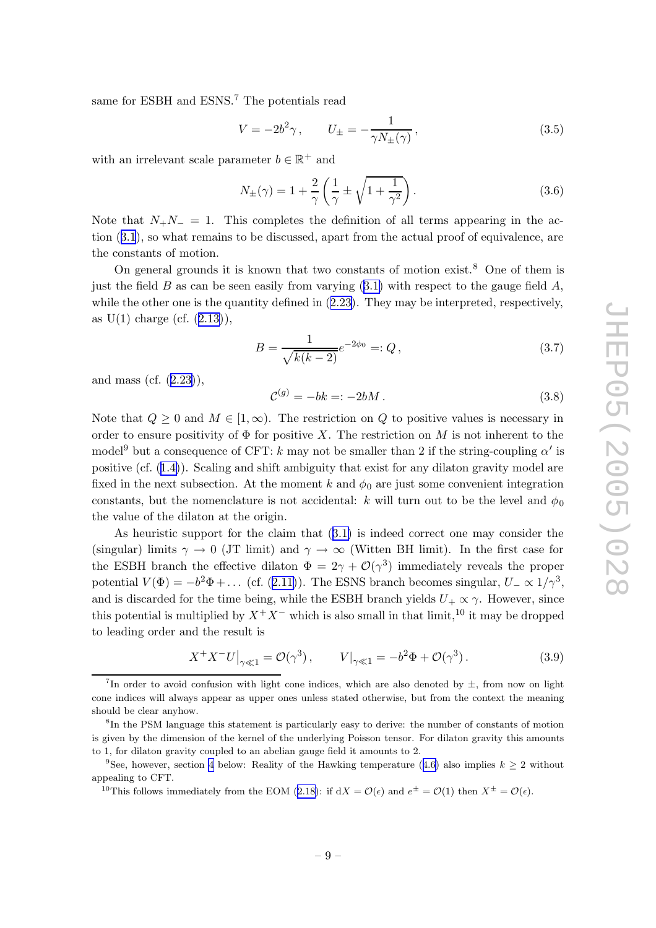<span id="page-9-0"></span>same for ESBH and ESNS.<sup>7</sup> The potentials read

$$
V = -2b^2 \gamma, \qquad U_{\pm} = -\frac{1}{\gamma N_{\pm}(\gamma)}, \tag{3.5}
$$

with an irrelevant scale parameter  $b \in \mathbb{R}^+$  and

$$
N_{\pm}(\gamma) = 1 + \frac{2}{\gamma} \left( \frac{1}{\gamma} \pm \sqrt{1 + \frac{1}{\gamma^2}} \right). \tag{3.6}
$$

Note that  $N_+N_- = 1$ . This completes the definition of all terms appearing in the action ([3.1](#page-8-0)), so what remains to be discussed, apart from the actual proof of equivalence, are the constants of motion.

On general grounds it is known that two constants of motion exist.<sup>8</sup> One of them is just the field  $B$  as can be seen easily from varying  $(3.1)$  $(3.1)$  $(3.1)$  with respect to the gauge field  $A$ , while the other one is the quantity defined in  $(2.23)$  $(2.23)$  $(2.23)$ . They may be interpreted, respectively, as  $U(1)$  charge (cf.  $(2.13)$  $(2.13)$  $(2.13)$ ),

$$
B = \frac{1}{\sqrt{k(k-2)}} e^{-2\phi_0} =: Q, \qquad (3.7)
$$

and mass (cf. ([2.23](#page-7-0) )),

$$
\mathcal{C}^{(g)} = -bk = -2bM. \tag{3.8}
$$

Note that  $Q \geq 0$  and  $M \in [1, \infty)$ . The restriction on Q to positive values is necessary in order to ensure positivity of  $\Phi$  for positive X. The restriction on M is not inherent to the model<sup>9</sup> but a consequence of CFT: k may not be smaller than 2 if the string-coupling  $\alpha'$  is positive (cf.  $(1.4)$  $(1.4)$  $(1.4)$ ). Scaling and shift ambiguity that exist for any dilaton gravity model are fixed in the next subsection. At the moment  $k$  and  $\phi_0$  are just some convenient integration constants, but the nomenclature is not accidental: k will turn out to be the level and  $\phi_0$ the value of the dilaton at the origin.

As heuristic support for the claim that ([3.1](#page-8-0) ) is indeed correct one may consider the (singular) limits  $\gamma \to 0$  (JT limit) and  $\gamma \to \infty$  (Witten BH limit). In the first case for the ESBH branch the effective dilaton  $\Phi = 2\gamma + \mathcal{O}(\gamma^3)$  immediately reveals the proper potential  $V(\Phi) = -b^2\Phi + \dots$  (cf. ([2.11](#page-5-0))). The ESNS branch becomes singular,  $U_{-} \propto 1/\gamma^3$ , and is discarded for the time being, while the ESBH branch yields  $U_+ \propto \gamma$ . However, since this potential is multiplied by  $X^+X^-$  which is also small in that limit,<sup>10</sup> it may be dropped to leading order and the result is

$$
X^{+}X^{-}U\big|_{\gamma\ll 1} = \mathcal{O}(\gamma^{3}), \qquad V\big|_{\gamma\ll 1} = -b^{2}\Phi + \mathcal{O}(\gamma^{3}). \tag{3.9}
$$

<sup>&</sup>lt;sup>7</sup>In order to avoid confusion with light cone indices, which are also denoted by  $\pm$ , from now on light cone indices will alw ays appear as upper ones unless stated otherwise, but from the context the meaning should b e clear anyhow.

<sup>8</sup> In the PSM language this statemen t is particularly easy to derive: the num ber of constants of motion is given b y the dimension of the kernel of the underlying Poisson tensor. For dilaton gravit y this amounts to 1, for dilaton gravit y coupled to an abelian gauge field it amounts to 2.

<sup>&</sup>lt;sup>9</sup>See, however, section [4](#page-17-0) below: Reality of the Hawking temperature ([4.6](#page-18-0)) also implies  $k \geq 2$  without appealing to CFT.

<sup>&</sup>lt;sup>10</sup>This follows immediately from the EOM ([2.18](#page-6-0)): if  $dX = \mathcal{O}(\epsilon)$  and  $e^{\pm} = \mathcal{O}(1)$  then  $X^{\pm} = \mathcal{O}(\epsilon)$ .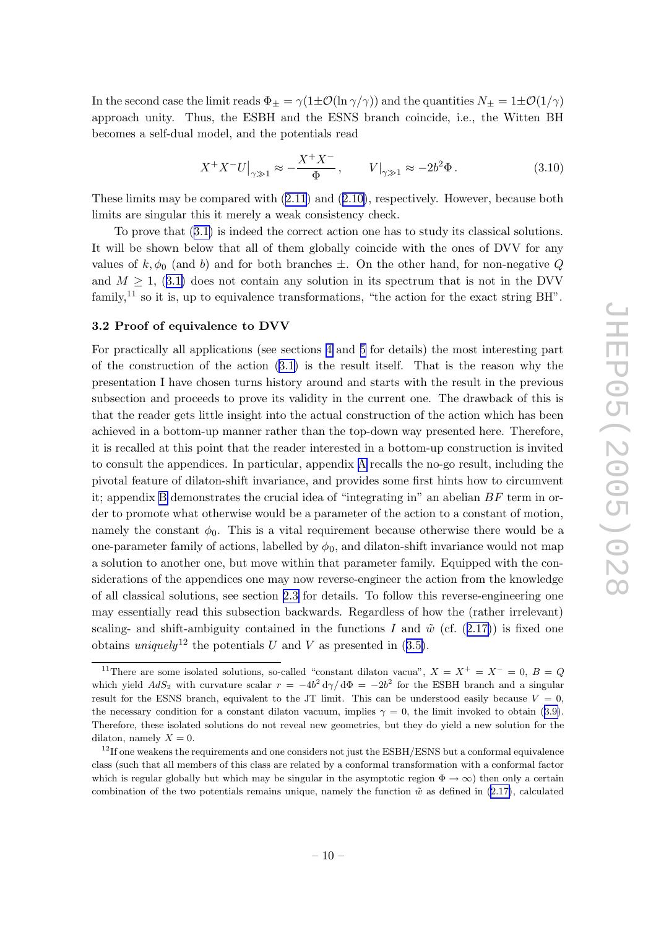<span id="page-10-0"></span>In the second case the limit reads  $\Phi_{\pm} = \gamma(1 \pm \mathcal{O}(\ln \gamma/\gamma))$  and the quantities  $N_{\pm} = 1 \pm \mathcal{O}(1/\gamma)$ approac h unit y . Thus, the ESBH and the ESNS branc h coincide, i.e., the Witten BH becomes a self-dual model, and the potentials read

$$
X^{+}X^{-}U\big|_{\gamma\gg1} \approx -\frac{X^{+}X^{-}}{\Phi}, \qquad V\big|_{\gamma\gg1} \approx -2b^{2}\Phi. \tag{3.10}
$$

These limits may be compared with  $(2.11)$  $(2.11)$  $(2.11)$  and  $(2.10)$  $(2.10)$  $(2.10)$ , respectively. However, because both limits are singular this it merely a weak consistency check.

To pro v e that ([3.1](#page-8-0) ) is indeed the correct action one has to study its classical solutions. It will be shown below that all of them globally coincide with the ones of DVV for any values of  $k, \phi_0$  (and b) and for both branches  $\pm$ . On the other hand, for non-negative Q and  $M \geq 1$ , ([3.1](#page-8-0)) does not contain any solution in its spectrum that is not in the DVV family,<sup>11</sup> so it is, up to equivalence transformations, "the action for the exact string BH".

#### 3.2 Proof of equivalence to DVV

For practically all applications (see sections [4](#page-17-0) and [5](#page-21-0) for details) the most interesting part of the construction of the action [\(3.1](#page-8-0) ) is the result itself. That is the reason wh y the presentation I hav e chosen turns history around and starts with the result in the previous subsection and proceeds to prove its validity in the current one. The drawback of this is that the reader gets little insigh t into the actual construction of the action whic h has been achieved in a bottom-up manner rather than the top-down w ay presented here. Therefore, it is recalled at this point that the reader interested in a bottom-up construction is invited to consult the appendices. In particular, appendix [A](#page-29-0) recalls the no-go result, including the pivotal feature of dilaton-shift in variance, and provides some first hints ho w to circum ven t it; appendix [B](#page-30-0) demonstrates the crucial idea of "integrating in" an abelian  $BF$  term in order to promote what otherwise would be a parameter of the action to a constant of motion, namely the constant  $\phi_0$ . This is a vital requirement because otherwise there would be a one-parameter family of actions, labelled by  $\phi_0$ , and dilaton-shift invariance would not map a solution to another one, but move within that parameter family. Equipped with the considerations of the appendices one may now reverse-engineer the action from the knowledge of all classical solutions, see section [2.3](#page-6-0) for details. To follo w this reverse-engineering one may essentially read this subsection backwards. Regardless of ho w the (rather irrelevant) scaling- and shift-ambiguity contained in the functions I and  $\tilde{w}$  (cf. ([2.17](#page-6-0))) is fixed one obtains uniquely<sup>12</sup> the potentials U and V as presented in  $(3.5)$  $(3.5)$  $(3.5)$ .

<sup>&</sup>lt;sup>11</sup>There are some isolated solutions, so-called "constant dilaton vacua",  $X = X^+ = X^- = 0$ ,  $B = Q$ which yield  $AdS_2$  with curvature scalar  $r = -4b^2 d\gamma/d\Phi = -2b^2$  for the ESBH branch and a singular result for the ESNS branch, equivalent to the JT limit. This can be understood easily because  $V = 0$ , the necessary condition for a constant dilaton vacuum, implies  $\gamma = 0$ , the limit invoked to obtain ([3.9](#page-9-0)). Therefore, these isolated solutions do not reveal new geometries, but they do yield a new solution for the dilaton, namely  $X = 0$ .

 $12$ If one weakens the requirements and one considers not just the ESBH/ESNS but a conformal equivalence class (suc h that all mem bers of this class are related b y a conformal transformation with a conformal factor which is regular globally but which may be singular in the asymptotic region  $\Phi \to \infty$ ) then only a certain combination of the two potentials remains unique, namely the function  $\tilde{w}$  as defined in [\(2.17](#page-6-0)), calculated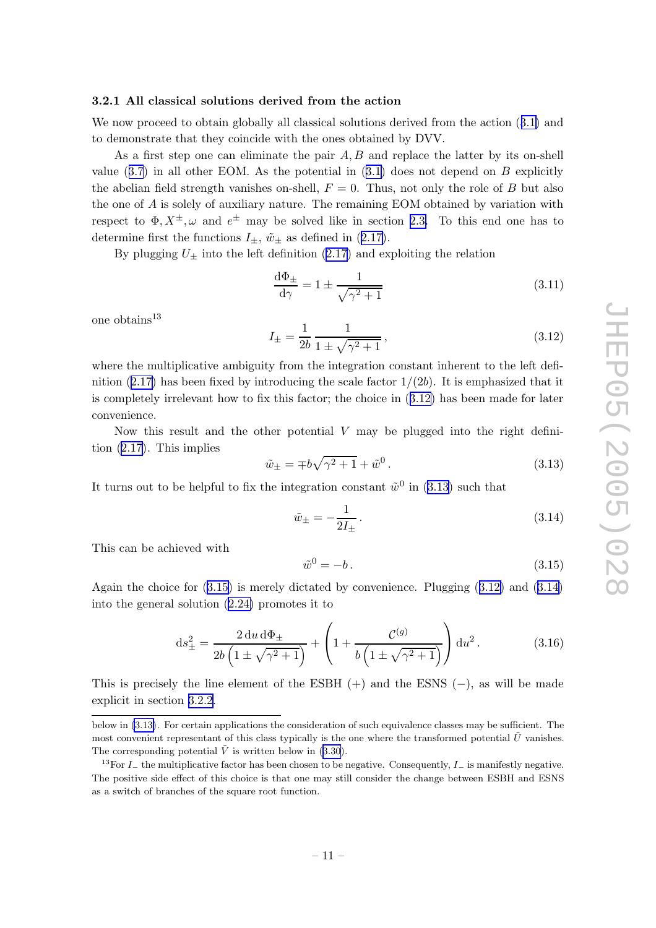#### <span id="page-11-0"></span>3.2.1 All classical solutions derived from the action

We now proceed to obtain globally all classical solutions derived from the action  $(3.1)$  $(3.1)$  $(3.1)$  and to demonstrate that they coincide with the ones obtained b y DVV.

As a first step one can eliminate the pair  $A, B$  and replace the latter by its on-shell value  $(3.7)$  $(3.7)$  $(3.7)$  in all other EOM. As the potential in  $(3.1)$  $(3.1)$  $(3.1)$  does not depend on B explicitly the abelian field strength vanishes on-shell,  $F = 0$ . Thus, not only the role of B but also the one of A is solely of auxiliary nature. The remaining EOM obtained by variation with respect to  $\Phi, X^{\pm}, \omega$  and  $e^{\pm}$  may be solved like in section [2.3](#page-6-0). To this end one has to determine first the functions  $I_{\pm}$ ,  $\tilde{w}_{\pm}$  as defined in ([2.17](#page-6-0)).

By plugging  $U_{\pm}$  into the left definition ([2.17](#page-6-0)) and exploiting the relation

$$
\frac{\mathrm{d}\Phi_{\pm}}{\mathrm{d}\gamma} = 1 \pm \frac{1}{\sqrt{\gamma^2 + 1}}\tag{3.11}
$$

one obtains $^{13}$ 

$$
I_{\pm} = \frac{1}{2b} \frac{1}{1 \pm \sqrt{\gamma^2 + 1}},\tag{3.12}
$$

where the multiplicative ambiguity from the integration constant inherent to the left definition  $(2.17)$  $(2.17)$  has been fixed by introducing the scale factor  $1/(2b)$ . It is emphasized that it is completely irrelevan t ho w to fix this factor; the choice in (3.12 ) has been made for later con venience.

Now this result and the other potential  $V$  may be plugged into the right definition ([2.17](#page-6-0)). This implies

$$
\tilde{w}_{\pm} = \mp b\sqrt{\gamma^2 + 1} + \tilde{w}^0. \tag{3.13}
$$

It turns out to be helpful to fix the integration constant  $\tilde{w}^0$  in (3.13) such that

$$
\tilde{w}_{\pm} = -\frac{1}{2I_{\pm}}.\tag{3.14}
$$

This can b e achieved with

$$
\tilde{w}^0 = -b. \tag{3.15}
$$

Again the choice for  $(3.15)$  is merely dictated by convenience. Plugging  $(3.12)$  and  $(3.14)$ into the general solution [\(2.24](#page-7-0) ) promotes it to

$$
ds_{\pm}^{2} = \frac{2 du d\Phi_{\pm}}{2b \left(1 \pm \sqrt{\gamma^{2} + 1}\right)} + \left(1 + \frac{\mathcal{C}^{(g)}}{b \left(1 \pm \sqrt{\gamma^{2} + 1}\right)}\right) du^{2}.
$$
 (3.16)

This is precisely the line element of the  $ESBH$  (+) and the  $ESNS$  (-), as will be made explicit in section [3.2.2](#page-12-0) .

belo w in (3.13 ) . For certain applications the consideration of suc h equivalence classes may b e sufficient. The most convenient representant of this class typically is the one where the transformed potential  $\tilde{U}$  vanishes. The corresponding potential  $\tilde{V}$  is written below in ([3.30](#page-15-0)).

<sup>&</sup>lt;sup>13</sup>For  $I_{-}$  the multiplicative factor has been chosen to be negative. Consequently,  $I_{-}$  is manifestly negative. The positiv e side effect of this choice is that one may still consider the change bet ween ESBH and ESNS as a switc h of branches of the square root function.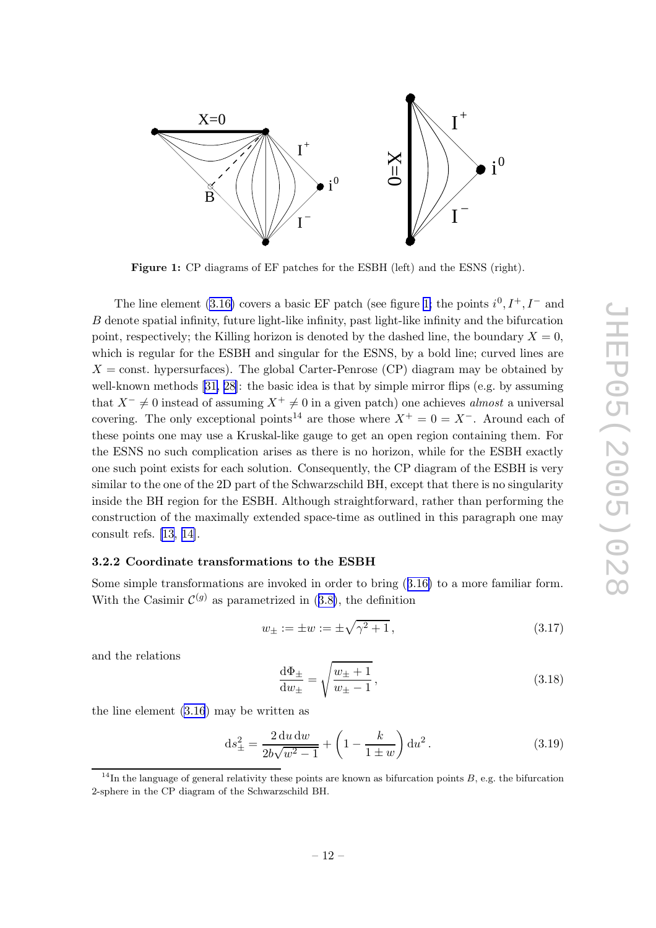<span id="page-12-0"></span>

Figure 1: CP diagrams of EF patches for the ESBH (left) and the ESNS (right).

The line element [\(3.16](#page-11-0)) covers a basic EF patch (see figure 1; the points  $i^0, I^+, I^-$  and B denote spatial infinity, future light-like infinity, past light-like infinity and the bifurcation point, respectively; the Killing horizon is denoted by the dashed line, the boundary  $X = 0$ , which is regular for the ESBH and singular for the ESNS, by a bold line; curved lines are  $X = \text{const.}$  hypersurfaces). The global Carter-Penrose (CP) diagram may be obtained by well-known methods [[31](#page-34-0), [28\]](#page-34-0): the basic idea is that by simple mirror flips (e.g. by assuming that  $X^- \neq 0$  instead of assuming  $X^+ \neq 0$  in a given patch) one achieves *almost* a universal covering. The only exceptional points<sup>14</sup> are those where  $X^+ = 0 = X^-$ . Around each of these points one may use a Kruskal-lik e gauge to get an open region containing them. For the ESNS no suc h complication arises as there is no horizon, while for the ESBH exactly one suc h poin t exists for eac h solution. Consequently , the CP diagram of the ESBH is very similar to the one of the 2D part of the Schwarzschild BH, except that there is no singularity inside the BH region for the ESBH. Although straightforward, rather than performing the construction of the maximally extended space-time as outlined in this paragraph one may consult refs. [\[13](#page-33-0) , [14\]](#page-33-0).

# 3.2.2 Coordinate transformations to the ESBH

Some simple transformations are invoked in order to bring  $(3.16)$  $(3.16)$  $(3.16)$  to a more familiar form. With the Casimir  $\mathcal{C}^{(g)}$  as parametrized in ([3.8](#page-9-0)), the definition

$$
w_{\pm} := \pm w := \pm \sqrt{\gamma^2 + 1},\tag{3.17}
$$

and the relations

$$
\frac{\mathrm{d}\Phi_{\pm}}{\mathrm{d}w_{\pm}} = \sqrt{\frac{w_{\pm}+1}{w_{\pm}-1}},\tag{3.18}
$$

the line elemen t [\(3.16](#page-11-0) ) may b e written as

$$
ds_{\pm}^{2} = \frac{2 du dw}{2b\sqrt{w^{2} - 1}} + \left(1 - \frac{k}{1 \pm w}\right) du^{2}.
$$
 (3.19)

<sup>&</sup>lt;sup>14</sup>In the language of general relativity these points are known as bifurcation points  $B$ , e.g. the bifurcation 2-sphere in the CP diagram of the Sc h warzschild BH.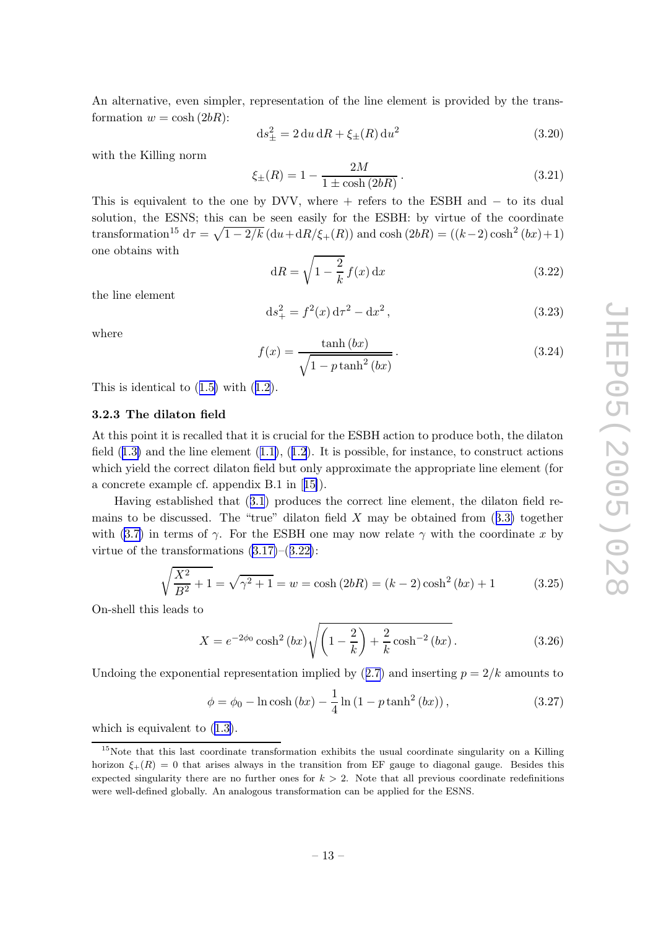<span id="page-13-0"></span>An alternative, even simpler, representation of the line element is provided by the transformation  $w = \cosh(2bR)$ :

$$
ds_{\pm}^{2} = 2 du dR + \xi_{\pm}(R) du^{2}
$$
\n(3.20)

with the Killing norm

$$
\xi_{\pm}(R) = 1 - \frac{2M}{1 \pm \cosh(2bR)}.
$$
\n(3.21)

This is equivalent to the one by DVV, where  $+$  refers to the ESBH and  $-$  to its dual solution, the ESNS; this can be seen easily for the ESBH: by virtue of the coordinate transformation<sup>15</sup>  $d\tau = \sqrt{1 - 2/k} (du + dR/\xi + (R))$  and  $\cosh(2bR) = ((k-2)\cosh^2(bx) + 1)$ one obtains with

$$
dR = \sqrt{1 - \frac{2}{k}} f(x) dx
$$
\n(3.22)

the line elemen t

$$
ds_{+}^{2} = f^{2}(x) d\tau^{2} - dx^{2}, \qquad (3.23)
$$

where

$$
f(x) = \frac{\tanh(bx)}{\sqrt{1 - p \tanh^2(bx)}}.
$$
\n(3.24)

This is identical to  $(1.5)$  $(1.5)$  $(1.5)$  with  $(1.2)$  $(1.2)$  $(1.2)$ .

# 3.2.3 The dilaton field

At this point it is recalled that it is crucial for the ESBH action to produce both, the dilaton field  $(1.3)$  $(1.3)$  $(1.3)$  and the line element  $(1.1)$  $(1.1)$  $(1.1)$ ,  $(1.2)$  $(1.2)$  $(1.2)$ . It is possible, for instance, to construct actions whic h yield the correct dilaton field but only approximate the appropriate line elemen t (for a concrete example cf. appendix B.1 in [[15\]](#page-33-0)).

Having established that ([3.1](#page-8-0) ) produces the correct line element, the dilaton field remains to be discussed. The "true" dilaton field  $X$  may be obtained from  $(3.3)$  $(3.3)$  together with ([3.7](#page-9-0)) in terms of  $\gamma$ . For the ESBH one may now relate  $\gamma$  with the coordinate x by virtue of the transformations  $(3.17)$  $(3.17)$ – $(3.22)$ :

$$
\sqrt{\frac{X^2}{B^2} + 1} = \sqrt{\gamma^2 + 1} = w = \cosh(2bR) = (k - 2)\cosh^2(bx) + 1
$$
\n(3.25)

On-shell this leads to

$$
X = e^{-2\phi_0} \cosh^2(bx) \sqrt{\left(1 - \frac{2}{k}\right) + \frac{2}{k} \cosh^{-2}(bx)}.
$$
 (3.26)

Undoing the exponential representation implied by  $(2.7)$  $(2.7)$  $(2.7)$  and inserting  $p = 2/k$  amounts to

$$
\phi = \phi_0 - \ln \cosh (bx) - \frac{1}{4} \ln (1 - p \tanh^2 (bx)),
$$
\n(3.27)

which is equivalent to  $(1.3)$  $(1.3)$  $(1.3)$ .

<sup>&</sup>lt;sup>15</sup>Note that this last coordinate transformation exhibits the usual coordinate singularity on a Killing horizon  $\xi_{+}(R) = 0$  that arises always in the transition from EF gauge to diagonal gauge. Besides this expected singularity there are no further ones for  $k > 2$ . Note that all previous coordinate redefinitions were well-defined globally . An analogous transformation can b e applied for the ESNS.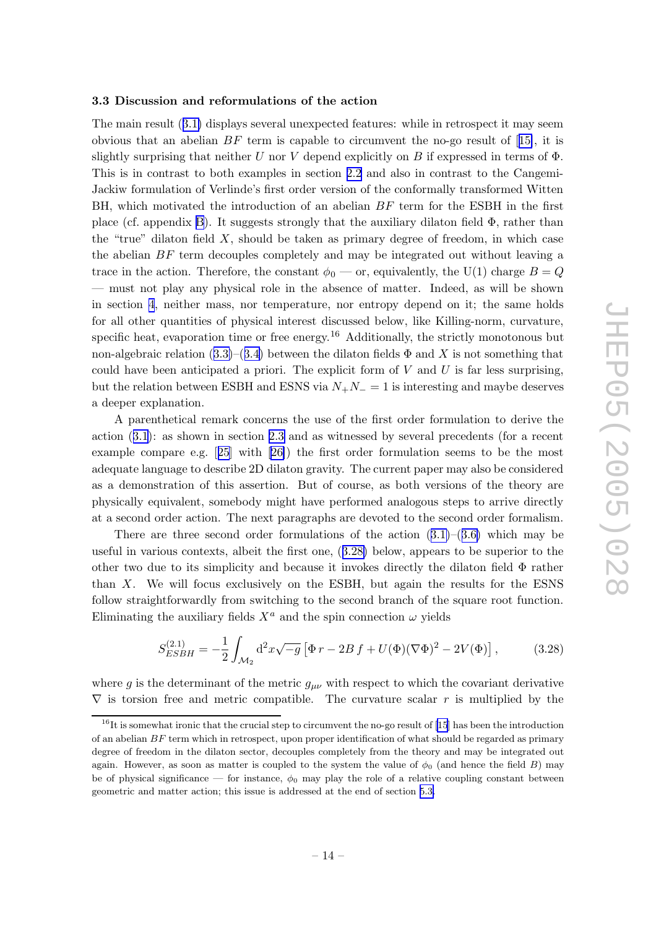#### <span id="page-14-0"></span>3.3 Discussion and reformulations of the action

The main result ([3.1](#page-8-0) ) displays several unexpected features: while in retrospect it may seem obvious that an abelian  $BF$  term is capable to circumvent the no-go result of [[15\]](#page-33-0), it is slightly surprising that neither U nor V depend explicitly on B if expressed in terms of  $\Phi$ . This is in contrast to both examples in section [2.2](#page-5-0) and also in contrast to the Cangemi-Jackiw formulation of Verlinde's first order version of the conformally transformed Witten BH, which motivated the introduction of an abelian  $BF$  term for the ESBH in the first place (cf. appendix [B](#page-30-0)). It suggests strongly that the auxiliary dilaton field Φ, rather than the "true" dilaton field X , should b e taken as primary degree of freedom, in whic h case the abelian BF term decouples completely and may be integrated out without leaving a trace in the action. Therefore, the constant  $\phi_0$  — or, equivalently, the U(1) charge  $B = Q$ — must not play an y physical role in the absence of matter. Indeed, as will b e shown in section [4](#page-17-0) , neither mass, nor temperature, nor entrop y depend on it; the same holds for all other quantities of physical interest discussed below, lik e Killing-norm, curvature, specific heat, evaporation time or free energy.<sup>16</sup> Additionally, the strictly monotonous but non-algebraic relation  $(3.3)$  $(3.3)$  $(3.3)$ – $(3.4)$  $(3.4)$  $(3.4)$  between the dilaton fields  $\Phi$  and X is not something that could have been anticipated a priori. The explicit form of  $V$  and  $U$  is far less surprising, but the relation between ESBH and ESNS via  $N_+N_-=1$  is interesting and maybe deserves a deeper explanation.

A parenthetical remark concerns the use of the first order formulation to deriv e the action  $(3.1)$  $(3.1)$  $(3.1)$ : as shown in section [2.3](#page-6-0) and as witnessed by several precedents (for a recent example compare e.g. [[25](#page-33-0)] with [[26\]](#page-33-0)) the first order formulation seems to be the most adequate language to describ e 2D dilaton gravit y . The curren t paper may also b e considered as a demonstration of this assertion. But of course, as both versions of the theory are physically equivalent, someb ody migh t hav e performed analogous steps to arriv e directly at a second order action. The next paragraphs are devoted to the second order formalism.

There are three second order formulations of the action  $(3.1)$  $(3.1)$  $(3.1)$ – $(3.6)$  $(3.6)$  $(3.6)$  which may be useful in various contexts, albeit the first one, (3.28 ) below, appears to b e superior to the other t w o due to its simplicit y and because it in vokes directly the dilaton field Φ rather than X . We will focus exclusively on the ESBH, but again the results for the ESNS follow straightforwardly from switching to the second branch of the square root function. Eliminating the auxiliary fields  $X^a$  and the spin connection  $\omega$  yields

$$
S_{ESBH}^{(2.1)} = -\frac{1}{2} \int_{\mathcal{M}_2} d^2 x \sqrt{-g} \left[ \Phi r - 2B f + U(\Phi)(\nabla \Phi)^2 - 2V(\Phi) \right],\tag{3.28}
$$

where g is the determinant of the metric  $g_{\mu\nu}$  with respect to which the covariant derivative  $\nabla$  is torsion free and metric compatible. The curvature scalar r is multiplied by the

 $^{16}$ It is somewhat ironic that the crucial step to circumvent the no-go result of [[15](#page-33-0)] has been the introduction of an abelian  $BF$  term which in retrospect, upon proper identification of what should be regarded as primary degree of freedom in the dilaton sector, decouples completely from the theory and may b e integrated out again. However, as soon as matter is coupled to the system the value of  $\phi_0$  (and hence the field B) may be of physical significance — for instance,  $\phi_0$  may play the role of a relative coupling constant between geometric and matter action; this issue is addressed at the end of section [5.3](#page-26-0) .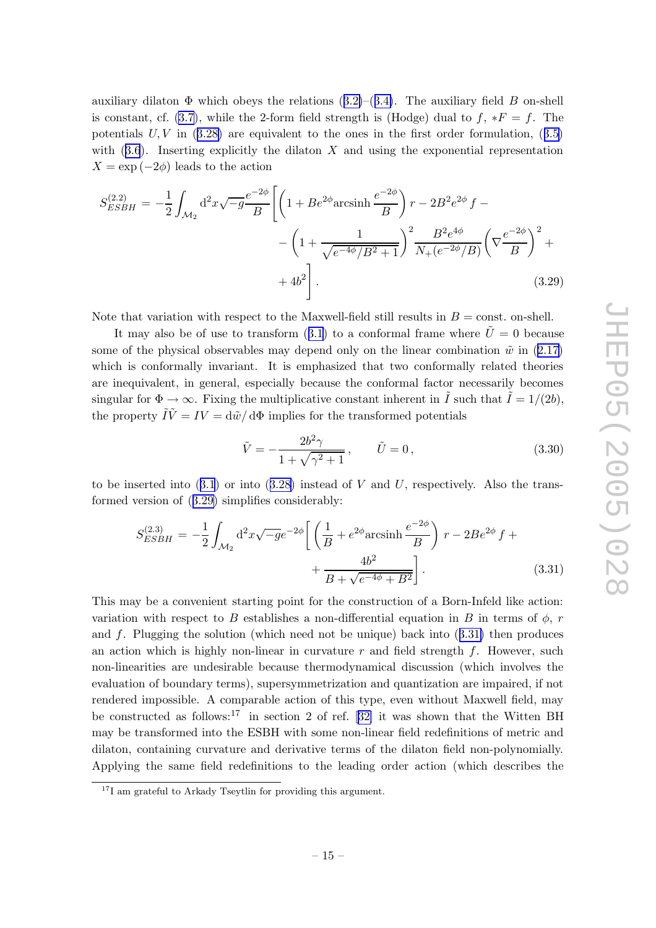<span id="page-15-0"></span>auxiliary dilaton  $\Phi$  which obeys the relations  $(3.2)$  $(3.2)$  $(3.2)$ – $(3.4)$  $(3.4)$  $(3.4)$ . The auxiliary field B on-shell is constant, cf. [\(3.7](#page-9-0)), while the 2-form field strength is (Hodge) dual to  $f, *F = f$ . The potentials  $U, V$  in  $(3.28)$  $(3.28)$  $(3.28)$  are equivalent to the ones in the first order formulation,  $(3.5)$  $(3.5)$  $(3.5)$ with  $(3.6)$  $(3.6)$  $(3.6)$ . Inserting explicitly the dilaton X and using the exponential representation  $X = \exp(-2\phi)$  leads to the action

$$
S_{ESBH}^{(2.2)} = -\frac{1}{2} \int_{\mathcal{M}_2} d^2 x \sqrt{-g} \frac{e^{-2\phi}}{B} \left[ \left( 1 + Be^{2\phi} \text{arcsinh} \frac{e^{-2\phi}}{B} \right) r - 2B^2 e^{2\phi} f - \left( 1 + \frac{1}{\sqrt{e^{-4\phi}/B^2 + 1}} \right)^2 \frac{B^2 e^{4\phi}}{N_+(e^{-2\phi}/B)} \left( \nabla \frac{e^{-2\phi}}{B} \right)^2 + \left( 4b^2 \right) \right].
$$
\n(3.29)

Note that variation with respect to the Maxwell-field still results in  $B = \text{const.}$  on-shell.

It may also be of use to transform ([3.1](#page-8-0)) to a conformal frame where  $\tilde{U} = 0$  because some of the physical observables may depend only on the linear combination  $\tilde{w}$  in  $(2.17)$  $(2.17)$  $(2.17)$ which is conformally invariant. It is emphasized that two conformally related theories are inequivalent, in general, especially because the conformal factor necessarily becomes singular for  $\Phi \to \infty$ . Fixing the multiplicative constant inherent in  $\tilde{I}$  such that  $\tilde{I} = 1/(2b)$ , the property  $\tilde{I}\tilde{V} = IV = d\tilde{w}/d\Phi$  implies for the transformed potentials

$$
\tilde{V} = -\frac{2b^2\gamma}{1 + \sqrt{\gamma^2 + 1}}, \qquad \tilde{U} = 0,
$$
\n(3.30)

to be inserted into  $(3.1)$  $(3.1)$  $(3.1)$  or into  $(3.28)$  $(3.28)$  $(3.28)$  instead of V and U, respectively. Also the transformed version of (3.29) simplifies considerably:

$$
S_{ESBH}^{(2.3)} = -\frac{1}{2} \int_{\mathcal{M}_2} d^2 x \sqrt{-g} e^{-2\phi} \left[ \left( \frac{1}{B} + e^{2\phi} \operatorname{arcsinh} \frac{e^{-2\phi}}{B} \right) r - 2Be^{2\phi} f + \frac{4b^2}{B + \sqrt{e^{-4\phi} + B^2}} \right].
$$
 (3.31)

This may b e a con venien t starting poin t for the construction of a Born-Infeld lik e action: variation with respect to B establishes a non-differential equation in B in terms of  $\phi$ , r and f . Plugging the solution (whic h need not b e unique) bac k into (3.31 ) then produces an action which is highly non-linear in curvature  $r$  and field strength  $f$ . However, such non-linearities are undesirable because thermodynamical discussion (whic h in volves the evaluation of boundary terms), supersymmetrization and quantization are impaired, if not rendered impossible. A comparable action of this type, even without Maxwell field, may be constructed as follows:<sup>17</sup> in section 2 of ref. [[32](#page-34-0)] it was shown that the Witten BH may b e transformed into the ESBH with some non-linear field redefinitions of metric and dilaton, containing curvature and derivativ e terms of the dilaton field non-polynomially . Applying the same field redefinitions to the leading order action (whic h describes the

<sup>&</sup>lt;sup>17</sup>I am grateful to Arkady Tseytlin for providing this argument.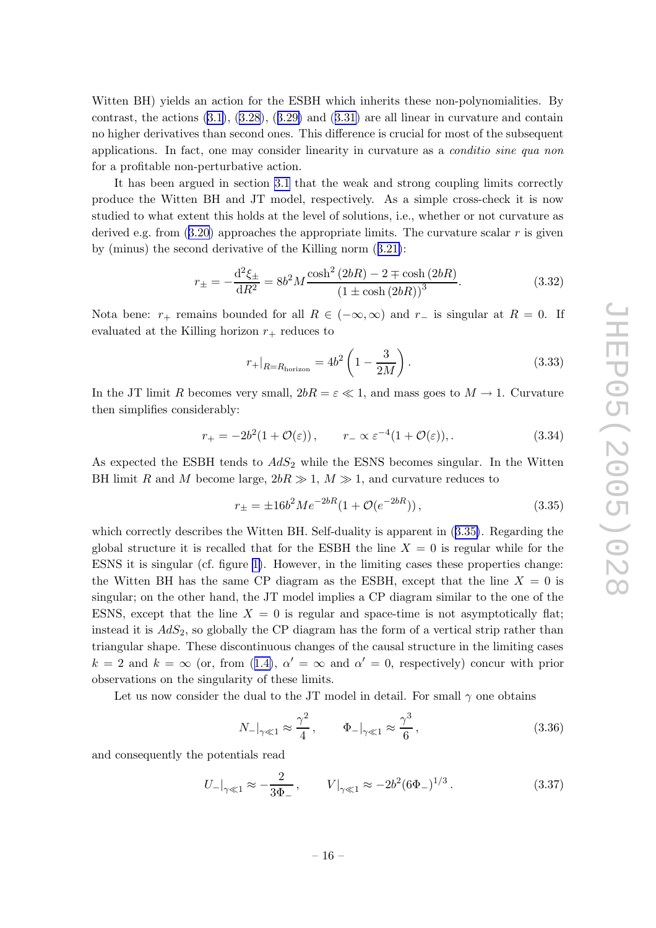<span id="page-16-0"></span>Witten BH) yields an action for the ESBH whic h inherits these non-polynomialities. By contrast, the actions  $(3.1), (3.28), (3.29)$  $(3.1), (3.28), (3.29)$  $(3.1), (3.28), (3.29)$  $(3.1), (3.28), (3.29)$  $(3.1), (3.28), (3.29)$  $(3.1), (3.28), (3.29)$  and  $(3.31)$  $(3.31)$  $(3.31)$  are all linear in curvature and contain no higher derivatives than second ones. This difference is crucial for most of the subsequen t applications. In fact, one may consider linearity in curvature as a *conditio sine qua non* for a profitable non-perturbativ e action.

It has been argued in section [3.1](#page-8-0) that the weak and strong coupling limits correctly produce the Witten BH and JT model, respectively . As a simple cross-chec k it is no w studied to what exten t this holds at the level of solutions, i.e., whether or not curvature as derived e.g. from  $(3.20)$  $(3.20)$  $(3.20)$  approaches the appropriate limits. The curvature scalar r is given by (minus) the second derivative of the Killing norm  $(3.21)$  $(3.21)$  $(3.21)$ :

$$
r_{\pm} = -\frac{\mathrm{d}^2 \xi_{\pm}}{\mathrm{d}R^2} = 8b^2 M \frac{\cosh^2(2bR) - 2 \mp \cosh(2bR)}{(1 \pm \cosh(2bR))^3}.
$$
 (3.32)

Nota bene:  $r_+$  remains bounded for all  $R \in (-\infty, \infty)$  and  $r_-$  is singular at  $R = 0$ . If evaluated at the Killing horizon  $r_+$  reduces to

$$
r_{+}|_{R=R_{\text{horizon}}} = 4b^2 \left(1 - \frac{3}{2M}\right). \tag{3.33}
$$

In the JT limit R becomes very small,  $2bR = \varepsilon \ll 1$ , and mass goes to  $M \to 1$ . Curvature then simplifies considerably:

$$
r_{+} = -2b^{2}(1 + \mathcal{O}(\varepsilon)), \qquad r_{-} \propto \varepsilon^{-4}(1 + \mathcal{O}(\varepsilon)), \qquad (3.34)
$$

As expected the ESBH tends to  $AdS_2$  while the ESNS becomes singular. In the Witten BH limit R and M become large,  $2bR \gg 1$ ,  $M \gg 1$ , and curvature reduces to

$$
r_{\pm} = \pm 16b^2 Me^{-2bR} (1 + \mathcal{O}(e^{-2bR})), \qquad (3.35)
$$

which correctly describes the Witten BH. Self-duality is apparent in  $(3.35)$ . Regarding the global structure it is recalled that for the ESBH the line  $X = 0$  is regular while for the ESNS it is singular (cf. figure [1\)](#page-12-0). Ho wever, in the limiting cases these properties change: the Witten BH has the same CP diagram as the ESBH, except that the line  $X = 0$  is singular; on the other hand, the JT model implies a CP diagram similar to the one of the ESNS, except that the line  $X = 0$  is regular and space-time is not asymptotically flat; instead it is  $AdS_2$ , so globally the CP diagram has the form of a vertical strip rather than triangular shape. These discontinuous changes of the causal structure in the limiting cases  $k = 2$  and  $k = \infty$  (or, from ([1.4](#page-2-0)),  $\alpha' = \infty$  and  $\alpha' = 0$ , respectively) concur with prior observations on the singularit y of these limits.

Let us now consider the dual to the JT model in detail. For small  $\gamma$  one obtains

$$
N_{-}|_{\gamma \ll 1} \approx \frac{\gamma^2}{4}, \qquad \Phi_{-}|_{\gamma \ll 1} \approx \frac{\gamma^3}{6}, \qquad (3.36)
$$

and consequently the potentials read

$$
U_{-}|_{\gamma \ll 1} \approx -\frac{2}{3\Phi_{-}}, \qquad V|_{\gamma \ll 1} \approx -2b^2 (6\Phi_{-})^{1/3}.
$$
 (3.37)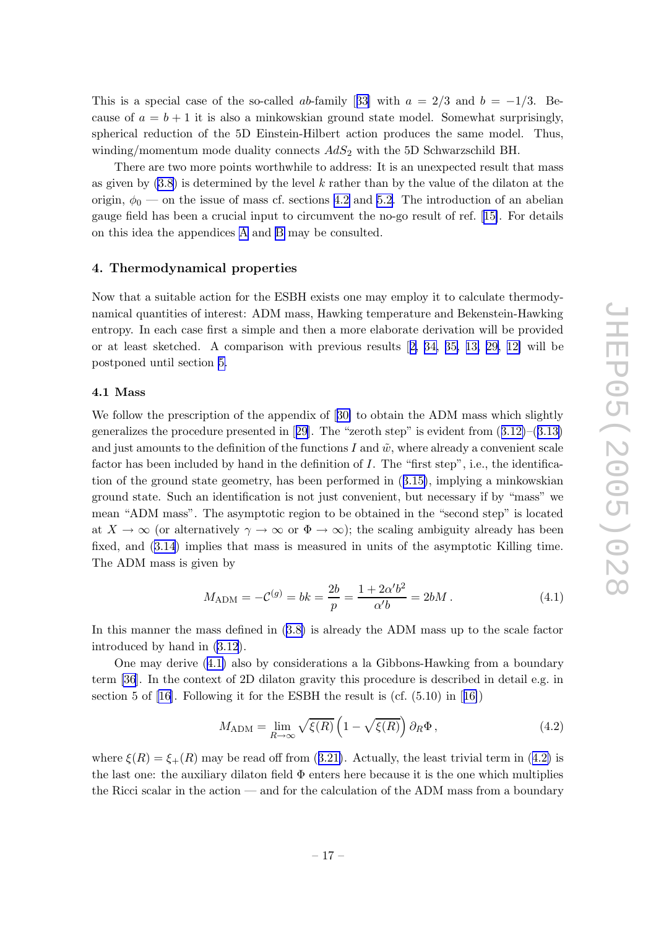<span id="page-17-0"></span>This is a special case of the so-called ab-family [[33](#page-34-0)] with  $a = 2/3$  and  $b = -1/3$ . Because of  $a = b + 1$  it is also a minkowskian ground state model. Somewhat surprisingly, spherical reduction of the 5D Einstein-Hilbert action produces the same model. Thus, winding/momentum mode duality connects  $AdS_2$  with the 5D Schwarzschild BH.

There are two more points worthwhile to address: It is an unexpected result that mass as given by  $(3.8)$  $(3.8)$  is determined by the level k rather than by the value of the dilaton at the origin,  $\phi_0$  — on the issue of mass cf. sections [4.2](#page-18-0) and [5.2](#page-24-0). The introduction of an abelian gauge field has been a crucial input to circum ven t the no-go result of ref. [[15\]](#page-33-0). For details on this idea the appendices [A](#page-29-0) and [B](#page-30-0) may b e consulted.

# 4. Thermodynamical properties

Now that a suitable action for the ESBH exists one may employ it to calculate thermodynamical quantities of interest: ADM mass, Hawking temperature and Bekenstein-Hawking entropy. In each case first a simple and then a more elaborate derivation will be provided or at least sketched. A comparison with previous results [[2](#page-32-0), [34](#page-34-0), [35](#page-34-0), [13](#page-33-0), [29](#page-34-0), [12](#page-33-0)] will be postponed until section [5](#page-21-0) .

#### 4.1 Mass

We follow the prescription of the appendix of  $[30]$  $[30]$  $[30]$  to obtain the ADM mass which slightly generalizes the procedure presented in [[29\]](#page-34-0). The "zeroth step" is eviden t from ([3.12](#page-11-0) )–([3.13](#page-11-0) ) and just amounts to the definition of the functions I and  $\tilde{w}$ , where already a convenient scale factor has been included by hand in the definition of I. The "first step", i.e., the identification of the ground state geometry, has been performed in ([3.15\)](#page-11-0), implying a minkowskian ground state. Such an identification is not just convenient, but necessary if by "mass" we mean "ADM mass". The asymptotic region to b e obtained in the "second step" is located at  $X \to \infty$  (or alternatively  $\gamma \to \infty$  or  $\Phi \to \infty$ ); the scaling ambiguity already has been fixed, and ([3.14](#page-11-0) ) implies that mass is measured in units of the asymptotic Killing time. The ADM mass is given b y

$$
M_{\rm ADM} = -C^{(g)} = bk = \frac{2b}{p} = \frac{1 + 2\alpha'b^2}{\alpha'b} = 2bM.
$$
 (4.1)

In this manner the mass defined in ([3.8](#page-9-0) ) is already the ADM mass up to the scale factor introduced b y hand in [\(3.12](#page-11-0) ) .

One may deriv e (4.1 ) also b y considerations a la Gibbons-Hawking from a boundary term [\[36](#page-34-0)]. In the context of 2D dilaton gravit y this procedure is described in detail e.g. in section 5 of [\[16\]](#page-33-0). Following it for the ESBH the result is (cf. (5.10) in [[16\]](#page-33-0))

$$
M_{\text{ADM}} = \lim_{R \to \infty} \sqrt{\xi(R)} \left( 1 - \sqrt{\xi(R)} \right) \partial_R \Phi , \qquad (4.2)
$$

where  $\xi(R) = \xi_{+}(R)$  may be read off from ([3.21](#page-13-0)). Actually, the least trivial term in (4.2) is the last one: the auxiliary dilaton field Φ enters here because it is the one whic h multiplies the Ricci scalar in the action — and for the calculation of the ADM mass from a boundary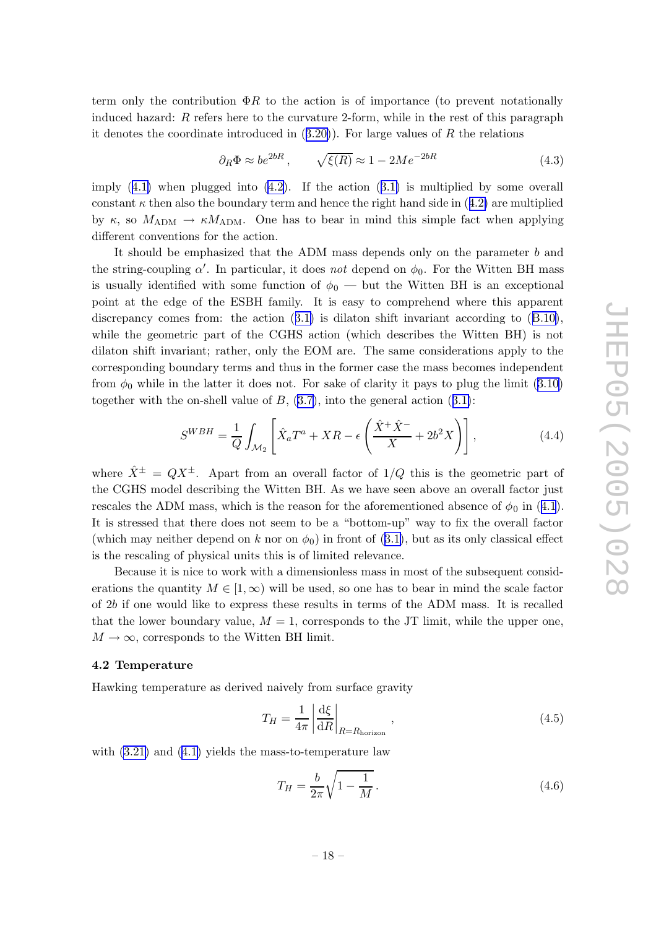<span id="page-18-0"></span>term only the contribution  $\Phi R$  to the action is of importance (to prevent notationally induced hazard: R refers here to the curvature 2-form, while in the rest of this paragraph it denotes the coordinate introduced in ([3.20](#page-13-0) )). For large values of R the relations

$$
\partial_R \Phi \approx b e^{2bR}, \qquad \sqrt{\xi(R)} \approx 1 - 2M e^{-2bR} \tag{4.3}
$$

imply ([4.1](#page-17-0)) when plugged into [\(4.2](#page-17-0)). If the action ([3.1](#page-8-0)) is multiplied by some overall constant  $\kappa$  then also the boundary term and hence the right hand side in  $(4.2)$  $(4.2)$  $(4.2)$  are multiplied by  $\kappa$ , so  $M_{\text{ADM}} \rightarrow \kappa M_{\text{ADM}}$ . One has to bear in mind this simple fact when applying differen t con ventions for the action.

It should b e emphasized that the ADM mass depends only on the parameter b and the string-coupling  $\alpha'$ . In particular, it does not depend on  $\phi_0$ . For the Witten BH mass is usually identified with some function of  $\phi_0$  — but the Witten BH is an exceptional poin t at the edge of the ESBH family . It is easy to comprehend where this apparen t discrepancy comes from: the action  $(3.1)$  $(3.1)$  $(3.1)$  is dilaton shift invariant according to  $(B.10)$  $(B.10)$  $(B.10)$ , while the geometric part of the CGHS action (whic h describes the Witten BH) is not dilaton shift in variant; rather, only the EOM are. The same considerations apply to the corresponding boundary terms and thus in the former case the mass becomes independen t from  $\phi_0$  while in the latter it does not. For sake of clarity it pays to plug the limit ([3.10](#page-10-0)) together with the on-shell value of  $B$ ,  $(3.7)$  $(3.7)$  $(3.7)$ , into the general action  $(3.1)$  $(3.1)$  $(3.1)$ :

$$
S^{WBH} = \frac{1}{Q} \int_{\mathcal{M}_2} \left[ \hat{X}_a T^a + X R - \epsilon \left( \frac{\hat{X}^+ \hat{X}^-}{X} + 2b^2 X \right) \right], \tag{4.4}
$$

where  $\hat{X}^{\pm} = QX^{\pm}$ . Apart from an overall factor of  $1/Q$  this is the geometric part of the CGHS model describing the Witten BH. As we have seen above an overall factor just rescales the ADM mass, which is the reason for the aforementioned absence of  $\phi_0$  in ([4.1](#page-17-0)). It is stressed that there does not seem to b e a "bottom-up" w ay to fix the o verall factor (which may neither depend on k nor on  $\phi_0$ ) in front of ([3.1](#page-8-0)), but as its only classical effect is the rescaling of physical units this is of limited relevance.

Because it is nice to work with a dimensionless mass in most of the subsequen t considerations the quantity  $M \in [1,\infty)$  will be used, so one has to bear in mind the scale factor of 2 b if one would lik e to express these results in terms of the ADM mass. It is recalled that the lower boundary value,  $M = 1$ , corresponds to the JT limit, while the upper one,  $M \to \infty$ , corresponds to the Witten BH limit.

### 4.2 Temperature

Hawking temperature as derived naively from surface gravit y

$$
T_H = \frac{1}{4\pi} \left| \frac{\mathrm{d}\xi}{\mathrm{d}R} \right|_{R=R_{\text{horizon}}},\tag{4.5}
$$

with  $(3.21)$  $(3.21)$  and  $(4.1)$  $(4.1)$  $(4.1)$  yields the mass-to-temperature law

$$
T_H = \frac{b}{2\pi} \sqrt{1 - \frac{1}{M}}.
$$
\n
$$
(4.6)
$$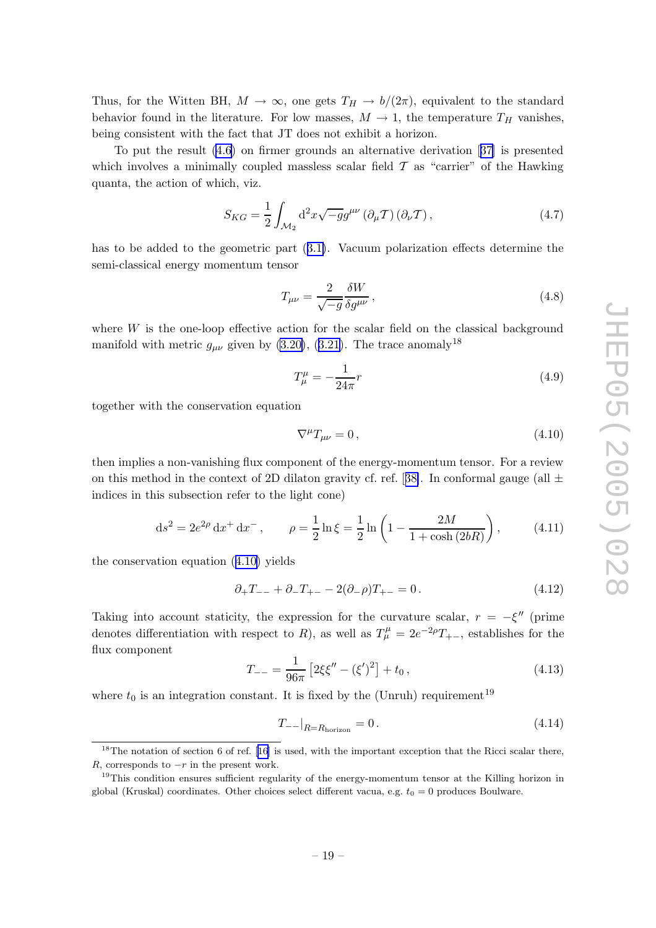<span id="page-19-0"></span>Thus, for the Witten BH,  $M \to \infty$ , one gets  $T_H \to b/(2\pi)$ , equivalent to the standard behavior found in the literature. For low masses,  $M \to 1$ , the temperature  $T_H$  vanishes, being consisten t with the fact that JT does not exhibit a horizon.

To put the result [\(4.6](#page-18-0) ) on firmer grounds an alternativ e derivation [[37](#page-34-0) ] is presented which involves a minimally coupled massless scalar field  $\mathcal T$  as "carrier" of the Hawking quanta, the action of which, viz.

$$
S_{KG} = \frac{1}{2} \int_{\mathcal{M}_2} d^2 x \sqrt{-g} g^{\mu \nu} \left( \partial_{\mu} \mathcal{T} \right) \left( \partial_{\nu} \mathcal{T} \right), \tag{4.7}
$$

has to b e added to the geometric part ([3.1](#page-8-0) ) . Vacuum polarization effects determine the semi-classical energy momentum tensor

$$
T_{\mu\nu} = \frac{2}{\sqrt{-g}} \frac{\delta W}{\delta g^{\mu\nu}},\tag{4.8}
$$

where  $W$  is the one-loop effective action for the scalar field on the classical background manifold with metric  $g_{\mu\nu}$  given by [\(3.20](#page-13-0)), ([3.21](#page-13-0)). The trace anomaly<sup>18</sup>

$$
T^{\mu}_{\mu} = -\frac{1}{24\pi}r
$$
\n(4.9)

together with the conservation equation

$$
\nabla^{\mu}T_{\mu\nu} = 0, \qquad (4.10)
$$

then implies a non-vanishing flux component of the energy-momentum tensor. For a review on this method in the context of 2D dilaton gravity cf. ref. [[38\]](#page-34-0). In conformal gauge (all  $\pm$ indices in this subsection refer to the ligh t cone)

$$
ds^{2} = 2e^{2\rho} dx^{+} dx^{-}, \qquad \rho = \frac{1}{2} \ln \xi = \frac{1}{2} \ln \left( 1 - \frac{2M}{1 + \cosh(2bR)} \right), \tag{4.11}
$$

the conservation equation (4.10 ) yields

$$
\partial_{+}T_{--} + \partial_{-}T_{+-} - 2(\partial_{-}\rho)T_{+-} = 0. \qquad (4.12)
$$

Taking into account staticity, the expression for the curvature scalar,  $r = -\xi''$  (prime denotes differentiation with respect to R), as well as  $T^{\mu}_{\mu} = 2e^{-2\rho}T_{+-}$ , establishes for the flux componen t

$$
T_{--} = \frac{1}{96\pi} \left[ 2\xi \xi'' - (\xi')^2 \right] + t_0, \qquad (4.13)
$$

where  $t_0$  is an integration constant. It is fixed by the (Unruh) requirement<sup>19</sup>

$$
T_{--}|_{R=R_{\text{horizon}}} = 0. \tag{4.14}
$$

<sup>&</sup>lt;sup>18</sup>The notation of section 6 of ref. [[16](#page-33-0)] is used, with the important exception that the Ricci scalar there, R, corresponds to  $-r$  in the present work.

<sup>&</sup>lt;sup>19</sup>This condition ensures sufficient regularity of the energy-momentum tensor at the Killing horizon in global (Kruskal) coordinates. Other choices select different vacua, e.g.  $t_0 = 0$  produces Boulware.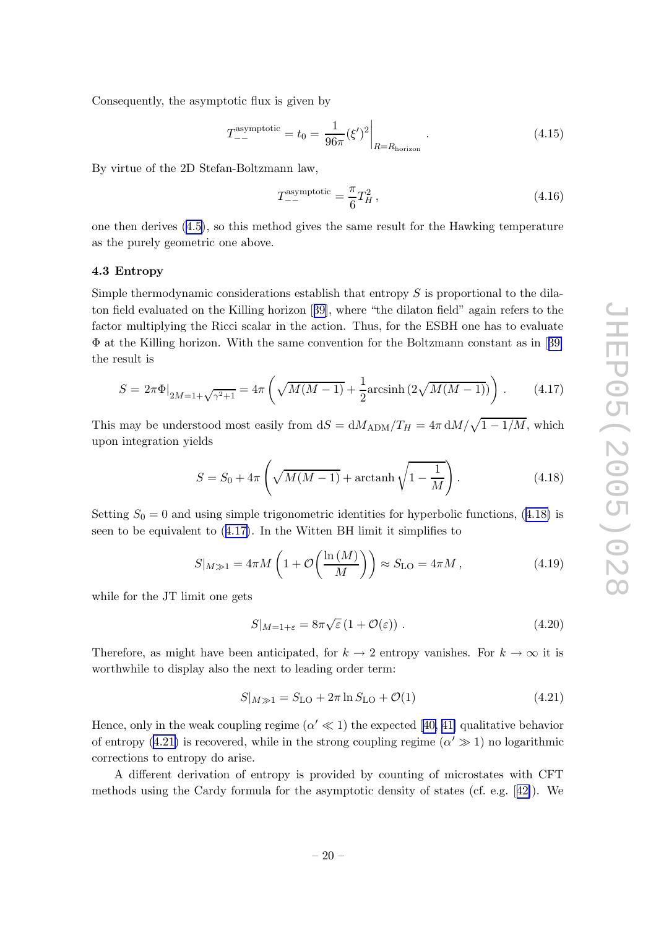<span id="page-20-0"></span>Consequently , the asymptotic flux is given b y

$$
T_{--}^{\text{asymptotic}} = t_0 = \frac{1}{96\pi} (\xi')^2 \bigg|_{R=R_{\text{horizon}}}.
$$
\n(4.15)

By virtue of the 2D Stefan-Boltzmann law,

$$
T_{--}^{\text{asymptotic}} = \frac{\pi}{6} T_H^2 \,, \tag{4.16}
$$

one then derives ([4.5](#page-18-0) ) , so this metho d gives the same result for the Hawking temperature as the purely geometric one above.

#### 4.3 Entrop y

Simple thermodynamic considerations establish that entropy  $S$  is proportional to the dilaton field evaluated on the Killing horizon [[39](#page-34-0)], where "the dilaton field" again refers to the factor multiplying the Ricci scalar in the action. Thus, for the ESBH one has to evaluate Φ at the Killing horizon. With the same con vention for the Boltzmann constan t as in [[39](#page-34-0) ] the result is

$$
S = 2\pi \Phi|_{2M=1+\sqrt{\gamma^2+1}} = 4\pi \left(\sqrt{M(M-1)} + \frac{1}{2}\text{arcsinh}\left(2\sqrt{M(M-1)}\right)\right). \tag{4.17}
$$

This may be understood most easily from  $dS = dM_{\rm ADM}/T_H = 4\pi \, dM/\sqrt{1 - 1/M}$ , which upon integration yields

$$
S = S_0 + 4\pi \left( \sqrt{M(M-1)} + \operatorname{arctanh} \sqrt{1 - \frac{1}{M}} \right). \tag{4.18}
$$

Setting  $S_0 = 0$  and using simple trigonometric identities for hyperbolic functions, (4.18) is seen to be equivalent to  $(4.17)$ . In the Witten BH limit it simplifies to

$$
S|_{M\gg 1} = 4\pi M \left( 1 + \mathcal{O}\left(\frac{\ln\left(M\right)}{M}\right) \right) \approx S_{\text{LO}} = 4\pi M ,\qquad (4.19)
$$

while for the JT limit one gets

$$
S|_{M=1+\varepsilon} = 8\pi\sqrt{\varepsilon} \left(1 + \mathcal{O}(\varepsilon)\right). \tag{4.20}
$$

Therefore, as might have been anticipated, for  $k \to 2$  entropy vanishes. For  $k \to \infty$  it is worthwhile to display also the next to leading order term:

$$
S|_{M \gg 1} = S_{\text{LO}} + 2\pi \ln S_{\text{LO}} + \mathcal{O}(1) \tag{4.21}
$$

Hence, only in the weak coupling regime  $(\alpha' \ll 1)$  the expected [[40](#page-34-0), [41](#page-34-0)] qualitative behavior of entropy (4.21) is recovered, while in the strong coupling regime  $(\alpha' \gg 1)$  no logarithmic corrections to entrop y do arise.

A differen t derivation of entrop y is provided b y counting of microstates with CFT methods using the Cardy formula for the asymptotic densit y of states (cf. e.g. [[42\]](#page-34-0)). We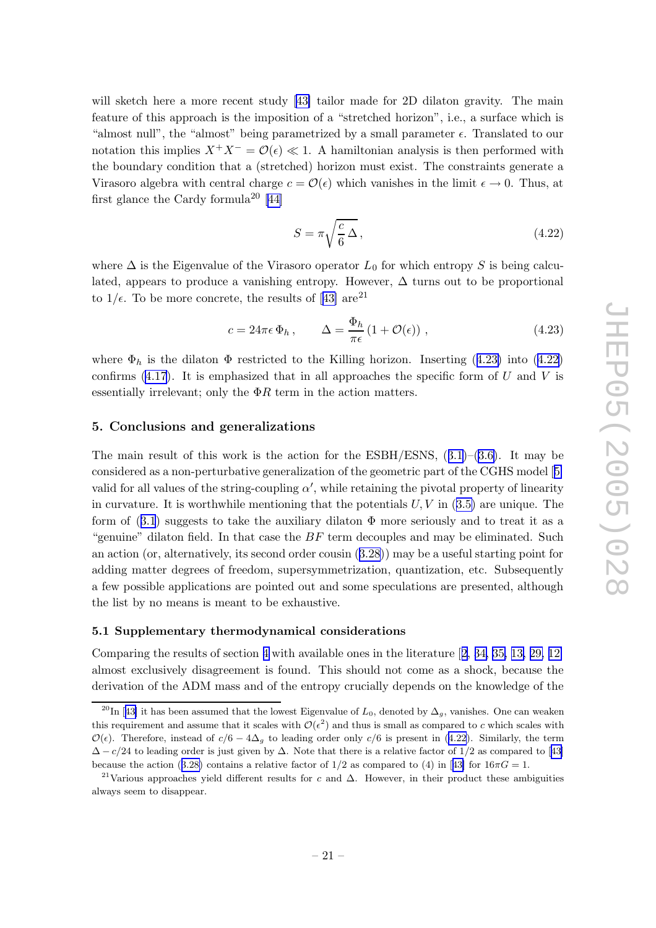<span id="page-21-0"></span>will sketch here a more recent study [[43](#page-34-0)] tailor made for 2D dilaton gravity. The main feature of this approach is the imposition of a "stretched horizon", i.e., a surface which is "almost null", the "almost" being parametrized by a small parameter  $\epsilon$ . Translated to our notation this implies  $X^+X^- = \mathcal{O}(\epsilon) \ll 1$ . A hamiltonian analysis is then performed with the boundary condition that a (stretched) horizon must exist. The constraints generate a Virasoro algebra with central charge  $c = \mathcal{O}(\epsilon)$  which vanishes in the limit  $\epsilon \to 0$ . Thus, at first glance the Cardy formula<sup>20</sup> [[44](#page-35-0)]

$$
S = \pi \sqrt{\frac{c}{6} \,\Delta} \,,\tag{4.22}
$$

where  $\Delta$  is the Eigenvalue of the Virasoro operator  $L_0$  for which entropy S is being calculated, appears to produce a vanishing entropy. However,  $\Delta$  turns out to be proportional to  $1/\epsilon$ . To be more concrete, the results of [[43](#page-34-0)] are<sup>21</sup>

$$
c = 24\pi\epsilon \Phi_h, \qquad \Delta = \frac{\Phi_h}{\pi\epsilon} (1 + \mathcal{O}(\epsilon)), \qquad (4.23)
$$

where  $\Phi_h$  is the dilaton  $\Phi$  restricted to the Killing horizon. Inserting (4.23) into (4.22) confirms ([4.17](#page-20-0)). It is emphasized that in all approaches the specific form of  $U$  and  $V$  is essentially irrelevant; only the  $\Phi R$  term in the action matters.

# 5. Conclusions and generalizations

The main result of this work is the action for the  $ESBH/ESNS$ ,  $(3.1)$  $(3.1)$  $(3.1)$ – $(3.6)$  $(3.6)$  $(3.6)$ . It may be considered as a non-perturbativ e generalization of the geometric part of the CGHS model [[5](#page-32-0) ] valid for all values of the string-coupling  $\alpha'$ , while retaining the pivotal property of linearity in curvature. It is worthwhile mentioning that the potentials  $U, V$  in  $(3.5)$  $(3.5)$  $(3.5)$  are unique. The form of  $(3.1)$  $(3.1)$  $(3.1)$  suggests to take the auxiliary dilaton  $\Phi$  more seriously and to treat it as a "genuine" dilaton field. In that case the  $BF$  term decouples and may be eliminated. Such an action (or, alternatively, its second order cousin  $(3.28)$  $(3.28)$  $(3.28)$ ) may be a useful starting point for adding matter degrees of freedom, supersymmetrization, quantization, etc. Subsequently a few possible applications are pointed out and some speculations are presented, although the list b y no means is mean t to b e exhaustive.

# 5.1 Supplementary thermodynamical considerations

Comparing the results of section [4](#page-17-0) with available ones in the literature  $[2, 34, 35, 13, 29, 12]$  $[2, 34, 35, 13, 29, 12]$  $[2, 34, 35, 13, 29, 12]$  $[2, 34, 35, 13, 29, 12]$  $[2, 34, 35, 13, 29, 12]$  $[2, 34, 35, 13, 29, 12]$  $[2, 34, 35, 13, 29, 12]$  $[2, 34, 35, 13, 29, 12]$  $[2, 34, 35, 13, 29, 12]$  $[2, 34, 35, 13, 29, 12]$  $[2, 34, 35, 13, 29, 12]$  $[2, 34, 35, 13, 29, 12]$  $[2, 34, 35, 13, 29, 12]$ almost exclusively disagreemen t is found. This should not come as a sho ck, because the derivation of the ADM mass and of the entrop y crucially depends on the knowledge of the

<sup>&</sup>lt;sup>20</sup>In [[43](#page-34-0)] it has been assumed that the lowest Eigenvalue of  $L_0$ , denoted by  $\Delta_g$ , vanishes. One can weaken this requirement and assume that it scales with  $\mathcal{O}(\epsilon^2)$  and thus is small as compared to c which scales with  $\mathcal{O}(\epsilon)$ . Therefore, instead of  $c/6 - 4\Delta_g$  to leading order only  $c/6$  is present in (4.22). Similarly, the term  $\Delta - c/24$  to leading order is just given by  $\Delta$ . Note that there is a relative factor of 1/2 as compared to [[43](#page-34-0)] because the action ([3.28](#page-14-0)) contains a relative factor of  $1/2$  as compared to (4) in [[43](#page-34-0)] for  $16\pi G = 1$ .

<sup>&</sup>lt;sup>21</sup>Various approaches yield different results for c and  $\Delta$ . However, in their product these ambiguities always seem to disappear.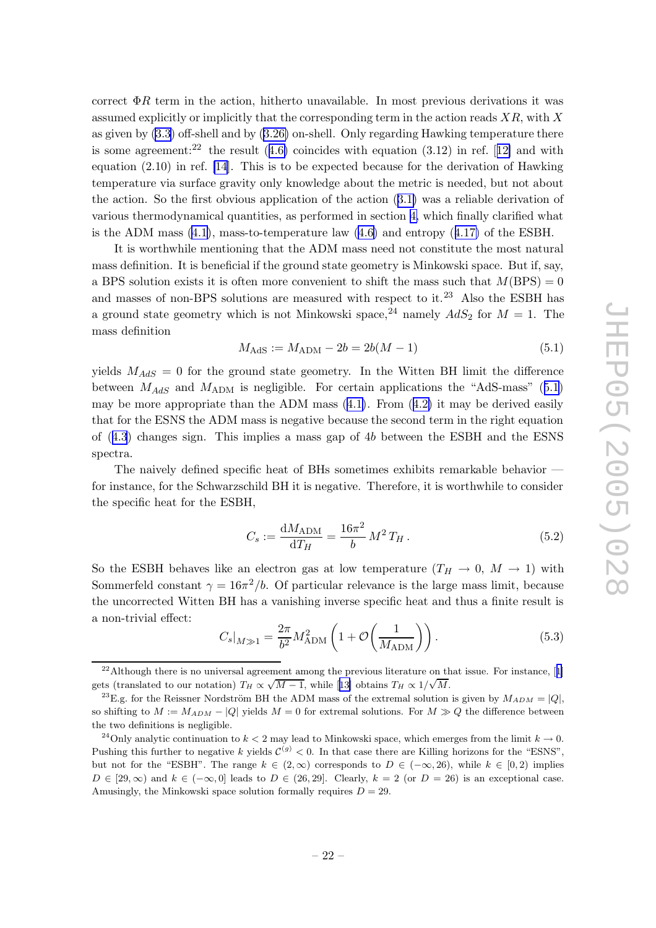correct  $\Phi R$  term in the action, hitherto unavailable. In most previous derivations it was assumed explicitly or implicitly that the corresponding term in the action reads  $XR$ , with X as given b y [\(3.3](#page-8-0) ) off-shell and b y [\(3.26](#page-13-0) ) on-shell. Only regarding Hawking temperature there is some agreement:<sup>22</sup> the result  $(4.6)$  $(4.6)$  $(4.6)$  coincides with equation  $(3.12)$  $(3.12)$  $(3.12)$  in ref. [12] and with equation (2.10) in ref. [\[14](#page-33-0)]. This is to b e expected because for the derivation of Hawking temperature via surface gravit y only knowledge about the metric is needed, but not about the action. So the first obvious application of the action ([3.1](#page-8-0) ) was a reliable derivation of various thermodynamical quantities, as performed in section [4](#page-17-0) , whic h finally clarified what is the ADM mass  $(4.1)$  $(4.1)$ , mass-to-temperature law  $(4.6)$  $(4.6)$  $(4.6)$  and entropy  $(4.17)$  $(4.17)$  $(4.17)$  of the ESBH.

It is worthwhile mentioning that the ADM mass need not constitute the most natural mass definition. It is beneficial if the ground state geometry is Mink owski space. But if, say , a BPS solution exists it is often more convenient to shift the mass such that  $M(BPS) = 0$ and masses of non-BPS solutions are measured with respect to it.<sup>23</sup> Also the ESBH has a ground state geometry which is not Minkowski space,  $^{24}$  namely  $AdS_2$  for  $M = 1$ . The mass definition

$$
M_{\text{AdS}} := M_{\text{ADM}} - 2b = 2b(M - 1) \tag{5.1}
$$

yields  $M_{AdS} = 0$  for the ground state geometry. In the Witten BH limit the difference between  $M_{AdS}$  and  $M_{ADM}$  is negligible. For certain applications the "AdS-mass" (5.1) may b e more appropriate than the ADM mass ([4.1](#page-17-0) ) . From ([4.2](#page-17-0) ) it may b e derived easily that for the ESNS the ADM mass is negative because the second term in the right equation of ([4.3](#page-18-0) ) changes sign. This implies a mass gap of 4 b bet ween the ESBH and the ESNS spectra.

The naively defined specific heat of BHs sometimes exhibits remarkable behavior for instance, for the Sc h warzschild BH it is negative. Therefore, it is worthwhile to consider the specific heat for the ESBH,

$$
C_s := \frac{dM_{\text{ADM}}}{dT_H} = \frac{16\pi^2}{b} M^2 T_H.
$$
\n(5.2)

So the ESBH behaves like an electron gas at low temperature  $(T_H \to 0, M \to 1)$  with Sommerfeld constant  $\gamma = 16\pi^2/b$ . Of particular relevance is the large mass limit, because the uncorrected Witten BH has a vanishing in verse specific heat and thus a finite result is a non-trivial effect:

$$
C_s|_{M \gg 1} = \frac{2\pi}{b^2} M_{\text{ADM}}^2 \left( 1 + \mathcal{O}\left(\frac{1}{M_{\text{ADM}}}\right) \right). \tag{5.3}
$$

 $22$ Although there is no universal agreement among the previous literature on that issue. For instance, [[1](#page-32-0)] gets (translated to our notation)  $T_H \propto \sqrt{M-1}$ , while [[13](#page-33-0)] obtains  $T_H \propto 1/\sqrt{M}$ .

<sup>&</sup>lt;sup>23</sup>E.g. for the Reissner Nordström BH the ADM mass of the extremal solution is given by  $M_{ADM} = |Q|$ , so shifting to  $M := M_{ADM} - |Q|$  yields  $M = 0$  for extremal solutions. For  $M \gg Q$  the difference between the t w o definitions is negligible.

<sup>&</sup>lt;sup>24</sup>Only analytic continuation to  $k < 2$  may lead to Minkowski space, which emerges from the limit  $k \to 0$ . Pushing this further to negative k yields  $\mathcal{C}^{(g)} < 0$ . In that case there are Killing horizons for the "ESNS", but not for the "ESBH". The range  $k \in (2,\infty)$  corresponds to  $D \in (-\infty,26)$ , while  $k \in [0,2)$  implies  $D \in [29, \infty)$  and  $k \in (-\infty, 0]$  leads to  $D \in (26, 29]$ . Clearly,  $k = 2$  (or  $D = 26$ ) is an exceptional case. Amusingly, the Minkowski space solution formally requires  $D = 29$ .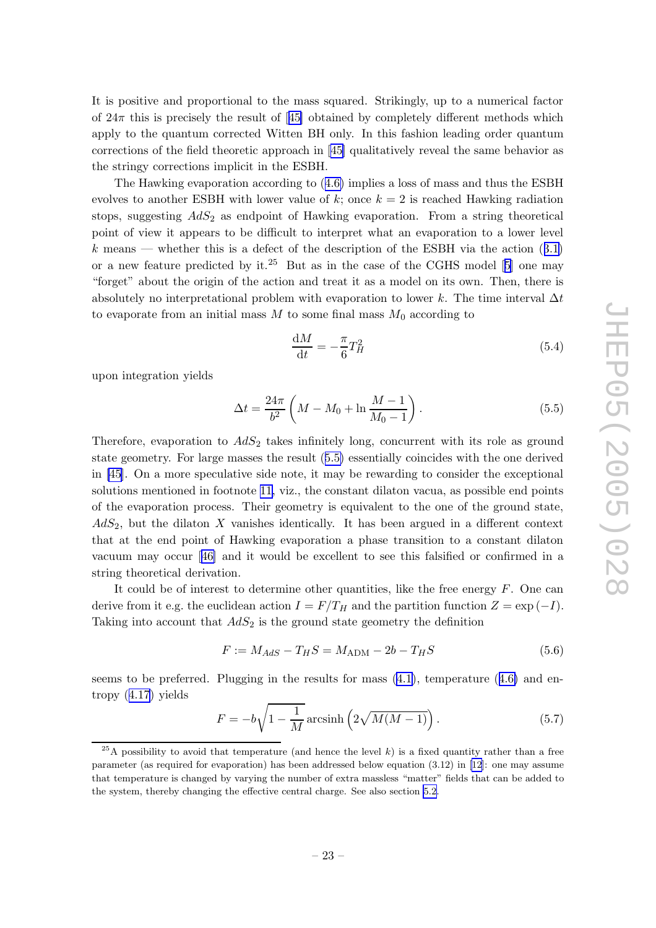<span id="page-23-0"></span>It is positiv e and proportional to the mass squared. Strikingly , up to a numerical factor of  $24\pi$  this is precisely the result of [[45](#page-35-0)] obtained by completely different methods which apply to the quantum corrected Witten BH only . In this fashion leading order quantum corrections of the field theoretic approac h in [[45](#page-35-0) ] qualitatively reveal the same behavior as the stringy corrections implicit in the ESBH.

The Hawking evaporation according to ([4.6](#page-18-0) ) implies a loss of mass and thus the ESBH evolves to another ESBH with lower value of  $k$ ; once  $k = 2$  is reached Hawking radiation stops, suggesting  $AdS_2$  as endpoint of Hawking evaporation. From a string theoretical poin t of view it appears to b e difficult to interpret what an evaporation to a lo wer level k means — whether this is a defect of the description of the ESBH via the action  $(3.1)$  $(3.1)$  $(3.1)$ or a new feature predicted by it.<sup>2[5](#page-32-0)</sup> But as in the case of the CGHS model [5] one may "forget" about the origin of the action and treat it as a model on its own. Then, there is absolutely no interpretational problem with evaporation to lower k. The time interval  $\Delta t$ to evaporate from an initial mass  $M$  to some final mass  $M_0$  according to

$$
\frac{\mathrm{d}M}{\mathrm{d}t} = -\frac{\pi}{6}T_H^2\tag{5.4}
$$

upon integration yields

$$
\Delta t = \frac{24\pi}{b^2} \left( M - M_0 + \ln \frac{M-1}{M_0 - 1} \right).
$$
 (5.5)

Therefore, evaporation to  $AdS_2$  takes infinitely long, concurrent with its role as ground state geometry . For large masses the result (5.5 ) essentially coincides with the one derived in [\[45\]](#page-35-0). On a more speculativ e side note, it may b e rewarding to consider the exceptional solutions mentioned in footnote [11](#page-10-0) , viz., the constan t dilaton vacua, as possible end points of the evaporation process. Their geometry is equivalen t to the one of the ground state,  $AdS_2$ , but the dilaton X vanishes identically. It has been argued in a different context that at the end point of Hawking evaporation a phase transition to a constant dilaton vacuum may occur [[46](#page-35-0) ] and it would b e excellen t to see this falsified or confirmed in a string theoretical derivation.

It could be of interest to determine other quantities, like the free energy  $F$ . One can derive from it e.g. the euclidean action  $I = F/T_H$  and the partition function  $Z = \exp(-I)$ . Taking into account that  $AdS_2$  is the ground state geometry the definition

$$
F := M_{AdS} - T_H S = M_{\text{ADM}} - 2b - T_H S \tag{5.6}
$$

seems to be preferred. Plugging in the results for mass  $(4.1)$  $(4.1)$  $(4.1)$ , temperature  $(4.6)$  $(4.6)$  $(4.6)$  and entropy ([4.17\)](#page-20-0) yields

$$
F = -b\sqrt{1 - \frac{1}{M}}\operatorname{arcsinh}\left(2\sqrt{M(M-1)}\right). \tag{5.7}
$$

<sup>&</sup>lt;sup>25</sup>A possibility to avoid that temperature (and hence the level k) is a fixed quantity rather than a free parameter (as required for evaporation) has been addressed belo w equation (3.12) in [\[12](#page-33-0)]: one may assume that temperature is changed b y varying the num ber of extra massless "matter" fields that can b e added to the system, thereb y changing the effectiv e central charge. See also section [5.2](#page-24-0) .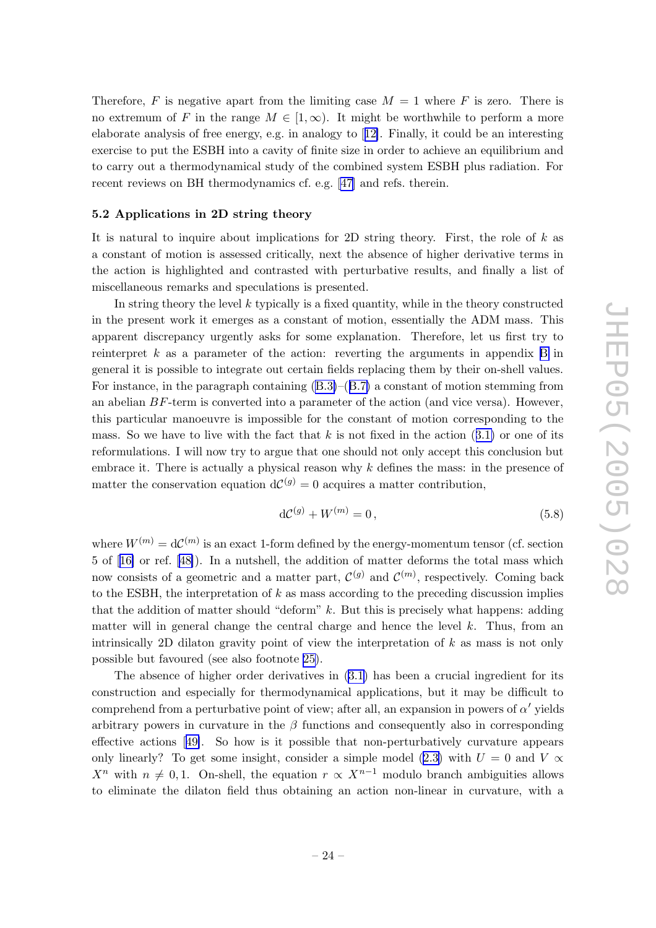<span id="page-24-0"></span>Therefore, F is negative apart from the limiting case  $M = 1$  where F is zero. There is no extremum of F in the range  $M \in [1, \infty)$ . It might be worthwhile to perform a more elaborate analysis of free energy , e.g. in analogy to [[12\]](#page-33-0). Finally , it could b e an interesting exercise to put the ESBH into a cavit y of finite size in order to achiev e an equilibrium and to carry out a thermodynamical study of the combined system ESBH plus radiation. For recen t reviews on BH thermodynamics cf. e.g. [\[47](#page-35-0) ] and refs. therein.

# 5.2 Applications in 2D string theory

It is natural to inquire about implications for 2D string theory. First, the role of k as a constan t of motion is assessed critically , next the absence of higher derivativ e terms in the action is highlighted and contrasted with perturbativ e results, and finally a list of miscellaneous remarks and speculations is presented.

In string theory the level  $k$  typically is a fixed quantity, while in the theory constructed in the presen t work it emerges as a constan t of motion, essentially the ADM mass. This apparen t discrepancy urgently asks for some explanation. Therefore, let us first try to reinterpret  $k$  as a parameter of the action: reverting the arguments in appendix [B](#page-30-0) in general it is possible to integrate out certain fields replacing them b y their on-shell values. For instance, in the paragraph containing  $(B.3)$  $(B.3)$ – $(B.7)$  $(B.7)$  $(B.7)$  a constant of motion stemming from an abelian BF-term is converted into a parameter of the action (and vice versa). However, this particular manoeuvre is impossible for the constan t of motion corresponding to the mass. So we have to live with the fact that  $k$  is not fixed in the action  $(3.1)$  $(3.1)$  $(3.1)$  or one of its reformulations. I will no w try to argue that one should not only accept this conclusion but embrace it. There is actually a physical reason why  $k$  defines the mass: in the presence of matter the conservation equation  $dC^{(g)} = 0$  acquires a matter contribution,

$$
d\mathcal{C}^{(g)} + W^{(m)} = 0, \t\t(5.8)
$$

where  $W^{(m)} = dC^{(m)}$  is an exact 1-form defined by the energy-momentum tensor (cf. section 5 of [[16](#page-33-0) ] or ref. [[48\]](#page-35-0)). In a nutshell, the addition of matter deforms the total mass whic h now consists of a geometric and a matter part,  $\mathcal{C}^{(g)}$  and  $\mathcal{C}^{(m)}$ , respectively. Coming back to the ESBH, the interpretation of  $k$  as mass according to the preceding discussion implies that the addition of matter should "deform" k . But this is precisely what happens: adding matter will in general change the central charge and hence the level k. Thus, from an intrinsically 2D dilaton gravity point of view the interpretation of  $k$  as mass is not only possible but favoured (see also footnote [25\)](#page-23-0).

The absence of higher order derivatives in [\(3.1](#page-8-0) ) has been a crucial ingredien t for its construction and especially for thermodynamical applications, but it may b e difficult to comprehend from a perturbative point of view; after all, an expansion in powers of  $\alpha'$  yields arbitrary powers in curvature in the  $\beta$  functions and consequently also in corresponding effectiv e actions [[49\]](#page-35-0). So ho w is it possible that non-perturbatively curvature appears only linearly? To get some insight, consider a simple model ([2.3](#page-4-0)) with  $U = 0$  and  $V \propto$  $X^n$  with  $n \neq 0, 1$ . On-shell, the equation  $r \propto X^{n-1}$  modulo branch ambiguities allows to eliminate the dilaton field thus obtaining an action non-linear in curvature, with a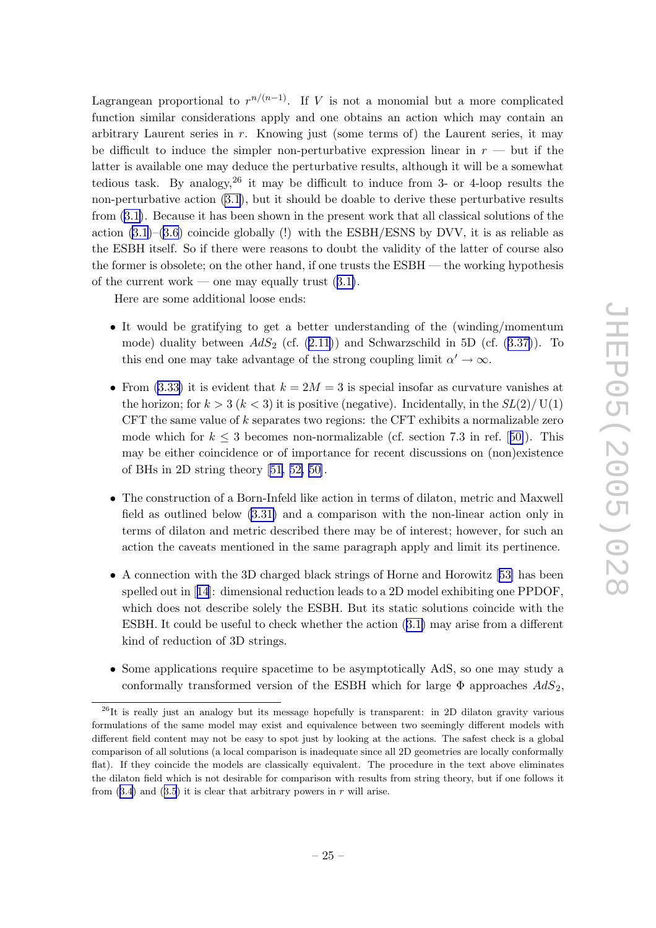Lagrangean proportional to  $r^{n/(n-1)}$ . If V is not a monomial but a more complicated function similar considerations apply and one obtains an action whic h may contain an arbitrary Lauren t series in r . Knowing just (some terms of ) the Lauren t series, it may be difficult to induce the simpler non-perturbative expression linear in  $r -$  but if the latter is available one may deduce the perturbativ e results, although it will b e a somewhat tedious task. By analogy,  $26$  it may be difficult to induce from 3- or 4-loop results the non-perturbative action [\(3.1](#page-8-0)), but it should be doable to derive these perturbative results from ([3.1](#page-8-0) ) . Because it has been shown in the presen t work that all classical solutions of the action [\(3.1](#page-8-0) )–[\(3.6](#page-9-0) ) coincide globally (!) with the ESBH/ESNS b y DVV, it is as reliable as the ESBH itself. So if there were reasons to doubt the validit y of the latter of course also the former is obsolete; on the other hand, if one trusts the ESBH — the working hypothesis of the current work — one may equally trust  $(3.1)$  $(3.1)$  $(3.1)$ .

Here are some additional loose ends:

- It would be gratifying to get a better understanding of the (winding/momentum mode) duality between  $AdS_2$  (cf.  $(2.11)$  $(2.11)$ ) and Schwarzschild in 5D (cf.  $(3.37)$  $(3.37)$  $(3.37)$ ). To this end one may take advantage of the strong coupling limit  $\alpha' \to \infty$ .
- From [\(3.33](#page-16-0)) it is evident that  $k = 2M = 3$  is special insofar as curvature vanishes at the horizon; for  $k > 3$  ( $k < 3$ ) it is positive (negative). Incidentally, in the  $SL(2)/U(1)$ CFT the same value of k separates t w o regions: the CFT exhibits a normalizable zero mode which for  $k \leq 3$  becomes non-normalizable (cf. section 7.3 in ref. [[50\]](#page-35-0)). This may b e either coincidence or of importance for recen t discussions on (non)existence of BHs in 2D string theory  $[51, 52, 50]$  $[51, 52, 50]$  $[51, 52, 50]$  $[51, 52, 50]$  $[51, 52, 50]$ .
- The construction of a Born-Infeld lik e action in terms of dilaton, metric and Maxwell field as outlined belo w [\(3.31](#page-15-0) ) and a comparison with the non-linear action only in terms of dilaton and metric described there may b e of interest; ho wever, for suc h an action the caveats mentioned in the same paragraph apply and limit its pertinence.
- A connection with the 3D charged black strings of Horne and Horowitz [[53](#page-35-0)] has been spelled out in [[14](#page-33-0)]: dimensional reduction leads to a 2D model exhibiting one PPDOF, whic h does not describ e solely the ESBH. But its static solutions coincide with the ESBH. It could be useful to check whether the action  $(3.1)$  $(3.1)$  $(3.1)$  may arise from a different kind of reduction of 3D strings.
- Some applications require spacetime to b e asymptotically AdS, so one may study a conformally transformed version of the ESBH which for large  $\Phi$  approaches  $AdS_2$ ,

 $^{26}$ It is really just an analogy but its message hopefully is transparent: in 2D dilaton gravity various formulations of the same model may exist and equivalence bet ween t w o seemingly differen t models with different field content may not be easy to spot just by looking at the actions. The safest check is a global comparison of all solutions (a local comparison is inadequate since all 2D geometries are locally conformally flat). If they coincide the models are classically equivalent. The procedure in the text above eliminates the dilaton field which is not desirable for comparison with results from string theory, but if one follows it from  $(3.4)$  $(3.4)$  $(3.4)$  and  $(3.5)$  $(3.5)$  $(3.5)$  it is clear that arbitrary powers in r will arise.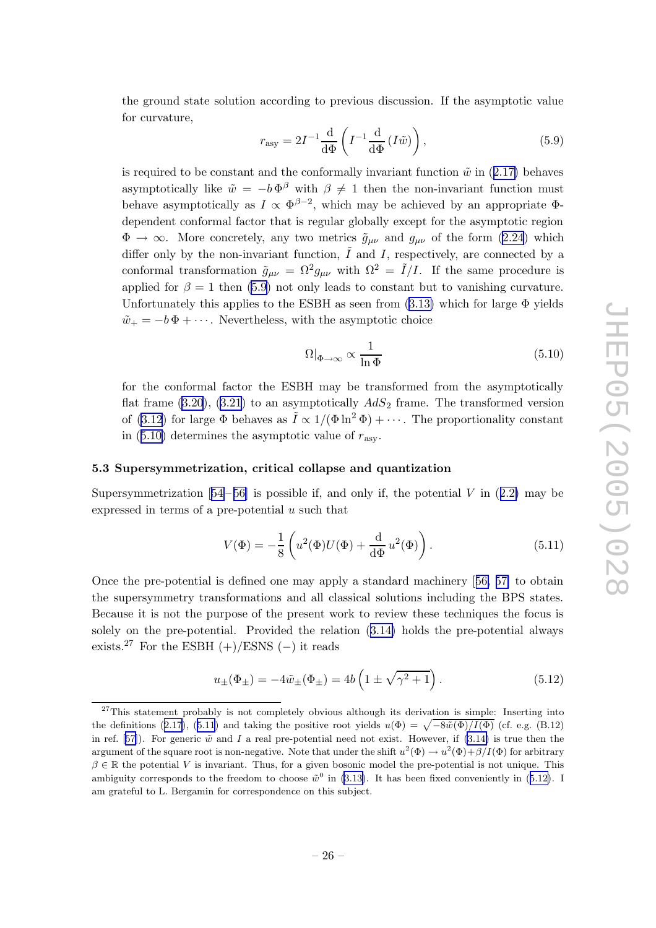<span id="page-26-0"></span>the ground state solution according to previous discussion. If the asymptotic value for curvature,

$$
r_{\rm asy} = 2I^{-1} \frac{\mathrm{d}}{\mathrm{d}\Phi} \left( I^{-1} \frac{\mathrm{d}}{\mathrm{d}\Phi} \left( I \tilde{w} \right) \right),\tag{5.9}
$$

is required to be constant and the conformally invariant function  $\tilde{w}$  in ([2.17](#page-6-0)) behaves asymptotically like  $\tilde{w} = -b \Phi^{\beta}$  with  $\beta \neq 1$  then the non-invariant function must behave asymptotically as  $I \propto \Phi^{\beta-2}$ , which may be achieved by an appropriate  $\Phi$ dependent conformal factor that is regular globally except for the asymptotic region  $\Phi \to \infty$ . More concretely, any two metrics  $\tilde{g}_{\mu\nu}$  and  $g_{\mu\nu}$  of the form ([2.24](#page-7-0)) which differ only by the non-invariant function,  $\tilde{I}$  and I, respectively, are connected by a conformal transformation  $\tilde{g}_{\mu\nu} = \Omega^2 g_{\mu\nu}$  with  $\Omega^2 = \tilde{I}/I$ . If the same procedure is applied for  $\beta = 1$  then (5.9) not only leads to constant but to vanishing curvature. Unfortunately this applies to the ESBH as seen from  $(3.13)$  $(3.13)$  $(3.13)$  which for large  $\Phi$  yields  $\tilde{w}_+ = -b\Phi + \cdots$ . Nevertheless, with the asymptotic choice

$$
\Omega|_{\Phi \to \infty} \propto \frac{1}{\ln \Phi} \tag{5.10}
$$

for the conformal factor the ESBH may b e transformed from the asymptotically flat frame  $(3.20)$  $(3.20)$ ,  $(3.21)$  $(3.21)$  $(3.21)$  to an asymptotically  $AdS_2$  frame. The transformed version of [\(3.12](#page-11-0)) for large  $\Phi$  behaves as  $\tilde{I} \propto 1/(\Phi \ln^2 \Phi) + \cdots$ . The proportionality constant in  $(5.10)$  determines the asymptotic value of  $r_{\rm asy}$ .

#### 5.3 Supersymmetrization, critical collapse and quantization

Supersymmetrization  $[54-56]$  $[54-56]$  $[54-56]$  $[54-56]$  $[54-56]$  is possible if, and only if, the potential V in  $(2.2)$  $(2.2)$  $(2.2)$  may be expressed in terms of a pre-potential  $u$  such that

$$
V(\Phi) = -\frac{1}{8} \left( u^2(\Phi)U(\Phi) + \frac{d}{d\Phi} u^2(\Phi) \right).
$$
 (5.11)

Once the pre-potential is defined one may apply a standard machinery [[56](#page-35-0) , [57](#page-35-0) ] to obtain the supersymmetry transformations and all classical solutions including the BPS states. Because it is not the purpose of the presen t work to review these techniques the focus is solely on the pre-potential. Provided the relation ([3.14](#page-11-0) ) holds the pre-potential alw ays exists.<sup>27</sup> For the ESBH  $(+)/$ ESNS  $(-)$  it reads

$$
u_{\pm}(\Phi_{\pm}) = -4\tilde{w}_{\pm}(\Phi_{\pm}) = 4b\left(1 \pm \sqrt{\gamma^2 + 1}\right). \tag{5.12}
$$

<sup>&</sup>lt;sup>27</sup>This statement probably is not completely obvious although its derivation is simple: Inserting into the definitions ([2.17](#page-6-0)), (5.11) and taking the positive root yields  $u(\Phi) = \sqrt{-8\tilde{w}(\Phi)/I(\Phi)}$  (cf. e.g. (B.12) in ref. [[57\]](#page-35-0)). For generic  $\tilde{w}$  and I a real pre-potential need not exist. However, if [\(3.14](#page-11-0)) is true then the argument of the square root is non-negative. Note that under the shift  $u^2(\Phi) \to u^2(\Phi) + \beta/I(\Phi)$  for arbitrary  $\beta \in \mathbb{R}$  the potential V is invariant. Thus, for a given bosonic model the pre-potential is not unique. This ambiguity corresponds to the freedom to choose  $\tilde{w}^0$  in [\(3.13](#page-11-0)). It has been fixed conveniently in (5.12). I am grateful to L. Bergamin for correspondence on this subject.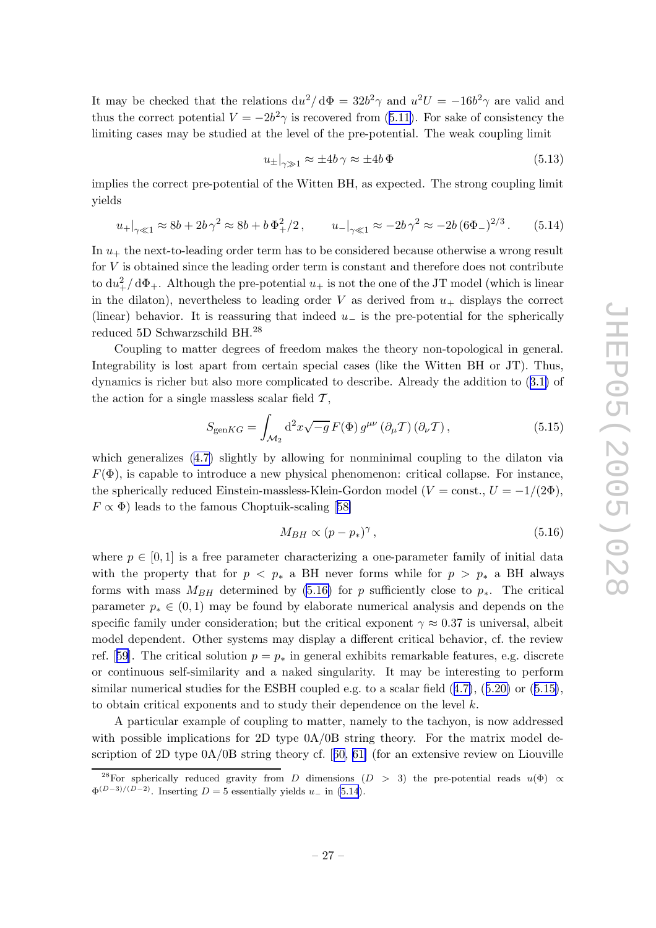It may be checked that the relations  $du^2/d\Phi = 32b^2\gamma$  and  $u^2U = -16b^2\gamma$  are valid and thus the correct potential  $V = -2b^2 \gamma$  is recovered from ([5.11](#page-26-0)). For sake of consistency the limiting cases may b e studied at the level of the pre-potential. The weak coupling limit

$$
u_{\pm}|_{\gamma \gg 1} \approx \pm 4b \gamma \approx \pm 4b \Phi \tag{5.13}
$$

implies the correct pre-potential of the Witten BH, as expected. The strong coupling limit yields

$$
u_+|_{\gamma \ll 1} \approx 8b + 2b\gamma^2 \approx 8b + b\,\Phi_+^2/2\,, \qquad u_-|_{\gamma \ll 1} \approx -2b\,\gamma^2 \approx -2b\,(6\Phi_-)^{2/3}\,. \tag{5.14}
$$

In  $u_+$  the next-to-leading order term has to be considered because otherwise a wrong result for V is obtained since the leading order term is constant and therefore does not contribute to  $du^2_+ / d\Phi_+$ . Although the pre-potential  $u_+$  is not the one of the JT model (which is linear in the dilaton), nevertheless to leading order V as derived from  $u_+$  displays the correct (linear) behavior. It is reassuring that indeed  $u_{-}$  is the pre-potential for the spherically reduced 5D Schwarzschild BH.<sup>28</sup>

Coupling to matter degrees of freedom makes the theory non-topological in general. Integrability is lost apart from certain special cases (like the Witten BH or JT). Thus, dynamics is richer but also more complicated to describe. Already the addition to ([3.1](#page-8-0) ) of the action for a single massless scalar field  $\mathcal{T},$ 

$$
S_{\text{gen}KG} = \int_{\mathcal{M}_2} \mathrm{d}^2 x \sqrt{-g} \, F(\Phi) \, g^{\mu\nu} \left(\partial_{\mu} \mathcal{T}\right) \left(\partial_{\nu} \mathcal{T}\right),\tag{5.15}
$$

which generalizes  $(4.7)$  $(4.7)$  $(4.7)$  slightly by allowing for nonminimal coupling to the dilaton via  $F(\Phi)$ , is capable to introduce a new physical phenomenon: critical collapse. For instance, the spherically reduced Einstein-massless-Klein-Gordon model ( $V = \text{const.}, U = -1/(2\Phi)$ ,  $F \propto \Phi$ ) leads to the famous Choptuik-scaling [[58](#page-35-0)]

$$
M_{BH} \propto (p - p_*)^{\gamma}, \qquad (5.16)
$$

where  $p \in [0, 1]$  is a free parameter characterizing a one-parameter family of initial data with the property that for  $p \leq p_*$  a BH never forms while for  $p > p_*$  a BH always forms with mass  $M_{BH}$  determined by (5.16) for p sufficiently close to  $p_*$ . The critical parameter  $p_* \in (0,1)$  may be found by elaborate numerical analysis and depends on the specific family under consideration; but the critical exponent  $\gamma \approx 0.37$  is universal, albeit model dependent. Other systems may display a differen t critical behavior, cf. the review ref. [[59](#page-35-0)]. The critical solution  $p = p_*$  in general exhibits remarkable features, e.g. discrete or continuous self-similarit y and a naked singularit y . It may b e interesting to perform similar numerical studies for the ESBH coupled e.g. to a scalar field  $(4.7)$  $(4.7)$  $(4.7)$ ,  $(5.20)$  $(5.20)$  $(5.20)$  or  $(5.15)$ , to obtain critical exponents and to study their dependence on the level k.

A particular example of coupling to matter, namely to the tachyon, is now addressed with possible implications for 2D type  $0A/0B$  string theory. For the matrix model description of 2D type  $0A/0B$  string theory cf. [[60,](#page-36-0) [61\]](#page-36-0) (for an extensive review on Liouville

<sup>&</sup>lt;sup>28</sup>For spherically reduced gravity from D dimensions (D > 3) the pre-potential reads  $u(\Phi) \propto$  $\Phi^{(D-3)/(D-2)}$ . Inserting  $D=5$  essentially yields  $u_{-}$  in (5.14).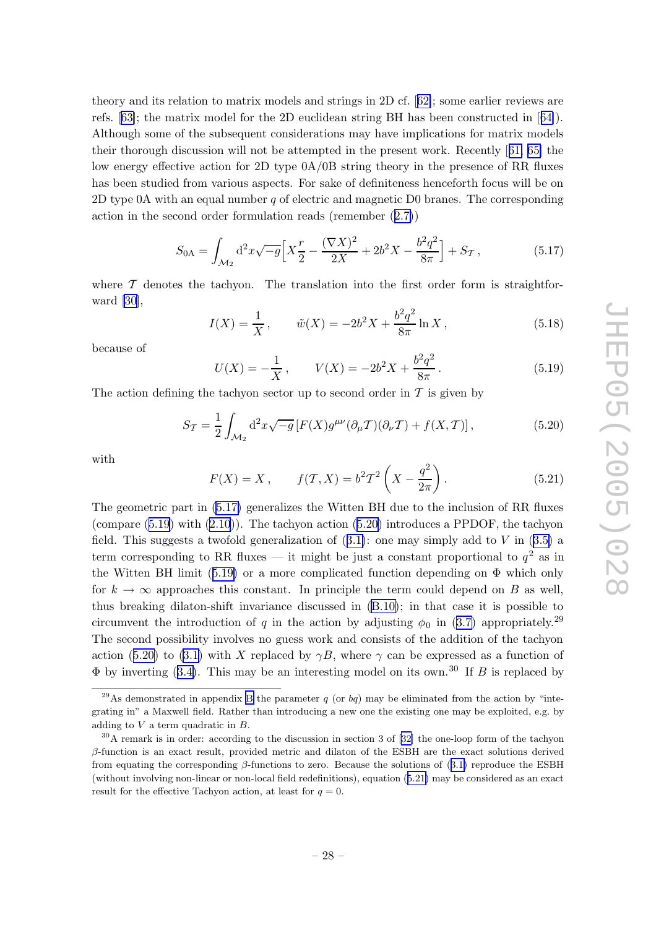<span id="page-28-0"></span>theory and its relation to matrix models and strings in 2D cf. [[62\]](#page-36-0); some earlier reviews are refs. [[63\]](#page-36-0); the matrix model for the 2D euclidean string BH has been constructed in [[64\]](#page-36-0)). Although some of the subsequen t considerations may hav e implications for matrix models their thorough discussion will not be attempted in the present work. Recently [[61](#page-36-0), [65](#page-36-0)] the lo w energy effectiv e action for 2D typ e 0A/0B string theory in the presence of RR fluxes has been studied from various aspects. For sak e of definiteness henceforth focus will b e on 2D typ e 0A with an equal num ber q of electric and magnetic D0 branes. The corresponding action in the second order formulation reads (remem ber ([2.7](#page-5-0) ) )

$$
S_{0A} = \int_{\mathcal{M}_2} d^2 x \sqrt{-g} \Big[ X \frac{r}{2} - \frac{(\nabla X)^2}{2X} + 2b^2 X - \frac{b^2 q^2}{8\pi} \Big] + S_{\mathcal{T}},\tag{5.17}
$$

where  $\mathcal T$  denotes the tachyon. The translation into the first order form is straightforward [\[30](#page-34-0)],

$$
I(X) = \frac{1}{X}, \qquad \tilde{w}(X) = -2b^2X + \frac{b^2q^2}{8\pi} \ln X, \qquad (5.18)
$$

because of

$$
U(X) = -\frac{1}{X}, \qquad V(X) = -2b^2X + \frac{b^2q^2}{8\pi}.
$$
\n(5.19)

The action defining the tachyon sector up to second order in  $\mathcal T$  is given by

$$
S_{\mathcal{T}} = \frac{1}{2} \int_{\mathcal{M}_2} d^2 x \sqrt{-g} \left[ F(X) g^{\mu\nu} (\partial_{\mu} \mathcal{T}) (\partial_{\nu} \mathcal{T}) + f(X, \mathcal{T}) \right],\tag{5.20}
$$

with

$$
F(X) = X, \t f(\mathcal{T}, X) = b^2 \mathcal{T}^2 \left( X - \frac{q^2}{2\pi} \right). \t (5.21)
$$

The geometric part in (5.17 ) generalizes the Witten BH due to the inclusion of RR fluxes (compare  $(5.19)$  with  $(2.10)$  $(2.10)$  $(2.10)$ ). The tachyon action  $(5.20)$  introduces a PPDOF, the tachyon field. This suggests a twofold generalization of  $(3.1)$  $(3.1)$  $(3.1)$ : one may simply add to V in  $(3.5)$  $(3.5)$  $(3.5)$  a term corresponding to RR fluxes — it might be just a constant proportional to  $q^2$  as in the Witten BH limit (5.19 ) or a more complicated function depending on Φ whic h only for  $k \to \infty$  approaches this constant. In principle the term could depend on B as well, thus breaking dilaton-shift in variance discussed in ([B.10](#page-32-0) ) ; in that case it is possible to circumvent the introduction of q in the action by adjusting  $\phi_0$  in ([3.7](#page-9-0)) appropriately.<sup>29</sup> The second possibilit y in volves no guess work and consists of the addition of the tac h yon action (5.20) to [\(3.1](#page-8-0)) with X replaced by  $\gamma B$ , where  $\gamma$  can be expressed as a function of  $\Phi$  by inverting ([3.4](#page-8-0)). This may be an interesting model on its own.<sup>30</sup> If B is replaced by

<sup>&</sup>lt;sup>29</sup>As demonstrated in appendix [B](#page-30-0) the parameter q (or bq) may be eliminated from the action by "integrating in" a Maxwell field. Rather than introducing a new one the existing one may be exploited, e.g. by adding to  $V$  a term quadratic in  $B$ .

 $30$ A remark is in order: according to the discussion in section 3 of [\[32](#page-34-0)] the one-loop form of the tachyon β-function is an exact result, provided metric and dilaton of the ESBH are the exact solutions derived from equating the corresponding  $\beta$ -functions to zero. Because the solutions of ([3.1](#page-8-0)) reproduce the ESBH (without in volving non-linear or non-local field redefinitions), equation (5.21 ) may b e considered as an exact result for the effective Tachyon action, at least for  $q=0$ .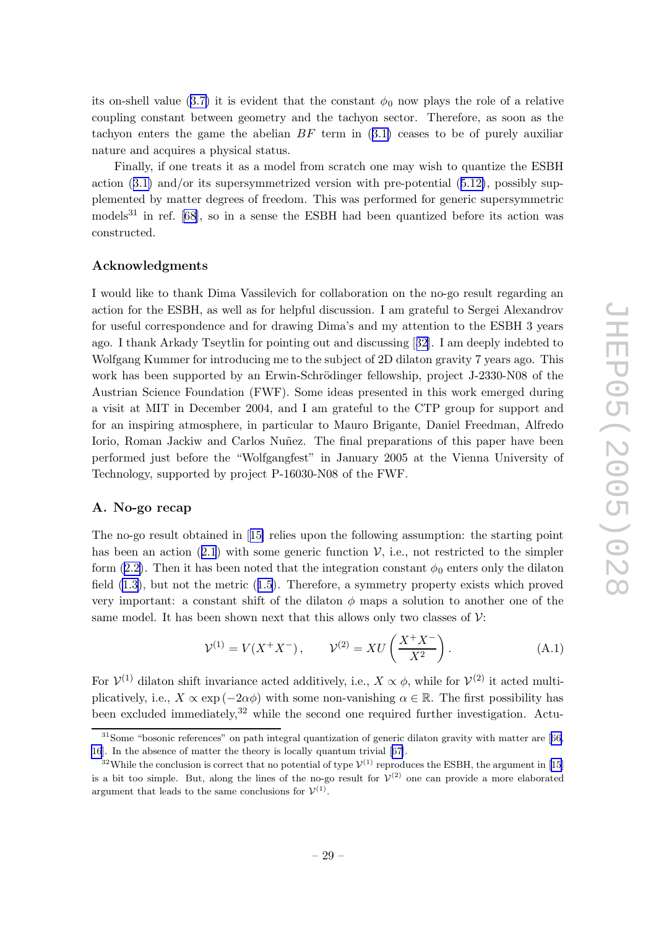<span id="page-29-0"></span>its on-shell value ([3.7](#page-9-0)) it is evident that the constant  $\phi_0$  now plays the role of a relative coupling constan t bet ween geometry and the tac h yon sector. Therefore, as soon as the tachyon enters the game the abelian  $BF$  term in  $(3.1)$  $(3.1)$  $(3.1)$  ceases to be of purely auxiliar nature and acquires a physical status.

Finally , if one treats it as a model from scratc h one may wish to quantize the ESBH action ([3.1](#page-8-0) ) and/or its supersymmetrized version with pre-potential ([5.12](#page-26-0) ) , possibly supplemented by matter degrees of freedom. This was performed for generic supersymmetric models<sup>31</sup> in ref. [\[68\]](#page-36-0), so in a sense the ESBH had been quantized before its action was constructed.

#### Acknowledgments

I would like to thank Dima Vassilevic h for collaboration on the no-go result regarding an action for the ESBH, as well as for helpful discussion. I am grateful to Sergei Alexandro v for useful correspondence and for drawing Dima's and my attention to the ESBH 3 years ago. I thank Arkady Tseytlin for pointing out and discussing [[32\]](#page-34-0). I am deeply indebted to Wolfgang Kummer for introducing me to the subject of 2D dilaton gravity 7 years ago. This work has been supported by an Erwin-Schrödinger fellowship, project J-2330-N08 of the Austrian Science Foundation (FWF). Some ideas presented in this work emerged during a visit at MIT in Decem ber 2004, and I am grateful to the CTP group for support and for an inspiring atmosphere, in particular to Mauro Brigante, Daniel Freedman, Alfredo Iorio, Roman Jackiw and Carlos Nuñez. The final preparations of this paper have been performed just before the "Wolfgangfest" in January 2005 at the Vienna Universit y of Technology , supported b y project P-16030-N08 of the FWF.

### A. No-go recap

The no-go result obtained in [[15](#page-33-0)] relies upon the following assumption: the starting point has been an action  $(2.1)$  $(2.1)$  $(2.1)$  with some generic function  $\mathcal{V}$ , i.e., not restricted to the simpler form ([2.2](#page-4-0)). Then it has been noted that the integration constant  $\phi_0$  enters only the dilaton field  $(1.3)$  $(1.3)$ , but not the metric  $(1.5)$  $(1.5)$  $(1.5)$ . Therefore, a symmetry property exists which proved very important: a constant shift of the dilaton  $\phi$  maps a solution to another one of the same model. It has been shown next that this allows only two classes of  $\mathcal{V}$ :

$$
\mathcal{V}^{(1)} = V(X^+X^-), \qquad \mathcal{V}^{(2)} = XU\left(\frac{X^+X^-}{X^2}\right). \tag{A.1}
$$

For  $\mathcal{V}^{(1)}$  dilaton shift invariance acted additively, i.e.,  $X \propto \phi$ , while for  $\mathcal{V}^{(2)}$  it acted multiplicatively, i.e.,  $X \propto \exp(-2\alpha\phi)$  with some non-vanishing  $\alpha \in \mathbb{R}$ . The first possibility has been excluded immediately,<sup>32</sup> while the second one required further investigation. Actu-

 $31$ Some "bosonic references" on path integral quantization of generic dilaton gravity with matter are [[66,](#page-36-0) [16](#page-33-0)]. In the absence of matter the theory is locally quantum trivial [[67\]](#page-36-0).

<sup>&</sup>lt;sup>32</sup>While the conclusion is correct that no potential of type  $\mathcal{V}^{(1)}$  reproduces the ESBH, the argument in [\[15](#page-33-0)] is a bit too simple. But, along the lines of the no-go result for  $\mathcal{V}^{(2)}$  one can provide a more elaborated argument that leads to the same conclusions for  $\mathcal{V}^{(1)}$ .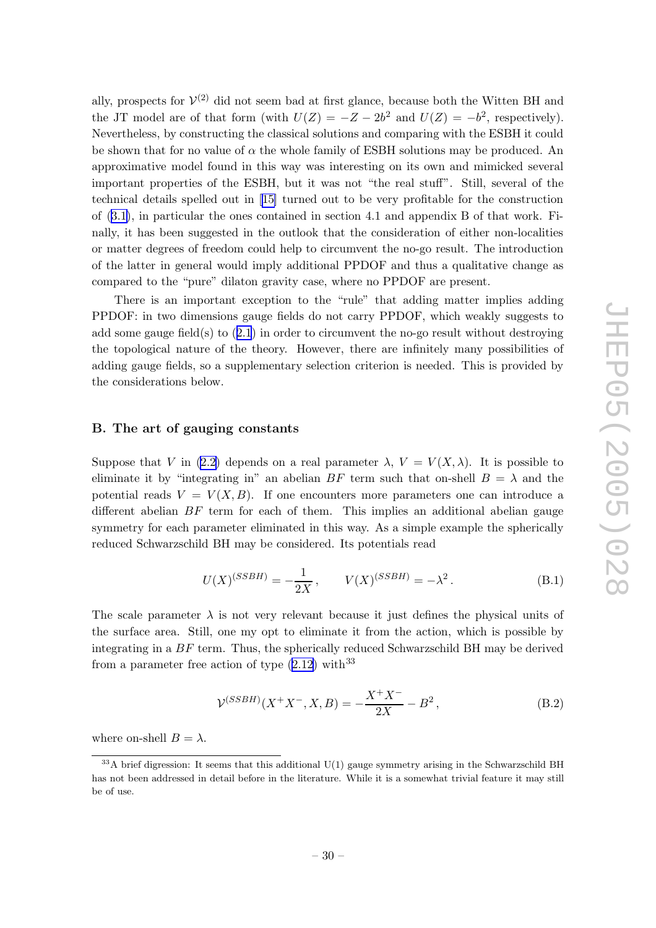<span id="page-30-0"></span>ally, prospects for  $V^{(2)}$  did not seem bad at first glance, because both the Witten BH and the JT model are of that form (with  $U(Z) = -Z - 2b^2$  and  $U(Z) = -b^2$ , respectively). Nevertheless, b y constructing the classical solutions and comparing with the ESBH it could be shown that for no value of  $\alpha$  the whole family of ESBH solutions may be produced. An approximativ e model found in this w ay was interesting on its own and mimic ked several importan t properties of the ESBH, but it was not "the real stuff". Still, several of the technical details spelled out in [[15](#page-33-0) ] turned out to b e very profitable for the construction of [\(3.1](#page-8-0) ) , in particular the ones contained in section 4.1 and appendix B of that work. Finally, it has been suggested in the outlook that the consideration of either non-localities or matter degrees of freedom could help to circum ven t the no-go result. The introduction of the latter in general would imply additional PPDOF and thus a qualitativ e change as compared to the "pure" dilaton gravit y case, where no PPDOF are present.

There is an importan t exception to the "rule" that adding matter implies adding PPDOF: in t w o dimensions gauge fields do not carry PPDOF, whic h weakly suggests to add some gauge field(s) to ([2.1](#page-4-0) ) in order to circum ven t the no-go result without destroying the topological nature of the theory . Ho wever, there are infinitely man y possibilities of adding gauge fields, so a supplementary selection criterion is needed. This is provided b y the considerations below.

# B. The art of gauging constants

Suppose that V in ([2.2](#page-4-0)) depends on a real parameter  $\lambda$ ,  $V = V(X, \lambda)$ . It is possible to eliminate it by "integrating in" an abelian BF term such that on-shell  $B = \lambda$  and the potential reads  $V = V(X, B)$ . If one encounters more parameters one can introduce a different abelian  $BF$  term for each of them. This implies an additional abelian gauge symmetry for each parameter eliminated in this way. As a simple example the spherically reduced Sc h warzschild BH may b e considered. Its potentials read

$$
U(X)^{(SSBH)} = -\frac{1}{2X}, \qquad V(X)^{(SSBH)} = -\lambda^2. \tag{B.1}
$$

The scale parameter  $\lambda$  is not very relevant because it just defines the physical units of the surface area. Still, one m y opt to eliminate it from the action, whic h is possible b y integrating in a B F term. Thus, the spherically reduced Sc h warzschild BH may b e derived from a parameter free action of type  $(2.12)$  $(2.12)$  $(2.12)$  with<sup>33</sup>

$$
\mathcal{V}^{(SSBH)}(X^+X^-, X, B) = -\frac{X^+X^-}{2X} - B^2,
$$
\n(B.2)

where on-shell  $B = \lambda$ .

 $33A$  brief digression: It seems that this additional U(1) gauge symmetry arising in the Schwarzschild BH has not been addressed in detail before in the literature. While it is a somewhat trivial feature it may still b e of use.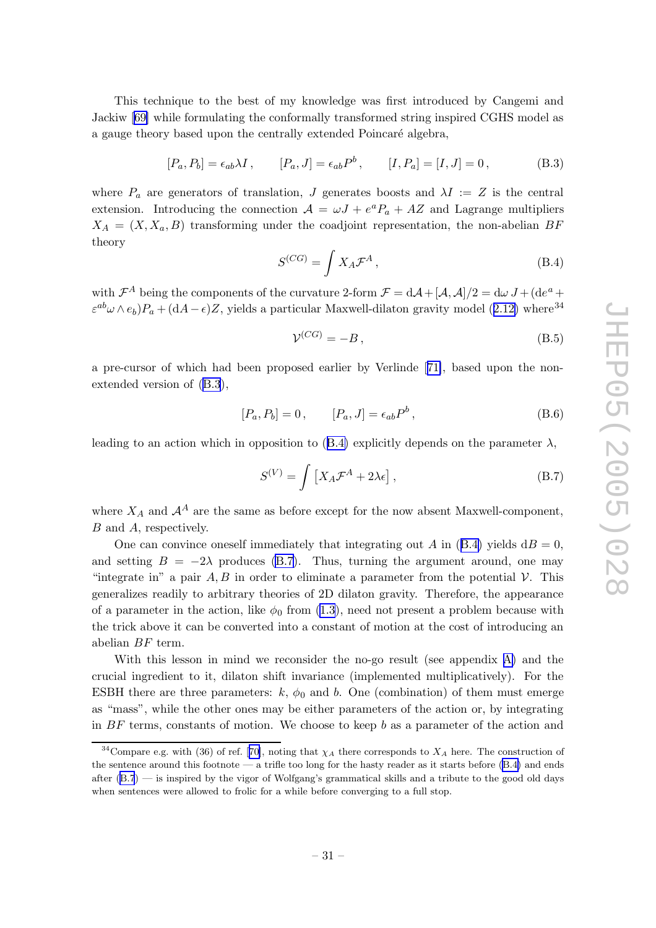<span id="page-31-0"></span>This technique to the best of m y knowledge was first introduced b y Cangemi and Jackiw [[69](#page-36-0) ] while formulating the conformally transformed string inspired CGHS model as a gauge theory based upon the centrally extended Poincaré algebra,

$$
[P_a, P_b] = \epsilon_{ab} \lambda I, \qquad [P_a, J] = \epsilon_{ab} P^b, \qquad [I, P_a] = [I, J] = 0,
$$
 (B.3)

where  $P_a$  are generators of translation, J generates boosts and  $\lambda I := Z$  is the central extension. Introducing the connection  $A = \omega J + e^a P_a + AZ$  and Lagrange multipliers  $X_A = (X, X_a, B)$  transforming under the coadjoint representation, the non-abelian BF theory

$$
S^{(CG)} = \int X_A \mathcal{F}^A \,, \tag{B.4}
$$

with  $\mathcal{F}^A$  being the components of the curvature 2-form  $\mathcal{F} = d\mathcal{A} + [\mathcal{A}, \mathcal{A}]/2 = d\omega J + (de^a + d\omega)J$  $\varepsilon^{ab}\omega\wedge e_b$ ) $P_a + (\mathrm{d}A - \epsilon)Z$ , yields a particular Maxwell-dilaton gravity model ([2.12](#page-5-0)) where<sup>34</sup>

$$
\mathcal{V}^{(CG)} = -B\,,\tag{B.5}
$$

a pre-cursor of whic h had been proposed earlier b y Verlinde [[71\]](#page-37-0), based upon the nonextended version of (B.3),

$$
[P_a, P_b] = 0, \t [P_a, J] = \epsilon_{ab} P^b,
$$
\t(B.6)

leading to an action which in opposition to  $(B.4)$  explicitly depends on the parameter  $\lambda$ ,

$$
S^{(V)} = \int \left[ X_A \mathcal{F}^A + 2\lambda \epsilon \right],\tag{B.7}
$$

where  $X_A$  and  $\mathcal{A}^A$  are the same as before except for the now absent Maxwell-component, B and A, respectively.

One can convince oneself immediately that integrating out A in  $(B.4)$  yields  $dB = 0$ , and setting  $B = -2\lambda$  produces (B.7). Thus, turning the argument around, one may "integrate in" a pair  $A, B$  in order to eliminate a parameter from the potential  $V$ . This generalizes readily to arbitrary theories of 2D dilaton gravit y . Therefore, the appearance of a parameter in the action, like  $\phi_0$  from [\(1.3](#page-2-0)), need not present a problem because with the trick above it can be converted into a constant of motion at the cost of introducing an abelian B F term.

With this lesson in mind we reconsider the no-go result (see appendix [A](#page-29-0)) and the crucial ingredien t to it, dilaton shift in variance (implemented multiplicatively). For the ESBH there are three parameters:  $k, \phi_0$  and  $b$ . One (combination) of them must emerge as "mass", while the other ones may be either parameters of the action or, by integrating in B F terms, constants of motion. We choose to keep b as a parameter of the action and

<sup>&</sup>lt;sup>34</sup>Compare e.g. with (36) of ref. [[70\]](#page-36-0), noting that  $\chi_A$  there corresponds to  $X_A$  here. The construction of the sentence around this footnote — a trifle too long for the hasty reader as it starts before (B.4) and ends after (B.7) — is inspired by the vigor of Wolfgang's grammatical skills and a tribute to the good old days when sentences were allowed to frolic for a while before converging to a full stop.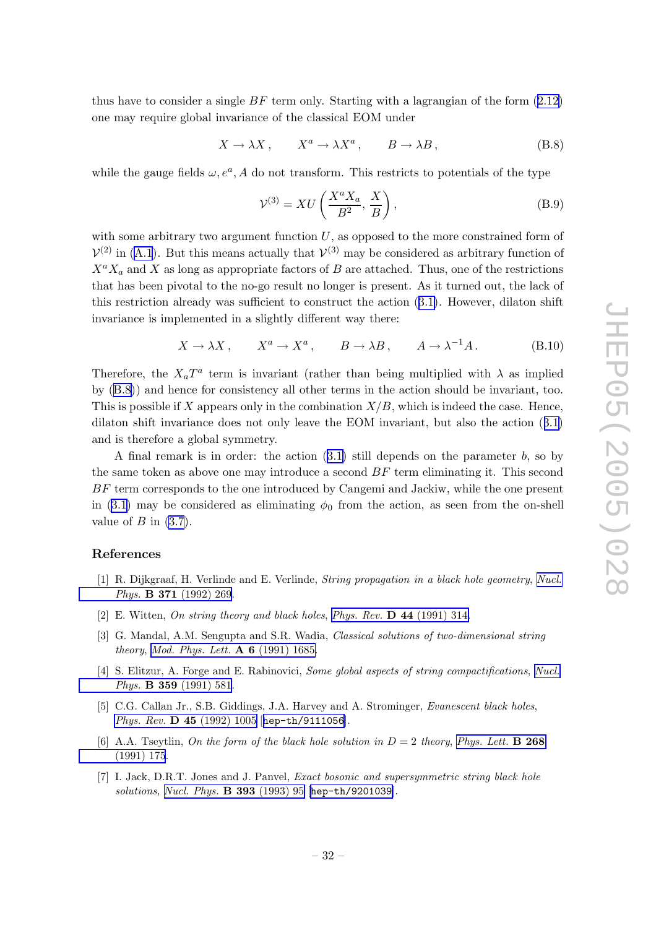<span id="page-32-0"></span>thus have to consider a single  $BF$  term only. Starting with a lagrangian of the form  $(2.12)$  $(2.12)$  $(2.12)$ one may require global in variance of the classical EOM under

$$
X \to \lambda X, \qquad X^a \to \lambda X^a, \qquad B \to \lambda B, \tag{B.8}
$$

while the gauge fields  $\omega, e^a, A$  do not transform. This restricts to potentials of the type

$$
\mathcal{V}^{(3)} = XU\left(\frac{X^a X_a}{B^2}, \frac{X}{B}\right),\tag{B.9}
$$

with some arbitrary two argument function  $U$ , as opposed to the more constrained form of  $V^{(2)}$  in ([A.1](#page-29-0)). But this means actually that  $V^{(3)}$  may be considered as arbitrary function of  $X^a X_a$  and X as long as appropriate factors of B are attached. Thus, one of the restrictions that has been pivotal to the no-go result no longer is present. As it turned out, the lac k of this restriction already was sufficient to construct the action  $(3.1)$  $(3.1)$  $(3.1)$ . However, dilaton shift in variance is implemented in a slightly differen t w ay there:

$$
X \to \lambda X
$$
,  $X^a \to X^a$ ,  $B \to \lambda B$ ,  $A \to \lambda^{-1} A$ . (B.10)

Therefore, the  $X_aT^a$  term is invariant (rather than being multiplied with  $\lambda$  as implied by  $(B.8)$  and hence for consistency all other terms in the action should be invariant, too. This is possible if X appears only in the combination  $X/B$ , which is indeed the case. Hence, dilaton shift invariance does not only leave the EOM invariant, but also the action  $(3.1)$  $(3.1)$  $(3.1)$ and is therefore a global symmetry .

A final remark is in order: the action  $(3.1)$  $(3.1)$  $(3.1)$  still depends on the parameter  $b$ , so by the same token as above one may introduce a second  $BF$  term eliminating it. This second BF term corresponds to the one introduced by Cangemi and Jackiw, while the one present in [\(3.1](#page-8-0)) may be considered as eliminating  $\phi_0$  from the action, as seen from the on-shell value of  $B$  in  $(3.7)$  $(3.7)$ .

#### References

- [1] R. Dijkgraaf, H. Verlinde and E. Verlinde, *String propagation in a black hole geometry*, *[Nucl.](http://www-spires.slac.stanford.edu/spires/find/hep/www?j=NUPHA%2CB371%2C269)* Phys. **B 371** [\(1992\)](http://www-spires.slac.stanford.edu/spires/find/hep/www?j=NUPHA%2CB371%2C269) 269.
- [2] E. Witten, On string theory and black holes, Phys. Rev.  $\bf{D}$  44 [\(1991\)](http://www-spires.slac.stanford.edu/spires/find/hep/www?j=PHRVA%2CD44%2C314) 314.
- [3] G. Mandal, A.M. Sengupta and S.R. Wadia, Classical solutions of two-dimensional string *theory, Mod. Phys. Lett.*  $\bf{A} 6 (1991) 1685$  $\bf{A} 6 (1991) 1685$  $\bf{A} 6 (1991) 1685$ .
- [4] S. Elitzur, A. Forge and E. Rabinovici, Some global aspects of string compactifications, [Nucl.](http://www-spires.slac.stanford.edu/spires/find/hep/www?j=NUPHA%2CB359%2C581) *Phys.* **B** 359 [\(1991\)](http://www-spires.slac.stanford.edu/spires/find/hep/www?j=NUPHA%2CB359%2C581) 581.
- [5] C.G. Callan Jr., S.B. Giddings, J.A. Harvey and A. Strominger, *Evanescent black holes*, Phys. Rev. **D** 45 [\(1992\)](http://www-spires.slac.stanford.edu/spires/find/hep/www?j=PHRVA%2CD45%2C1005) 1005 [[hep-th/9111056](http://xxx.lanl.gov/abs/hep-th/9111056)].
- [6] A.A. Tseytlin, On the form of the black hole solution in  $D = 2$  theory, [Phys.](http://www-spires.slac.stanford.edu/spires/find/hep/www?j=PHLTA%2CB268%2C175) Lett. **B** 268 [\(1991\)](http://www-spires.slac.stanford.edu/spires/find/hep/www?j=PHLTA%2CB268%2C175) 175 .
- [7] I. Jack, D.R.T. Jones and J. Panvel, *Exact bosonic and supersymmetric string black hole* solutions, Nucl. Phys. **B 393** [\(1993\)](http://www-spires.slac.stanford.edu/spires/find/hep/www?j=NUPHA%2CB393%2C95) 95 [[hep-th/9201039](http://xxx.lanl.gov/abs/hep-th/9201039)].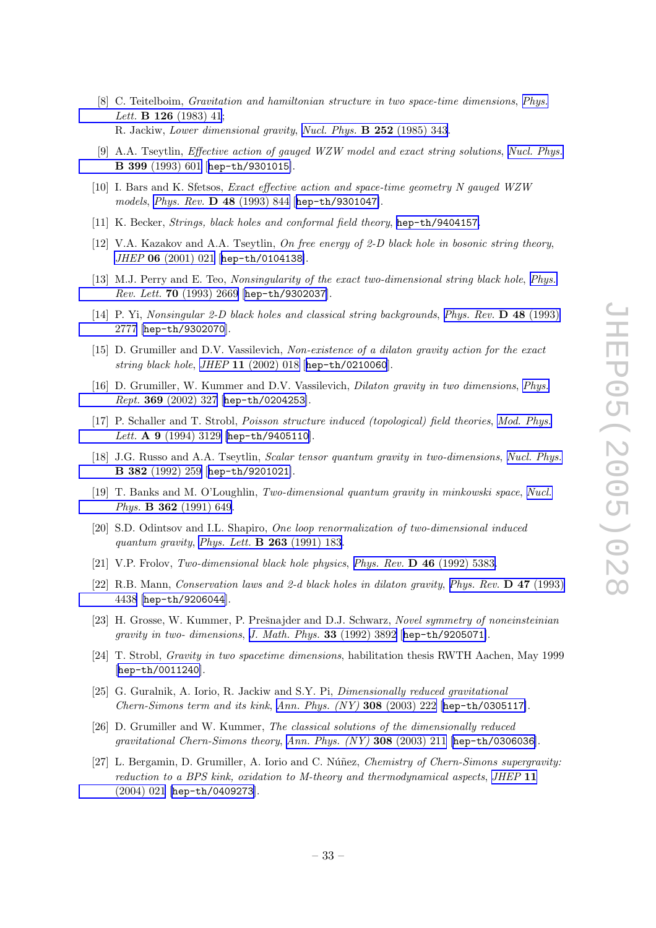- <span id="page-33-0"></span>[8] C. Teitelboim, Gravitation and hamiltonian structure in two space-time dimensions , [Phys.](http://www-spires.slac.stanford.edu/spires/find/hep/www?j=PHLTA%2CB126%2C41) Lett. **B** 126 [\(1983\)](http://www-spires.slac.stanford.edu/spires/find/hep/www?j=PHLTA%2CB126%2C41) 41; R. Jackiw, *Lower dimensional gravity, Nucl. Phys.* **B 252** [\(1985\)](http://www-spires.slac.stanford.edu/spires/find/hep/www?j=NUPHA%2CB252%2C343) 343.
- [9] A.A. Tseytlin, Effective action of gauge d WZW model and exact string solutions , Nucl. [Phys.](http://www-spires.slac.stanford.edu/spires/find/hep/www?j=NUPHA%2CB399%2C601) B 399 [\(1993\)](http://www-spires.slac.stanford.edu/spires/find/hep/www?j=NUPHA%2CB399%2C601) 601 [[hep-th/9301015](http://xxx.lanl.gov/abs/hep-th/9301015)].
- [10] I. Bars and K. Sfetsos, Exact effective action and space-time geometry N gauge d WZW models , Phys. Rev. D 48 [\(1993\)](http://www-spires.slac.stanford.edu/spires/find/hep/www?j=PHRVA%2CD48%2C844) 844 [[hep-th/9301047](http://xxx.lanl.gov/abs/hep-th/9301047)].
- [11] K. Becker, *Strings, black holes and conformal field theory*, [hep-th/9404157](http://xxx.lanl.gov/abs/hep-th/9404157).
- [12] V.A. Kazakov and A.A. Tseytlin, On free energy of 2-D black hole in bosonic string theory, JHEP 06 [\(2001\)](http://jhep.sissa.it/stdsearch?paper=06%282001%29021) 021 [[hep-th/0104138](http://xxx.lanl.gov/abs/hep-th/0104138)].
- [13] M.J. Perry and E. Teo, Nonsingularity of the exact two-dimensional string black hole, [Phys.](http://www-spires.slac.stanford.edu/spires/find/hep/www?j=PRLTA%2C70%2C2669)  $Rev. Lett.$  70  $(1993)$  2669 [[hep-th/9302037](http://xxx.lanl.gov/abs/hep-th/9302037)].
- [14] P. Yi, Nonsingular 2-D black holes and classical string backgrounds, Phys. Rev. D 48 [\(1993\)](http://www-spires.slac.stanford.edu/spires/find/hep/www?j=PHRVA%2CD48%2C2777) [2777](http://www-spires.slac.stanford.edu/spires/find/hep/www?j=PHRVA%2CD48%2C2777) [[hep-th/9302070](http://xxx.lanl.gov/abs/hep-th/9302070)].
- [15] D. Grumiller and D.V. Vassilevich, Non-existence of a dilaton gravity action for the exact string black hole, JHEP 11 [\(2002\)](http://jhep.sissa.it/stdsearch?paper=11%282002%29018) 018 [[hep-th/0210060](http://xxx.lanl.gov/abs/hep-th/0210060)].
- [16] D. Grumiller, W. Kummer and D.V. Vassilevich, *Dilaton gravity in two dimensions*, *[Phys.](http://www-spires.slac.stanford.edu/spires/find/hep/www?j=PRPLC%2C369%2C327)*  $Rept.$  369  $(2002)$  327 [[hep-th/0204253](http://xxx.lanl.gov/abs/hep-th/0204253)].
- [17] P . Schaller and T. Strobl, Poisson structure induc e d (topological) field theories , Mod. [Phys.](http://www-spires.slac.stanford.edu/spires/find/hep/www?j=MPLAE%2CA9%2C3129) Lett. A  $9$  [\(1994\)](http://www-spires.slac.stanford.edu/spires/find/hep/www?j=MPLAE%2CA9%2C3129) 3129 [[hep-th/9405110](http://xxx.lanl.gov/abs/hep-th/9405110)].
- [18] J.G. Russo and A.A. Tseytlin, Scalar tensor quantum gravity in two-dimensions, Nucl. [Phys.](http://www-spires.slac.stanford.edu/spires/find/hep/www?j=NUPHA%2CB382%2C259) B 382 [\(1992\)](http://www-spires.slac.stanford.edu/spires/find/hep/www?j=NUPHA%2CB382%2C259) 259 [[hep-th/9201021](http://xxx.lanl.gov/abs/hep-th/9201021)].
- [19] T. Banks and M. O'Loughlin, Two-dimensional quantum gravity in minkowski space, [Nucl.](http://www-spires.slac.stanford.edu/spires/find/hep/www?j=NUPHA%2CB362%2C649) Phys. **B** 362 [\(1991\)](http://www-spires.slac.stanford.edu/spires/find/hep/www?j=NUPHA%2CB362%2C649) 649.
- [20] S.D. Odintsov and I.L. Shapiro, *One loop renormalization of two-dimensional induced* quantum gravity, Phys. Lett. **B 263** [\(1991\)](http://www-spires.slac.stanford.edu/spires/find/hep/www?j=PHLTA%2CB263%2C183) 183.
- [21] V.P. Frolov, Two-dimensional black hole physics, Phys. Rev.  $\bf{D}$  46 [\(1992\)](http://www-spires.slac.stanford.edu/spires/find/hep/www?j=PHRVA%2CD46%2C5383) 5383.
- [22] R.B. Mann, Conservation laws and 2-d black holes in dilaton gravity , Phys. Rev. D 47 [\(1993\)](http://www-spires.slac.stanford.edu/spires/find/hep/www?j=PHRVA%2CD47%2C4438) [4438](http://www-spires.slac.stanford.edu/spires/find/hep/www?j=PHRVA%2CD47%2C4438) [[hep-th/9206044](http://xxx.lanl.gov/abs/hep-th/9206044)].
- [23] H. Grosse, W. Kummer, P. Prešnajder and D.J. Schwarz, Novel symmetry of noneinsteinian gravity in two- dimensions, J. Math. Phys. 33 [\(1992\)](http://www-spires.slac.stanford.edu/spires/find/hep/www?j=JMAPA%2C33%2C3892) 3892 [[hep-th/9205071](http://xxx.lanl.gov/abs/hep-th/9205071)].
- [24] T. Strobl, *Gravity in two spacetime dimensions*, habilitation thesis RWTH Aachen, May 1999 [[hep-th/0011240](http://xxx.lanl.gov/abs/hep-th/0011240)].
- [25] G. Guralnik, A. Iorio, R. Jackiw and S.Y. Pi, *Dimensionally reduced gravitational* Chern-Simons term and its kink , Ann. Phys. (NY) 308 [\(2003\)](http://www-spires.slac.stanford.edu/spires/find/hep/www?j=APNYA%2C308%2C222) 222 [[hep-th/0305117](http://xxx.lanl.gov/abs/hep-th/0305117)].
- [26] D. Grumiller and W. Kummer, The classical solutions of the dimensionally reduced gravitational Chern-Simons theory , Ann. Phys. (NY) 308 [\(2003\)](http://www-spires.slac.stanford.edu/spires/find/hep/www?j=APNYA%2C308%2C211) 211 [[hep-th/0306036](http://xxx.lanl.gov/abs/hep-th/0306036)].
- [27] L. Bergamin, D. Grumiller, A. Iorio and C. Núñez, *Chemistry of Chern-Simons supergravity*: reduction to a BPS kink, oxidation to M-theory and thermodynamical aspects, [JHEP](http://jhep.sissa.it/stdsearch?paper=11%282004%29021) 11 [\(2004\)](http://jhep.sissa.it/stdsearch?paper=11%282004%29021) 021 [[hep-th/0409273](http://xxx.lanl.gov/abs/hep-th/0409273)].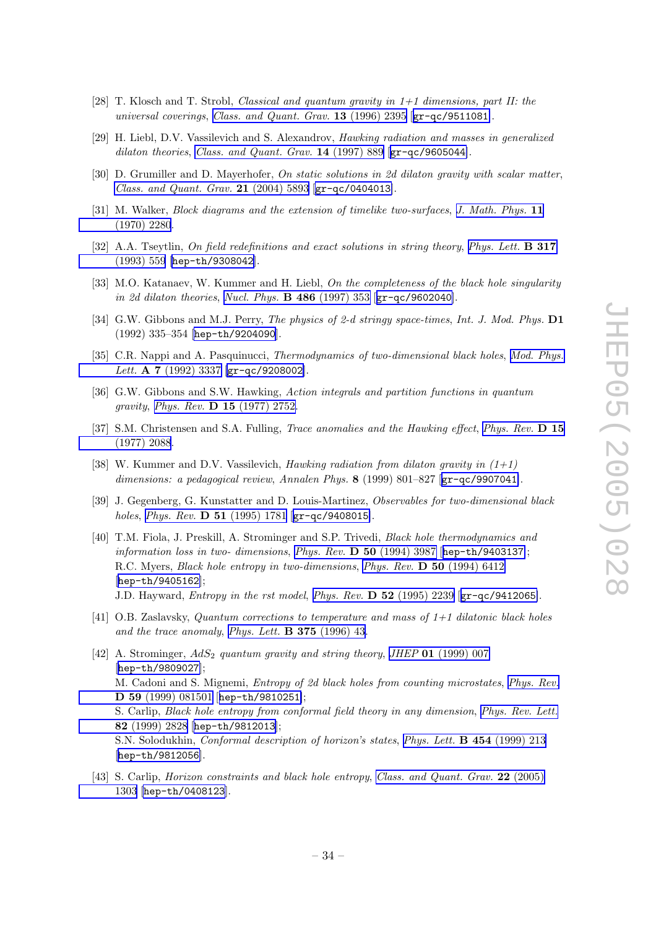- <span id="page-34-0"></span>[28] T. Klosch and T. Strobl, *Classical and quantum gravity in*  $1+1$  dimensions, part II: the universal coverings, Class. and [Quant.](http://www-spires.slac.stanford.edu/spires/find/hep/www?j=CQGRD%2C13%2C2395) Grav.  $13$  (1996) 2395 [[gr-qc/9511081](http://xxx.lanl.gov/abs/gr-qc/9511081)].
- [29] H. Liebl, D.V. Vassilevich and S. Alexandrov, *Hawking radiation and masses in generalized* dilaton theories, Class. and [Quant.](http://www-spires.slac.stanford.edu/spires/find/hep/www?j=CQGRD%2C14%2C889) Grav.  $14$  (1997) 889 [[gr-qc/9605044](http://xxx.lanl.gov/abs/gr-qc/9605044)].
- [30] D. Grumiller and D. Mayerhofer, On static solutions in 2d dilaton gravity with scalar matter, Class. and [Quant.](http://www-spires.slac.stanford.edu/spires/find/hep/www?j=CQGRD%2C21%2C5893) Grav. 21 (2004) 5893 [[gr-qc/0404013](http://xxx.lanl.gov/abs/gr-qc/0404013)].
- [31] M. Walker, Block diagrams and the extension of timelike two-surfaces, J. [Math.](http://www-spires.slac.stanford.edu/spires/find/hep/www?j=JMAPA%2C11%2C2280) Phys. 11 [\(1970\)](http://www-spires.slac.stanford.edu/spires/find/hep/www?j=JMAPA%2C11%2C2280) 2280 .
- [32] A.A. Tseytlin, On field redefinitions and exact solutions in string theory, [Phys.](http://www-spires.slac.stanford.edu/spires/find/hep/www?j=PHLTA%2CB317%2C559) Lett. **B 317** [\(1993\)](http://www-spires.slac.stanford.edu/spires/find/hep/www?j=PHLTA%2CB317%2C559) 559 [[hep-th/9308042](http://xxx.lanl.gov/abs/hep-th/9308042)].
- [33] M.O. Katanaev, W. Kummer and H. Liebl, On the completeness of the black hole singularity in 2d dilaton theories, Nucl. Phys.  $\bf{B}$  486 [\(1997\)](http://www-spires.slac.stanford.edu/spires/find/hep/www?j=NUPHA%2CB486%2C353) 353 [[gr-qc/9602040](http://xxx.lanl.gov/abs/gr-qc/9602040)].
- [34] G.W. Gibbons and M.J. Perry, The physics of 2-d stringy space-times, Int. J. Mod. Phys.  $D1$ (1992) 335–354 [[hep-th/9204090](http://xxx.lanl.gov/abs/hep-th/9204090)].
- [35] C.R. Nappi and A. Pasquinucci, Thermodynamics of two-dimensional black holes, Mod. [Phys.](http://www-spires.slac.stanford.edu/spires/find/hep/www?j=MPLAE%2CA7%2C3337) Lett. A  $7$  [\(1992\)](http://www-spires.slac.stanford.edu/spires/find/hep/www?j=MPLAE%2CA7%2C3337) 3337 [[gr-qc/9208002](http://xxx.lanl.gov/abs/gr-qc/9208002)].
- [36] G.W. Gibbons and S.W. Hawking, Action integrals and partition functions in quantum gravity, Phys. Rev. **D 15** [\(1977\)](http://www-spires.slac.stanford.edu/spires/find/hep/www?j=PHRVA%2CD15%2C2752) 2752.
- [37] S.M. Christensen and S.A. Fulling, *Trace anomalies and the Hawking effect*, *[Phys.](http://www-spires.slac.stanford.edu/spires/find/hep/www?j=PHRVA%2CD15%2C2088) Rev.* **D** 15 [\(1977\)](http://www-spires.slac.stanford.edu/spires/find/hep/www?j=PHRVA%2CD15%2C2088) 2088 .
- [38] W. Kummer and D.V. Vassilevich, *Hawking radiation from dilaton gravity in*  $(1+1)$ dimensions: a pedagogical review, Annalen Phys. 8 (1999) 801-827 [[gr-qc/9907041](http://xxx.lanl.gov/abs/gr-qc/9907041)].
- [39] J. Gegenberg, G. Kunstatter and D. Louis-Martinez, *Observables for two-dimensional black* holes, Phys. Rev. **D 51** [\(1995\)](http://www-spires.slac.stanford.edu/spires/find/hep/www?j=PHRVA%2CD51%2C1781) 1781 [[gr-qc/9408015](http://xxx.lanl.gov/abs/gr-qc/9408015)].
- [40] T.M. Fiola, J. Preskill, A. Strominger and S.P. Trivedi, *Black hole thermodynamics and* information loss in two- dimensions, Phys. Rev.  $\bf{D}$  50 [\(1994\)](http://www-spires.slac.stanford.edu/spires/find/hep/www?j=PHRVA%2CD50%2C3987) 3987 [[hep-th/9403137](http://xxx.lanl.gov/abs/hep-th/9403137)]; R.C. Myers, *Black hole entropy in two-dimensions*, *Phys. Rev.* **D 50** [\(1994\)](http://www-spires.slac.stanford.edu/spires/find/hep/www?j=PHRVA%2CD50%2C6412) 6412 [[hep-th/9405162](http://xxx.lanl.gov/abs/hep-th/9405162)]; J.D. Hayward, *Entropy in the rst model, Phys. Rev.*  $\bf{D}$  52 [\(1995\)](http://www-spires.slac.stanford.edu/spires/find/hep/www?j=PHRVA%2CD52%2C2239) 2239 [[gr-qc/9412065](http://xxx.lanl.gov/abs/gr-qc/9412065)].
- [41] O.B. Zaslavsky , Quantum corrections to temperature and mass of 1+1 dilatonic black holes and the trace anomaly, Phys. Lett.  $\bf{B}$  375 [\(1996\)](http://www-spires.slac.stanford.edu/spires/find/hep/www?j=PHLTA%2CB375%2C43) 43.
- [42] A. Strominger,  $AdS_2$  quantum gravity and string theory, JHEP 01 [\(1999\)](http://jhep.sissa.it/stdsearch?paper=01%281999%29007) 007 [[hep-th/9809027](http://xxx.lanl.gov/abs/hep-th/9809027)]; M. Cadoni and S. Mignemi, *Entropy of 2d black holes from counting microstates, [Phys.](http://www-spires.slac.stanford.edu/spires/find/hep/www?j=PHRVA%2CD59%2C081501) Rev.* D 59 (1999) [081501](http://www-spires.slac.stanford.edu/spires/find/hep/www?j=PHRVA%2CD59%2C081501) [[hep-th/9810251](http://xxx.lanl.gov/abs/hep-th/9810251)]; S. Carlip, Black hole entropy from conformal field theory in any dimension, [Phys.](http://www-spires.slac.stanford.edu/spires/find/hep/www?j=PRLTA%2C82%2C2828) Rev. Lett. 82 [\(1999\)](http://www-spires.slac.stanford.edu/spires/find/hep/www?j=PRLTA%2C82%2C2828) 2828 [[hep-th/9812013](http://xxx.lanl.gov/abs/hep-th/9812013)]; S.N. Solodukhin, *Conformal description of horizon's states, Phys. Lett.* **B 454** [\(1999\)](http://www-spires.slac.stanford.edu/spires/find/hep/www?j=PHLTA%2CB454%2C213) 213 [[hep-th/9812056](http://xxx.lanl.gov/abs/hep-th/9812056)].
- [43] S. Carlip, *Horizon constraints and black hole entropy*, *Class. and [Quant.](http://www-spires.slac.stanford.edu/spires/find/hep/www?j=CQGRD%2C22%2C1303) Grav.* 22 (2005) [1303](http://www-spires.slac.stanford.edu/spires/find/hep/www?j=CQGRD%2C22%2C1303) [[hep-th/0408123](http://xxx.lanl.gov/abs/hep-th/0408123)].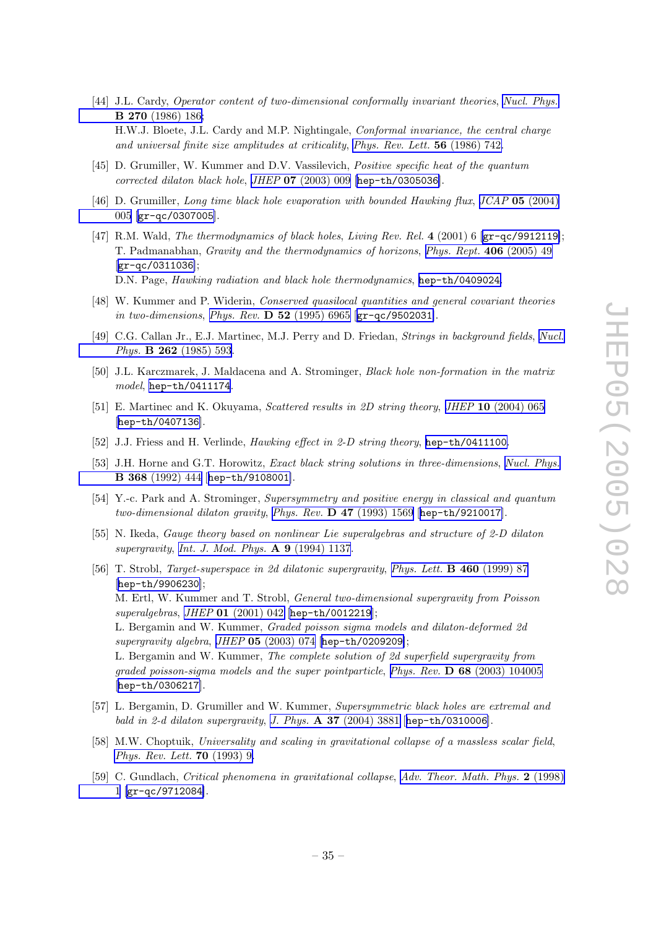- <span id="page-35-0"></span>[44] J.L. Cardy , Operator content of two-dimensional conformally invariant theories , Nucl. [Phys.](http://www-spires.slac.stanford.edu/spires/find/hep/www?j=NUPHA%2CB270%2C186) B 270 [\(1986\)](http://www-spires.slac.stanford.edu/spires/find/hep/www?j=NUPHA%2CB270%2C186) 186 ; H.W.J. Bloete, J.L. Cardy and M.P . Nightingale, Conformal invariance, the central charge and universal finite size amplitudes at criticality, Phys. Rev. Lett. 56 [\(1986\)](http://www-spires.slac.stanford.edu/spires/find/hep/www?j=PRLTA%2C56%2C742) 742.
- [45] D. Grumiller, W. Kummer and D.V. Vassilevich, *Positive specific heat of the quantum* corrected dilaton black hole, JHEP 07 [\(2003\)](http://jhep.sissa.it/stdsearch?paper=07%282003%29009) 009 [[hep-th/0305036](http://xxx.lanl.gov/abs/hep-th/0305036)].
- [46] D. Grumiller, Long time black hole evaporation with bounded Hawking flux, JCAP 05 [\(2004\)](http://www-spires.slac.stanford.edu/spires/find/hep/www?j=JCAPA%2C05%2C005) [005](http://www-spires.slac.stanford.edu/spires/find/hep/www?j=JCAPA%2C05%2C005) [[gr-qc/0307005](http://xxx.lanl.gov/abs/gr-qc/0307005)].
- [47] R.M. Wald, The thermodynamics of black holes, Living Rev. Rel. 4 (2001) 6 [[gr-qc/9912119](http://xxx.lanl.gov/abs/gr-qc/9912119)]; T. Padmanabhan, *Gravity and the thermodynamics of horizons*, *Phys. Rept.* **406** [\(2005\)](http://www-spires.slac.stanford.edu/spires/find/hep/www?j=PRPLC%2C406%2C49) 49 [[gr-qc/0311036](http://xxx.lanl.gov/abs/gr-qc/0311036)]; D.N. Page, Hawking radiation and black hole thermodynamics, [hep-th/0409024](http://xxx.lanl.gov/abs/hep-th/0409024).
- [48] W. Kummer and P. Widerin, Conserved quasilocal quantities and general covariant theories in two-dimensions, Phys. Rev.  $D_{52}$  [\(1995\)](http://www-spires.slac.stanford.edu/spires/find/hep/www?j=PHRVA%2CD52%2C6965) 6965 [[gr-qc/9502031](http://xxx.lanl.gov/abs/gr-qc/9502031)].
- [49] C.G. Callan Jr., E.J. Martinec, M.J. Perry and D. Friedan, *Strings in background fields*, *[Nucl.](http://www-spires.slac.stanford.edu/spires/find/hep/www?j=NUPHA%2CB262%2C593)* Phys. **B 262** [\(1985\)](http://www-spires.slac.stanford.edu/spires/find/hep/www?j=NUPHA%2CB262%2C593) 593.
- [50] J.L. Karczmarek, J. Maldacena and A. Strominger, Black hole non-formation in the matrix model, [hep-th/0411174](http://xxx.lanl.gov/abs/hep-th/0411174).
- [51] E. Martinec and K. Okuyama, *Scattered results in 2D string theory*, *JHEP* 10 [\(2004\)](http://jhep.sissa.it/stdsearch?paper=10%282004%29065) 065 [[hep-th/0407136](http://xxx.lanl.gov/abs/hep-th/0407136)].
- [52] J.J. Friess and H. Verlinde, *Hawking effect in 2-D string theory*, [hep-th/0411100](http://xxx.lanl.gov/abs/hep-th/0411100).
- [53] J.H. Horne and G.T. Horowitz, *Exact black string solutions in three-dimensions*, *Nucl. [Phys.](http://www-spires.slac.stanford.edu/spires/find/hep/www?j=NUPHA%2CB368%2C444)* B 368 [\(1992\)](http://www-spires.slac.stanford.edu/spires/find/hep/www?j=NUPHA%2CB368%2C444) 444 [[hep-th/9108001](http://xxx.lanl.gov/abs/hep-th/9108001)].
- [54] Y.-c. Park and A. Strominger, Supersymmetry and positive energy in classical and quantum two-dimensional dilaton gravity, Phys. Rev. **D 47** [\(1993\)](http://www-spires.slac.stanford.edu/spires/find/hep/www?j=PHRVA%2CD47%2C1569) 1569 [[hep-th/9210017](http://xxx.lanl.gov/abs/hep-th/9210017)].
- [55] N. Ikeda, *Gauge theory based on nonlinear Lie superalgebras and structure of 2-D dilaton* supergravity, Int. J. Mod. Phys.  $\bf{A}$  **9** [\(1994\)](http://www-spires.slac.stanford.edu/spires/find/hep/www?j=IMPAE%2CA9%2C1137) 1137.
- [56] T. Strobl, *Target-superspace in 2d dilatonic supergravity*, *Phys. Lett.* **B 460** [\(1999\)](http://www-spires.slac.stanford.edu/spires/find/hep/www?j=PHLTA%2CB460%2C87) 87 [[hep-th/9906230](http://xxx.lanl.gov/abs/hep-th/9906230)]; M. Ertl, W. Kummer and T. Strobl, General two-dimensional supergravity from Poisson superalgebras, JHEP 01 [\(2001\)](http://jhep.sissa.it/stdsearch?paper=01%282001%29042) 042 [[hep-th/0012219](http://xxx.lanl.gov/abs/hep-th/0012219)]; L. Bergamin and W. Kummer, *Graded poisson sigma models and dilaton-deformed 2d* supergravity algebra, JHEP 05 [\(2003\)](http://jhep.sissa.it/stdsearch?paper=05%282003%29074) 074 [[hep-th/0209209](http://xxx.lanl.gov/abs/hep-th/0209209)]; L. Bergamin and W. Kummer, The complete solution of 2d superfield supergravity from graded poisson-sigma models and the super pointparticle, Phys. Rev. **D 68** (2003) [104005](http://www-spires.slac.stanford.edu/spires/find/hep/www?j=PHRVA%2CD68%2C104005) [[hep-th/0306217](http://xxx.lanl.gov/abs/hep-th/0306217)].
- [57] L. Bergamin, D. Grumiller and W. Kummer, Supersymmetric black holes are extremal and bald in 2-d dilaton supergravity, J. Phys.  $\bf{A}$  37 [\(2004\)](http://www-spires.slac.stanford.edu/spires/find/hep/www?j=JPAGB%2CA37%2C3881) 3881 [[hep-th/0310006](http://xxx.lanl.gov/abs/hep-th/0310006)].
- [58] M.W. Choptuik, Universality and scaling in gravitational collapse of a massless scalar field, Phys. Rev. Lett. **70** [\(1993\)](http://www-spires.slac.stanford.edu/spires/find/hep/www?j=PRLTA%2C70%2C9) 9.
- [59] C. Gundlach, Critical phenomena in gravitational collapse, Adv. [Theor.](http://www-spires.slac.stanford.edu/spires/find/hep/www?j=00203%2C2%2C1) Math. Phys. 2 (1998) [1](http://www-spires.slac.stanford.edu/spires/find/hep/www?j=00203%2C2%2C1) [[gr-qc/9712084](http://xxx.lanl.gov/abs/gr-qc/9712084)].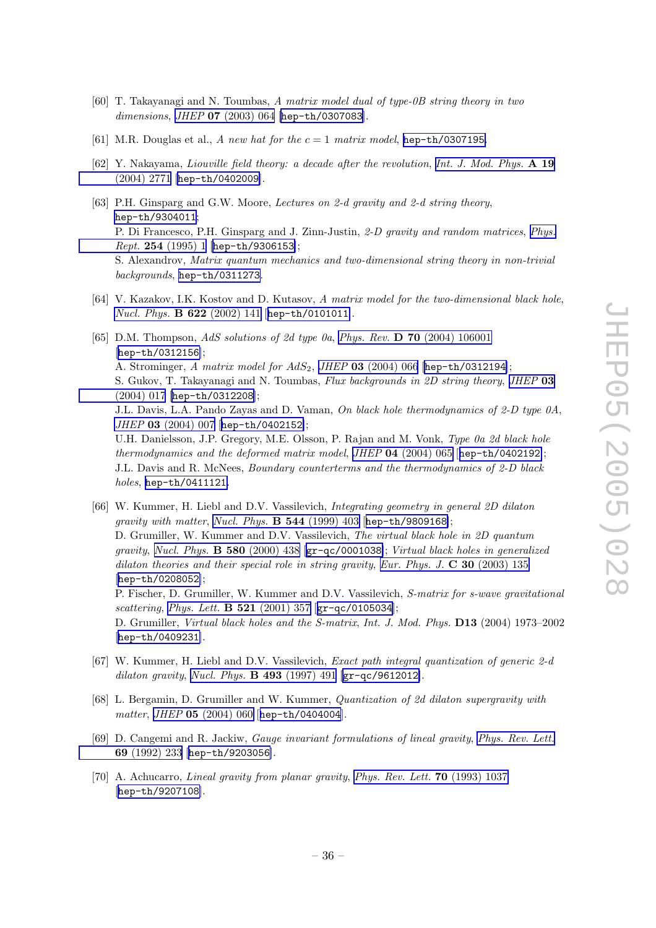- <span id="page-36-0"></span>[60] T. Takayanagi and N. Toumbas, A matrix model dual of type-0B string theory in two dimensions, JHEP  $07$  [\(2003\)](http://jhep.sissa.it/stdsearch?paper=07%282003%29064) 064 [[hep-th/0307083](http://xxx.lanl.gov/abs/hep-th/0307083)].
- [61] M.R. Douglas et al., A new hat for the  $c = 1$  matrix model, [hep-th/0307195](http://xxx.lanl.gov/abs/hep-th/0307195).
- [62] Y. Nakayama, Liouville field theory: a decade after the revolution, Int. J. Mod. [Phys.](http://www-spires.slac.stanford.edu/spires/find/hep/www?j=IMPAE%2CA19%2C2771) A 19 [\(2004\)](http://www-spires.slac.stanford.edu/spires/find/hep/www?j=IMPAE%2CA19%2C2771) 2771 [[hep-th/0402009](http://xxx.lanl.gov/abs/hep-th/0402009)].
- [63] P.H. Ginsparg and G.W. Moore, Lectures on 2-d gravity and 2-d string theory, [hep-th/9304011](http://xxx.lanl.gov/abs/hep-th/9304011) ; P. Di Francesco, P.H. Ginsparg and J. Zinn-Justin, 2-D gravity and random matrices, [Phys.](http://www-spires.slac.stanford.edu/spires/find/hep/www?j=PRPLC%2C254%2C1)  $Rept.$  254 [\(1995\)](http://www-spires.slac.stanford.edu/spires/find/hep/www?j=PRPLC%2C254%2C1) 1 [[hep-th/9306153](http://xxx.lanl.gov/abs/hep-th/9306153)]; S. Alexandrov, Matrix quantum mechanics and two-dimensional string theory in non-trivial backgrounds, [hep-th/0311273](http://xxx.lanl.gov/abs/hep-th/0311273).
- [64] V. Kazakov, I.K. Kostov and D. Kutasov, A matrix model for the two-dimensional black hole, *Nucl. Phys.*  $\bf{B} 622 (2002) 141 [hep-th/0101011].$  $\bf{B} 622 (2002) 141 [hep-th/0101011].$  $\bf{B} 622 (2002) 141 [hep-th/0101011].$  $\bf{B} 622 (2002) 141 [hep-th/0101011].$  $\bf{B} 622 (2002) 141 [hep-th/0101011].$
- [65] D.M. Thompson, AdS solutions of 2d type 0a, Phys. Rev. D 70 (2004) [106001](http://www-spires.slac.stanford.edu/spires/find/hep/www?j=PHRVA%2CD70%2C106001) [[hep-th/0312156](http://xxx.lanl.gov/abs/hep-th/0312156)]; A. Strominger, A matrix model for  $AdS_2$ , JHEP 03 [\(2004\)](http://jhep.sissa.it/stdsearch?paper=03%282004%29066) 066 [[hep-th/0312194](http://xxx.lanl.gov/abs/hep-th/0312194)]; S. Gukov, T. Takayanagi and N. Toumbas, *Flux backgrounds in 2D string theory, [JHEP](http://jhep.sissa.it/stdsearch?paper=03%282004%29017)* 03 [\(2004\)](http://jhep.sissa.it/stdsearch?paper=03%282004%29017) 017 [[hep-th/0312208](http://xxx.lanl.gov/abs/hep-th/0312208)]; J.L. Davis, L.A. Pando Zayas and D. Vaman, *On black hole thermodynamics of 2-D type 0A*, JHEP 03 [\(2004\)](http://jhep.sissa.it/stdsearch?paper=03%282004%29007) 007 [[hep-th/0402152](http://xxx.lanl.gov/abs/hep-th/0402152)]; U.H. Danielsson, J.P. Gregory, M.E. Olsson, P. Rajan and M. Vonk, *Type 0a 2d black hole* thermodynamics and the deformed matrix model, JHEP  $04$  [\(2004\)](http://jhep.sissa.it/stdsearch?paper=04%282004%29065) 065 [[hep-th/0402192](http://xxx.lanl.gov/abs/hep-th/0402192)]; J.L. Davis and R. McNees, *Boundary counterterms and the thermodynamics of 2-D black* holes, [hep-th/0411121](http://xxx.lanl.gov/abs/hep-th/0411121).
- [66] W. Kummer, H. Liebl and D.V. Vassilevich, *Integrating geometry in general 2D dilaton* gravity with matter, Nucl. Phys.  $\bf{B}$  544 [\(1999\)](http://www-spires.slac.stanford.edu/spires/find/hep/www?j=NUPHA%2CB544%2C403) 403 [[hep-th/9809168](http://xxx.lanl.gov/abs/hep-th/9809168)]; D. Grumiller, W. Kummer and D.V. Vassilevich, *The virtual black hole in 2D quantum* gravity, Nucl. Phys. **B 580** [\(2000\)](http://www-spires.slac.stanford.edu/spires/find/hep/www?j=NUPHA%2CB580%2C438) 438 [ $gr-qc/0001038$ ]; Virtual black holes in generalized dilaton theories and their special role in string gravity, Eur. Phys. J.  $\bf{C}$  30 [\(2003\)](http://www-spires.slac.stanford.edu/spires/find/hep/www?j=EPHJA%2CC30%2C135) 135 [[hep-th/0208052](http://xxx.lanl.gov/abs/hep-th/0208052)]; P. Fischer, D. Grumiller, W. Kummer and D.V. Vassilevich, S-matrix for s-wave gravitational scattering, Phys. Lett. **B** 521 [\(2001\)](http://www-spires.slac.stanford.edu/spires/find/hep/www?j=PHLTA%2CB521%2C357) 357  $[\text{gr-qc/0105034}];$  $[\text{gr-qc/0105034}];$  $[\text{gr-qc/0105034}];$ D. Grumiller, *Virtual black holes and the S-matrix, Int. J. Mod. Phys.* **D13** (2004) 1973–2002 [[hep-th/0409231](http://xxx.lanl.gov/abs/hep-th/0409231)].
- [67] W. Kummer, H. Liebl and D.V. Vassilevich, *Exact path integral quantization of generic* 2-d dilaton gravity, Nucl. Phys. **B** 493 [\(1997\)](http://www-spires.slac.stanford.edu/spires/find/hep/www?j=NUPHA%2CB493%2C491) 491  $\left[\text{gr-qc/9612012}\right]$  $\left[\text{gr-qc/9612012}\right]$  $\left[\text{gr-qc/9612012}\right]$ .
- [68] L. Bergamin, D. Grumiller and W. Kummer, Quantization of 2d dilaton supergravity with  $matter, JHEP$  05  $(2004)$  060 [[hep-th/0404004](http://xxx.lanl.gov/abs/hep-th/0404004)].
- [69] D. Cangemi and R. Jackiw, *Gauge invariant formulations of lineal gravity*, *[Phys.](http://www-spires.slac.stanford.edu/spires/find/hep/www?j=PRLTA%2C69%2C233) Rev. Lett.* 69 [\(1992\)](http://www-spires.slac.stanford.edu/spires/find/hep/www?j=PRLTA%2C69%2C233) 233 [[hep-th/9203056](http://xxx.lanl.gov/abs/hep-th/9203056)].
- [70] A. Achucarro, Lineal gravity from planar gravity, Phys. Rev. Lett. **70** [\(1993\)](http://www-spires.slac.stanford.edu/spires/find/hep/www?j=PRLTA%2C70%2C1037) 1037 [[hep-th/9207108](http://xxx.lanl.gov/abs/hep-th/9207108)].